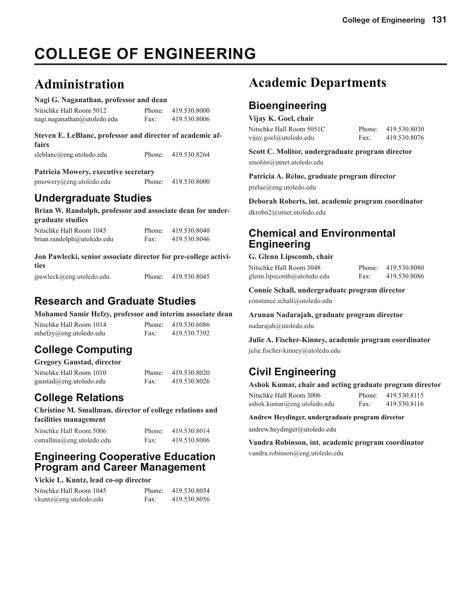# **COLLEGE OF ENGINEERING**

# **Administration**

#### **Nagi G. Naganathan, professor and dean**

| Nitschke Hall Room 5012     |      | Phone: 419.530.8000 |
|-----------------------------|------|---------------------|
| nagi.naganathan@utoledo.edu | Fax: | 419.530.8006        |

| Steven E. LeBlanc, professor and director of academic af- |                     |
|-----------------------------------------------------------|---------------------|
| fairs                                                     |                     |
| sleblanc@eng.utoledo.edu                                  | Phone: 419.530.8264 |

#### **Patricia Mowery, executive secretary**

| pmowery@eng.utoledo.edu | Phone: | 419.530.8000 |
|-------------------------|--------|--------------|
|-------------------------|--------|--------------|

## **Undergraduate Studies**

**Brian W. Randolph, professor and associate dean for undergraduate studies**

| Nitschke Hall Room 1045    | Phone: | 419.530.8040 |
|----------------------------|--------|--------------|
| brian.randolph@utoledo.edu | Fax:   | 419.530.8046 |

#### **Jon Pawlecki, senior associate director for pre-college activities**

| jpawleck@eng.utoledo.edu | Phone: | 419.530.8045 |
|--------------------------|--------|--------------|
|                          |        |              |

## **Research and Graduate Studies**

**Mohamed Samir Hefzy, professor and interim associate dean**

| Nitschke Hall Room 1014 |      | Phone: 419.530.6086 |
|-------------------------|------|---------------------|
| mhefzy@eng. utoledo.edu | Fax: | 419.530.7392        |

#### **College Computing Gregory Gaustad, director**

| Gregory Gaustad, director |        |              |
|---------------------------|--------|--------------|
| Nitschke Hall Room 1010   | Phone: | 419.530.8020 |
| gaustad@eng.utoledo.edu   | Fax:   | 419.530.8026 |

## **College Relations**

**Christine M. Smallman, director of college relations and facilities management**

| Nitschke Hall Room 5006   | Phone: | 419.530.8014 |
|---------------------------|--------|--------------|
| csmallma@eng. utoledo.edu | Fax:   | 419.530.8006 |

## **Engineering Cooperative Education Program and Career Management**

#### **Vickie L. Kuntz, lead co-op director**

| Nitschke Hall Room 1045 | Phone: | 419.530.8054 |
|-------------------------|--------|--------------|
| vkuntz@eng.utoledo.edu  | Fax:   | 419.530.8056 |

# **Academic Departments**

## **Bioengineering**

| Vijay K. Goel, chair     |      |                     |
|--------------------------|------|---------------------|
| Nitschke Hall Room 5051C |      | Phone: 419.530.8030 |
| vijay.goel@utoledo.edu   | Fax: | 419.530.8076        |

**Scott C. Molitor, undergraduate program director**  smolito@utnet.utoledo.edu

**Patricia A. Relue, graduate program director**  prelue@eng.utoledo.edu

**Deborah Roberts, int. academic program coordinator**  dkrobn2@utnet.utoledo.edu

## **Chemical and Environmental Engineering**

#### **G. Glenn Lipscomb, chair**

Nitschke Hall Room 3048 Phone: 419.530.8080 glenn.lipscomb@utoledo.edu Fax: 419.530.8086

**Connie Schall, undergraduate program director**

constance.schall@utoledo.edu

**Arunan Nadarajah, graduate program director** nadarajah@utoledo.edu

**Julie A. Fischer-Kinney, academic program coordinator** julie.fischer-kinney@utoledo.edu

## **Civil Engineering**

**Ashok Kumar, chair and acting graduate program director**

| Nitschke Hall Room 3006     | Phone: | 419.530.8115 |
|-----------------------------|--------|--------------|
| ashok.kumar@eng.utoledo.edu | Fax:   | 419.530.8116 |

**Andrew Heydinger, undergraduate program director**

andrew.heydinger@utoledo.edu

**Vandra Robinson, int. academic program coordinator** vandra.robinson@eng.utoledo.edu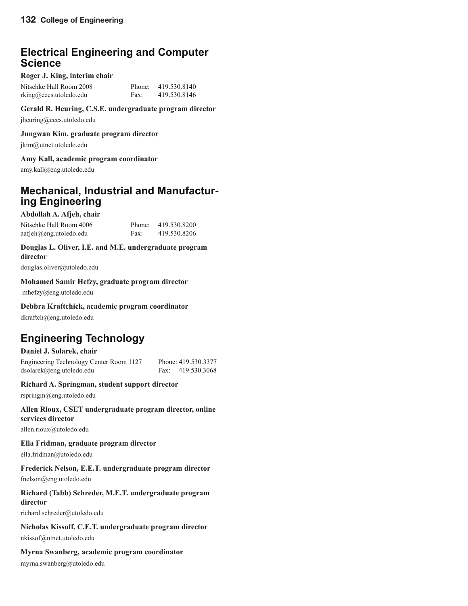## **Electrical Engineering and Computer Science**

#### **Roger J. King, interim chair**

| Nitschke Hall Room 2008 |      | Phone: 419.530.8140 |
|-------------------------|------|---------------------|
| rking@eecs.utoledo.edu  | Fax: | 419.530.8146        |

#### **Gerald R. Heuring, C.S.E. undergraduate program director**

jheuring@eecs.utoledo.edu

#### **Jungwan Kim, graduate program director**

jkim@utnet.utoledo.edu

#### **Amy Kall, academic program coordinator**

amy.kall@eng.utoledo.edu

## **Mechanical, Industrial and Manufacturing Engineering**

### **Abdollah A. Afjeh, chair** Nitschke Hall Room 4006 Phone: 419,530,8200

aafjeh@eng.utoledo.edu Fax: 419.530.8206

#### **Douglas L. Oliver, I.E. and M.E. undergraduate program director**

douglas.oliver@utoledo.edu

#### **Mohamed Samir Hefzy, graduate program director**

mhefzy@eng.utoledo.edu

#### **Debbra Kraftchick, academic program coordinator**

dkraftch@eng.utoledo.edu

## **Engineering Technology**

#### **Daniel J. Solarek, chair**

Engineering Technology Center Room 1127 Phone: 419.530.3377 dsolarek@eng.utoledo.edu Fax: 419.530.3068

#### **Richard A. Springman, student support director**

rspringm@eng.utoledo.edu

#### **Allen Rioux, CSET undergraduate program director, online services director**

allen.rioux@utoledo.edu

#### **Ella Fridman, graduate program director**

ella.fridman@utoledo.edu

#### **Frederick Nelson, E.E.T. undergraduate program director**

fnelson@eng.utoledo.edu

#### **Richard (Tabb) Schreder, M.E.T. undergraduate program director**

richard.schreder@utoledo.edu

#### **Nicholas Kissoff, C.E.T. undergraduate program director**

nkissof@utnet.utoledo.edu

#### **Myrna Swanberg, academic program coordinator**

myrna.swanberg@utoledo.edu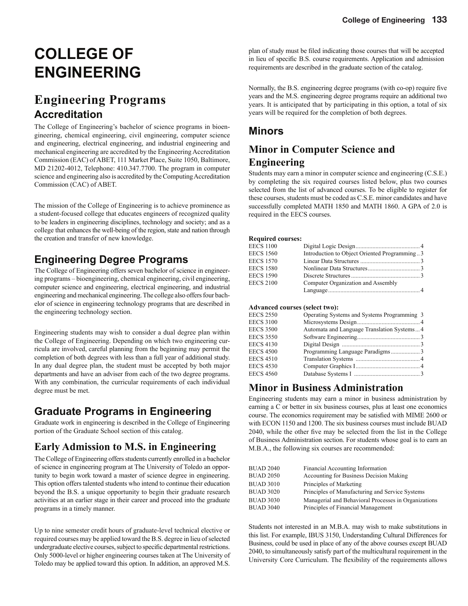# **COLLEGE OF ENGINEERING**

# **Engineering Programs Accreditation**

The College of Engineering's bachelor of science programs in bioengineering, chemical engineering, civil engineering, computer science and engineering, electrical engineering, and industrial engineering and mechanical engineering are accredited by the Engineering Accreditation Commission (EAC) of ABET, 111 Market Place, Suite 1050, Baltimore, MD 21202-4012, Telephone: 410.347.7700. The program in computer science and engineering also is accredited by the Computing Accreditation Commission (CAC) of ABET.

The mission of the College of Engineering is to achieve prominence as a student-focused college that educates engineers of recognized quality to be leaders in engineering disciplines, technology and society; and as a college that enhances the well-being of the region, state and nation through the creation and transfer of new knowledge.

## **Engineering Degree Programs**

The College of Engineering offers seven bachelor of science in engineering programs – bioengineering, chemical engineering, civil engineering, computer science and engineering, electrical engineering, and industrial engineering and mechanical engineering. The college also offers four bachelor of science in engineering technology programs that are described in the engineering technology section.

Engineering students may wish to consider a dual degree plan within the College of Engineering. Depending on which two engineering curricula are involved, careful planning from the beginning may permit the completion of both degrees with less than a full year of additional study. In any dual degree plan, the student must be accepted by both major departments and have an adviser from each of the two degree programs. With any combination, the curricular requirements of each individual degree must be met.

## **Graduate Programs in Engineering**

Graduate work in engineering is described in the College of Engineering portion of the Graduate School section of this catalog.

## **Early Admission to M.S. in Engineering**

The College of Engineering offers students currently enrolled in a bachelor of science in engineering program at The University of Toledo an opportunity to begin work toward a master of science degree in engineering. This option offers talented students who intend to continue their education beyond the B.S. a unique opportunity to begin their graduate research activities at an earlier stage in their career and proceed into the graduate programs in a timely manner.

Up to nine semester credit hours of graduate-level technical elective or required courses may be applied toward the B.S. degree in lieu of selected undergraduate elective courses, subject to specific departmental restrictions. Only 5000-level or higher engineering courses taken at The University of Toledo may be applied toward this option. In addition, an approved M.S.

plan of study must be filed indicating those courses that will be accepted in lieu of specific B.S. course requirements. Application and admission requirements are described in the graduate section of the catalog.

Normally, the B.S. engineering degree programs (with co-op) require five years and the M.S. engineering degree programs require an additional two years. It is anticipated that by participating in this option, a total of six years will be required for the completion of both degrees.

## **Minors**

## **Minor in Computer Science and Engineering**

Students may earn a minor in computer science and engineering (C.S.E.) by completing the six required courses listed below, plus two courses selected from the list of advanced courses. To be eligible to register for these courses, students must be coded as C.S.E. minor candidates and have successfully completed MATH 1850 and MATH 1860. A GPA of 2.0 is required in the EECS courses.

#### **Required courses:**

| <b>EECS 1100</b> |                                              |  |
|------------------|----------------------------------------------|--|
| <b>EECS 1560</b> | Introduction to Object Oriented Programming3 |  |
| <b>EECS 1570</b> |                                              |  |
| <b>EECS 1580</b> |                                              |  |
| <b>EECS 1590</b> |                                              |  |
| <b>EECS 2100</b> | Computer Organization and Assembly           |  |
|                  |                                              |  |

#### **Advanced courses (select two):**

| <b>EECS 2550</b> | Operating Systems and Systems Programming 3 |  |
|------------------|---------------------------------------------|--|
| <b>EECS 3100</b> |                                             |  |
| <b>EECS 3500</b> | Automata and Language Translation Systems4  |  |
| <b>EECS 3550</b> |                                             |  |
| <b>EECS 4130</b> |                                             |  |
| <b>EECS 4500</b> |                                             |  |
| <b>EECS 4510</b> |                                             |  |
| <b>EECS 4530</b> |                                             |  |
| <b>EECS 4560</b> |                                             |  |
|                  |                                             |  |

### **Minor in Business Administration**

Engineering students may earn a minor in business administration by earning a C or better in six business courses, plus at least one economics course. The economics requirement may be satisfied with MIME 2600 or with ECON 1150 and 1200. The six business courses must include BUAD 2040, while the other five may be selected from the list in the College of Business Administration section. For students whose goal is to earn an M.B.A., the following six courses are recommended:

| <b>BUAD 2040</b> | Financial Accounting Information                     |
|------------------|------------------------------------------------------|
| <b>BUAD 2050</b> | Accounting for Business Decision Making              |
| <b>BUAD 3010</b> | Principles of Marketing                              |
| <b>BUAD 3020</b> | Principles of Manufacturing and Service Systems      |
| <b>BUAD 3030</b> | Managerial and Behavioral Processes in Organizations |
| <b>BUAD 3040</b> | Principles of Financial Management                   |

Students not interested in an M.B.A. may wish to make substitutions in this list. For example, IBUS 3150, Understanding Cultural Differences for Business, could be used in place of any of the above courses except BUAD 2040, to simultaneously satisfy part of the multicultural requirement in the University Core Curriculum. The flexibility of the requirements allows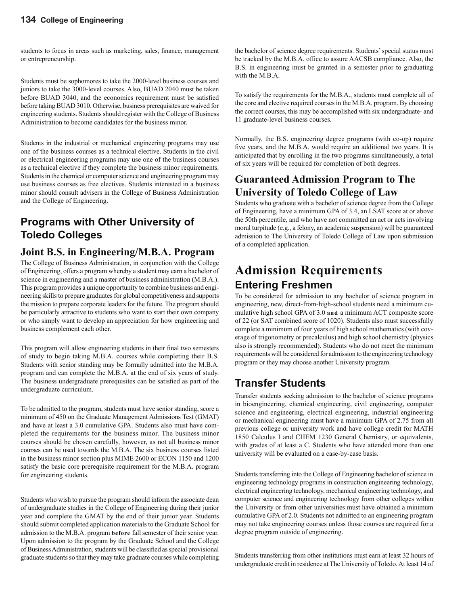students to focus in areas such as marketing, sales, finance, management or entrepreneurship.

Students must be sophomores to take the 2000-level business courses and juniors to take the 3000-level courses. Also, BUAD 2040 must be taken before BUAD 3040, and the economics requirement must be satisfied before taking BUAD 3010. Otherwise, business prerequisites are waived for engineering students. Students should register with the College of Business Administration to become candidates for the business minor.

Students in the industrial or mechanical engineering programs may use one of the business courses as a technical elective. Students in the civil or electrical engineering programs may use one of the business courses as a technical elective if they complete the business minor requirements. Students in the chemical or computer science and engineering program may use business courses as free electives. Students interested in a business minor should consult advisers in the College of Business Administration and the College of Engineering.

## **Programs with Other University of Toledo Colleges**

## **Joint B.S. in Engineering/M.B.A. Program**

The College of Business Administration, in conjunction with the College of Engineering, offers a program whereby a student may earn a bachelor of science in engineering and a master of business administration (M.B.A.). This program provides a unique opportunity to combine business and engineering skills to prepare graduates for global competitiveness and supports the mission to prepare corporate leaders for the future. The program should be particularly attractive to students who want to start their own company or who simply want to develop an appreciation for how engineering and business complement each other.

This program will allow engineering students in their final two semesters of study to begin taking M.B.A. courses while completing their B.S. Students with senior standing may be formally admitted into the M.B.A. program and can complete the M.B.A. at the end of six years of study. The business undergraduate prerequisites can be satisfied as part of the undergraduate curriculum.

To be admitted to the program, students must have senior standing, score a minimum of 450 on the Graduate Management Admissions Test (GMAT) and have at least a 3.0 cumulative GPA. Students also must have completed the requirements for the business minor. The business minor courses should be chosen carefully, however, as not all business minor courses can be used towards the M.B.A. The six business courses listed in the business minor section plus MIME 2600 or ECON 1150 and 1200 satisfy the basic core prerequisite requirement for the M.B.A. program for engineering students.

Students who wish to pursue the program should inform the associate dean of undergraduate studies in the College of Engineering during their junior year and complete the GMAT by the end of their junior year. Students should submit completed application materials to the Graduate School for admission to the M.B.A. program **before** fall semester of their senior year. Upon admission to the program by the Graduate School and the College of Business Administration, students will be classified as special provisional graduate students so that they may take graduate courses while completing the bachelor of science degree requirements. Students' special status must be tracked by the M.B.A. office to assure AACSB compliance. Also, the B.S. in engineering must be granted in a semester prior to graduating with the M.B.A.

To satisfy the requirements for the M.B.A., students must complete all of the core and elective required courses in the M.B.A. program. By choosing the correct courses, this may be accomplished with six undergraduate- and 11 graduate-level business courses.

Normally, the B.S. engineering degree programs (with co-op) require five years, and the M.B.A. would require an additional two years. It is anticipated that by enrolling in the two programs simultaneously, a total of six years will be required for completion of both degrees.

## **Guaranteed Admission Program to The University of Toledo College of Law**

Students who graduate with a bachelor of science degree from the College of Engineering, have a minimum GPA of 3.4, an LSAT score at or above the 50th percentile, and who have not committed an act or acts involving moral turpitude (e.g., a felony, an academic suspension) will be guaranteed admission to The University of Toledo College of Law upon submission of a completed application.

## **Admission Requirements Entering Freshmen**

To be considered for admission to any bachelor of science program in engineering, new, direct-from-high-school students need a minimum cumulative high school GPA of 3.0 **and** a minimum ACT composite score of 22 (or SAT combined score of 1020). Students also must successfully complete a minimum of four years of high school mathematics (with coverage of trigonometry or precalculus) and high school chemistry (physics also is strongly recommended). Students who do not meet the minimum requirements will be considered for admission to the engineering technology program or they may choose another University program.

## **Transfer Students**

Transfer students seeking admission to the bachelor of science programs in bioengineering, chemical engineering, civil engineering, computer science and engineering, electrical engineering, industrial engineering or mechanical engineering must have a minimum GPA of 2.75 from all previous college or university work and have college credit for MATH 1850 Calculus I and CHEM 1230 General Chemistry, or equivalents, with grades of at least a C. Students who have attended more than one university will be evaluated on a case-by-case basis.

Students transferring into the College of Engineering bachelor of science in engineering technology programs in construction engineering technology, electrical engineering technology, mechanical engineering technology, and computer science and engineering technology from other colleges within the University or from other universities must have obtained a minimum cumulative GPA of 2.0. Students not admitted to an engineering program may not take engineering courses unless those courses are required for a degree program outside of engineering.

Students transferring from other institutions must earn at least 32 hours of undergraduate credit in residence at The University of Toledo. At least 14 of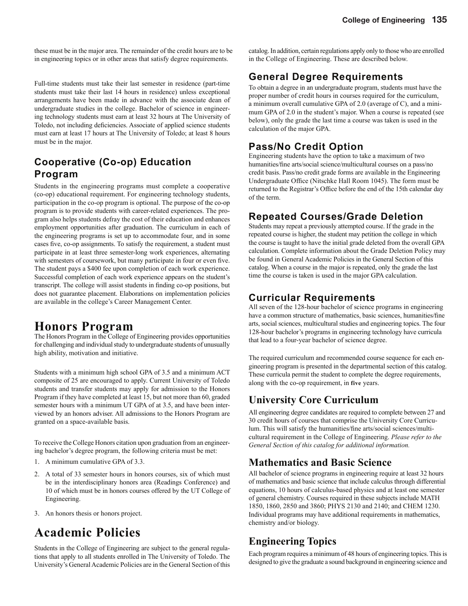these must be in the major area. The remainder of the credit hours are to be in engineering topics or in other areas that satisfy degree requirements.

Full-time students must take their last semester in residence (part-time students must take their last 14 hours in residence) unless exceptional arrangements have been made in advance with the associate dean of undergraduate studies in the college. Bachelor of science in engineering technology students must earn at least 32 hours at The University of Toledo, not including deficiencies. Associate of applied science students must earn at least 17 hours at The University of Toledo; at least 8 hours must be in the major.

## **Cooperative (Co-op) Education Program**

Students in the engineering programs must complete a cooperative (co-op) educational requirement. For engineering technology students, participation in the co-op program is optional. The purpose of the co-op program is to provide students with career-related experiences. The program also helps students defray the cost of their education and enhances employment opportunities after graduation. The curriculum in each of the engineering programs is set up to accommodate four, and in some cases five, co-op assignments. To satisfy the requirement, a student must participate in at least three semester-long work experiences, alternating with semesters of coursework, but many participate in four or even five. The student pays a \$400 fee upon completion of each work experience. Successful completion of each work experience appears on the student's transcript. The college will assist students in finding co-op positions, but does not guarantee placement. Elaborations on implementation policies are available in the college's Career Management Center.

## **Honors Program**

The Honors Program in the College of Engineering provides opportunities for challenging and individual study to undergraduate students of unusually high ability, motivation and initiative.

Students with a minimum high school GPA of 3.5 and a minimum ACT composite of 25 are encouraged to apply. Current University of Toledo students and transfer students may apply for admission to the Honors Program if they have completed at least 15, but not more than 60, graded semester hours with a minimum UT GPA of at 3.5, and have been interviewed by an honors adviser. All admissions to the Honors Program are granted on a space-available basis.

To receive the College Honors citation upon graduation from an engineering bachelor's degree program, the following criteria must be met:

- 1. A minimum cumulative GPA of 3.3.
- 2. A total of 33 semester hours in honors courses, six of which must be in the interdisciplinary honors area (Readings Conference) and 10 of which must be in honors courses offered by the UT College of Engineering.
- 3. An honors thesis or honors project.

# **Academic Policies**

Students in the College of Engineering are subject to the general regulations that apply to all students enrolled in The University of Toledo. The University's General Academic Policies are in the General Section of this catalog. In addition, certain regulations apply only to those who are enrolled in the College of Engineering. These are described below.

## **General Degree Requirements**

To obtain a degree in an undergraduate program, students must have the proper number of credit hours in courses required for the curriculum, a minimum overall cumulative GPA of 2.0 (average of C), and a minimum GPA of 2.0 in the student's major. When a course is repeated (see below), only the grade the last time a course was taken is used in the calculation of the major GPA.

## **Pass/No Credit Option**

Engineering students have the option to take a maximum of two humanities/fine arts/social science/multicultural courses on a pass/no credit basis. Pass/no credit grade forms are available in the Engineering Undergraduate Office (Nitschke Hall Room 1045). The form must be returned to the Registrar's Office before the end of the 15th calendar day of the term.

## **Repeated Courses/Grade Deletion**

Students may repeat a previously attempted course. If the grade in the repeated course is higher, the student may petition the college in which the course is taught to have the initial grade deleted from the overall GPA calculation. Complete information about the Grade Deletion Policy may be found in General Academic Policies in the General Section of this catalog. When a course in the major is repeated, only the grade the last time the course is taken is used in the major GPA calculation.

## **Curricular Requirements**

All seven of the 128-hour bachelor of science programs in engineering have a common structure of mathematics, basic sciences, humanities/fine arts, social sciences, multicultural studies and engineering topics. The four 128-hour bachelor's programs in engineering technology have curricula that lead to a four-year bachelor of science degree.

The required curriculum and recommended course sequence for each engineering program is presented in the departmental section of this catalog. These curricula permit the student to complete the degree requirements, along with the co-op requirement, in **five** years.

## **University Core Curriculum**

All engineering degree candidates are required to complete between 27 and 30 credit hours of courses that comprise the University Core Curriculum. This will satisfy the humanities/fine arts/social sciences/multicultural requirement in the College of Engineering. *Please refer to the General Section of this catalog for additional information.*

## **Mathematics and Basic Science**

All bachelor of science programs in engineering require at least 32 hours of mathematics and basic science that include calculus through differential equations, 10 hours of calculus-based physics and at least one semester of general chemistry. Courses required in these subjects include MATH 1850, 1860, 2850 and 3860; PHYS 2130 and 2140; and CHEM 1230. Individual programs may have additional requirements in mathematics, chemistry and/or biology.

## **Engineering Topics**

Each program requires a minimum of 48 hours of engineering topics. This is designed to give the graduate a sound background in engineering science and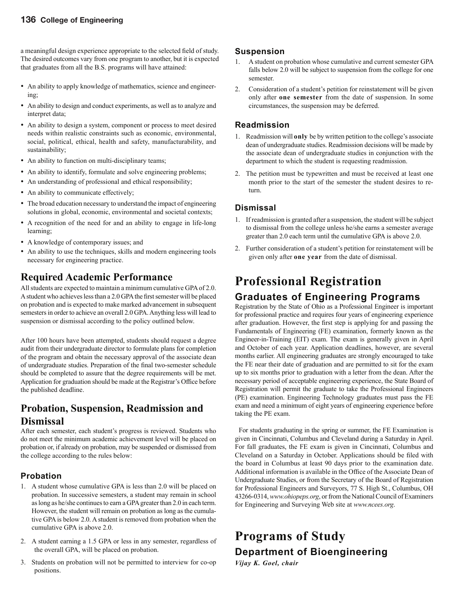a meaningful design experience appropriate to the selected field of study. The desired outcomes vary from one program to another, but it is expected that graduates from all the B.S. programs will have attained:

- An ability to apply knowledge of mathematics, science and engineering;
- An ability to design and conduct experiments, as well as to analyze and interpret data;
- An ability to design a system, component or process to meet desired needs within realistic constraints such as economic, environmental, social, political, ethical, health and safety, manufacturability, and sustainability;
- An ability to function on multi-disciplinary teams;
- An ability to identify, formulate and solve engineering problems;
- An understanding of professional and ethical responsibility;
- An ability to communicate effectively;
- The broad education necessary to understand the impact of engineering solutions in global, economic, environmental and societal contexts;
- A recognition of the need for and an ability to engage in life-long learning;
- A knowledge of contemporary issues; and
- An ability to use the techniques, skills and modern engineering tools necessary for engineering practice.

## **Required Academic Performance**

All students are expected to maintain a minimum cumulative GPA of 2.0. A student who achieves less than a 2.0 GPA the first semester will be placed on probation and is expected to make marked advancement in subsequent semesters in order to achieve an overall 2.0 GPA. Anything less will lead to suspension or dismissal according to the policy outlined below.

After 100 hours have been attempted, students should request a degree audit from their undergraduate director to formulate plans for completion of the program and obtain the necessary approval of the associate dean of undergraduate studies. Preparation of the final two-semester schedule should be completed to assure that the degree requirements will be met. Application for graduation should be made at the Registrar's Office before the published deadline.

## **Probation, Suspension, Readmission and Dismissal**

After each semester, each student's progress is reviewed. Students who do not meet the minimum academic achievement level will be placed on probation or, if already on probation, may be suspended or dismissed from the college according to the rules below:

#### **Probation**

- 1. A student whose cumulative GPA is less than 2.0 will be placed on probation. In successive semesters, a student may remain in school as long as he/she continues to earn a GPA greater than 2.0 in each term. However, the student will remain on probation as long as the cumulative GPA is below 2.0. A student is removed from probation when the cumulative GPA is above 2.0.
- 2. A student earning a 1.5 GPA or less in any semester, regardless of the overall GPA, will be placed on probation.
- 3. Students on probation will not be permitted to interview for co-op positions.

#### **Suspension**

- 1. A student on probation whose cumulative and current semester GPA falls below 2.0 will be subject to suspension from the college for one semester.
- 2. Consideration of a student's petition for reinstatement will be given only after **one semester** from the date of suspension. In some circumstances, the suspension may be deferred.

#### **Readmission**

- 1. Readmission will **only** be by written petition to the college's associate dean of undergraduate studies. Readmission decisions will be made by the associate dean of undergraduate studies in conjunction with the department to which the student is requesting readmission.
- 2. The petition must be typewritten and must be received at least one month prior to the start of the semester the student desires to return.

#### **Dismissal**

- 1. If readmission is granted after a suspension, the student will be subject to dismissal from the college unless he/she earns a semester average greater than 2.0 each term until the cumulative GPA is above 2.0.
- 2. Further consideration of a student's petition for reinstatement will be given only after **one year** from the date of dismissal.

# **Professional Registration**

### **Graduates of Engineering Programs**

Registration by the State of Ohio as a Professional Engineer is important for professional practice and requires four years of engineering experience after graduation. However, the first step is applying for and passing the Fundamentals of Engineering (FE) examination, formerly known as the Engineer-in-Training (EIT) exam. The exam is generally given in April and October of each year. Application deadlines, however, are several months earlier. All engineering graduates are strongly encouraged to take the FE near their date of graduation and are permitted to sit for the exam up to six months prior to graduation with a letter from the dean. After the necessary period of acceptable engineering experience, the State Board of Registration will permit the graduate to take the Professional Engineers (PE) examination. Engineering Technology graduates must pass the FE exam and need a minimum of eight years of engineering experience before taking the PE exam.

 For students graduating in the spring or summer, the FE Examination is given in Cincinnati, Columbus and Cleveland during a Saturday in April. For fall graduates, the FE exam is given in Cincinnati, Columbus and Cleveland on a Saturday in October. Applications should be filed with the board in Columbus at least 90 days prior to the examination date. Additional information is available in the Office of the Associate Dean of Undergraduate Studies, or from the Secretary of the Board of Registration for Professional Engineers and Surveyors, 77 S. High St., Columbus, OH 43266-0314, *www.ohiopeps.org*, or from the National Council of Examiners for Engineering and Surveying Web site at *www.ncees.org*.

# **Programs of Study Department of Bioengineering**

*Vijay K. Goel, chair*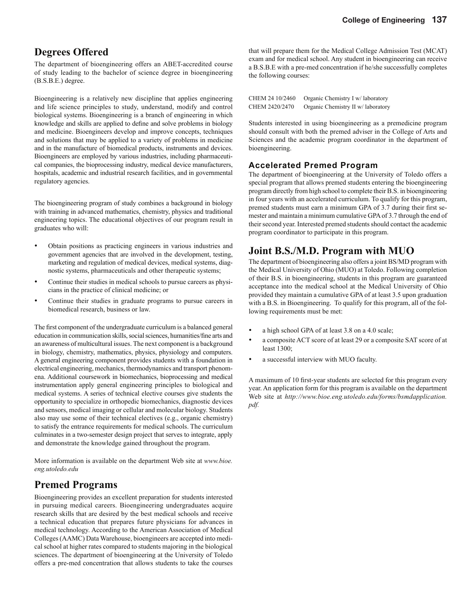### **Degrees Offered**

The department of bioengineering offers an ABET-accredited course of study leading to the bachelor of science degree in bioengineering (B.S.B.E.) degree.

Bioengineering is a relatively new discipline that applies engineering and life science principles to study, understand, modify and control biological systems. Bioengineering is a branch of engineering in which knowledge and skills are applied to define and solve problems in biology and medicine. Bioengineers develop and improve concepts, techniques and solutions that may be applied to a variety of problems in medicine and in the manufacture of biomedical products, instruments and devices. Bioengineers are employed by various industries, including pharmaceutical companies, the bioprocessing industry, medical device manufacturers, hospitals, academic and industrial research facilities, and in governmental regulatory agencies.

The bioengineering program of study combines a background in biology with training in advanced mathematics, chemistry, physics and traditional engineering topics. The educational objectives of our program result in graduates who will:

- Obtain positions as practicing engineers in various industries and government agencies that are involved in the development, testing, marketing and regulation of medical devices, medical systems, diagnostic systems, pharmaceuticals and other therapeutic systems;
- Continue their studies in medical schools to pursue careers as physicians in the practice of clinical medicine; or
- Continue their studies in graduate programs to pursue careers in biomedical research, business or law.

The first component of the undergraduate curriculum is a balanced general education in communication skills, social sciences, humanities/fine arts and an awareness of multicultural issues. The next component is a background in biology, chemistry, mathematics, physics, physiology and computers. A general engineering component provides students with a foundation in electrical engineering, mechanics, thermodynamics and transport phenomena. Additional coursework in biomechanics, bioprocessing and medical instrumentation apply general engineering principles to biological and medical systems. A series of technical elective courses give students the opportunity to specialize in orthopedic biomechanics, diagnostic devices and sensors, medical imaging or cellular and molecular biology. Students also may use some of their technical electives (e.g., organic chemistry) to satisfy the entrance requirements for medical schools. The curriculum culminates in a two-semester design project that serves to integrate, apply and demonstrate the knowledge gained throughout the program.

More information is available on the department Web site at *www.bioe. eng.utoledo.edu*

### **Premed Programs**

Bioengineering provides an excellent preparation for students interested in pursuing medical careers. Bioengineering undergraduates acquire research skills that are desired by the best medical schools and receive a technical education that prepares future physicians for advances in medical technology. According to the American Association of Medical Colleges (AAMC) Data Warehouse, bioengineers are accepted into medical school at higher rates compared to students majoring in the biological sciences. The department of bioengineering at the University of Toledo offers a pre-med concentration that allows students to take the courses

that will prepare them for the Medical College Admission Test (MCAT) exam and for medical school. Any student in bioengineering can receive a B.S.B.E with a pre-med concentration if he/she successfully completes the following courses:

| CHEM 24 10/2460 | Organic Chemistry I w/ laboratory  |
|-----------------|------------------------------------|
| CHEM 2420/2470  | Organic Chemistry II w/ laboratory |

Students interested in using bioengineering as a premedicine program should consult with both the premed adviser in the College of Arts and Sciences and the academic program coordinator in the department of bioengineering.

#### **Accelerated Premed Program**

The department of bioengineering at the University of Toledo offers a special program that allows premed students entering the bioengineering program directly from high school to complete their B.S. in bioengineering in four years with an accelerated curriculum. To qualify for this program, premed students must earn a minimum GPA of 3.7 during their first semester and maintain a minimum cumulative GPA of 3.7 through the end of their second year. Interested premed students should contact the academic program coordinator to participate in this program.

### **Joint B.S./M.D. Program with MUO**

The department of bioengineering also offers a joint BS/MD program with the Medical University of Ohio (MUO) at Toledo. Following completion of their B.S. in bioengineering, students in this program are guaranteed acceptance into the medical school at the Medical University of Ohio provided they maintain a cumulative GPA of at least 3.5 upon graduation with a B.S. in Bioengineering. To qualify for this program, all of the following requirements must be met:

- a high school GPA of at least 3.8 on a 4.0 scale;
- a composite ACT score of at least 29 or a composite SAT score of at least 1300;
- a successful interview with MUO faculty.

A maximum of 10 first-year students are selected for this program every year. An application form for this program is available on the department Web site at *http://www.bioe.eng.utoledo.edu/forms/bsmdapplication. pdf.*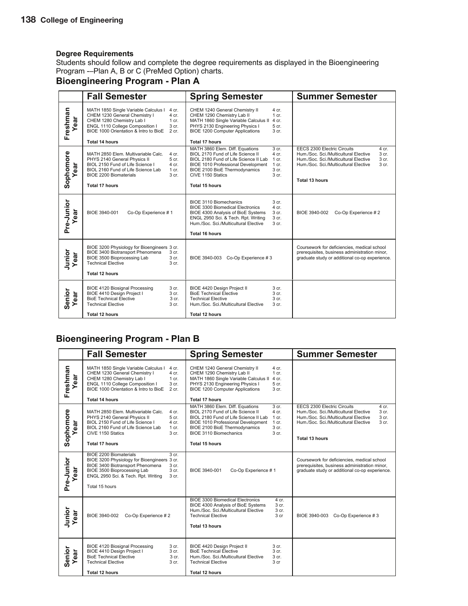Students should follow and complete the degree requirements as displayed in the Bioengineering Program -–Plan A, B or C (PreMed Option) charts.

## **Bioengineering Program - Plan A**

|                   | <b>Fall Semester</b>                                                                                                                                                                                                                                                       | <b>Spring Semester</b>                                                                                                                                                                                                                                                                                | <b>Summer Semester</b>                                                                                                                                                                                                     |
|-------------------|----------------------------------------------------------------------------------------------------------------------------------------------------------------------------------------------------------------------------------------------------------------------------|-------------------------------------------------------------------------------------------------------------------------------------------------------------------------------------------------------------------------------------------------------------------------------------------------------|----------------------------------------------------------------------------------------------------------------------------------------------------------------------------------------------------------------------------|
| Freshman<br>ear   | MATH 1850 Single Variable Calculus I<br>4 cr.<br>CHEM 1230 General Chemistry I<br>4 cr.<br>CHEM 1280 Chemistry Lab I<br>$1$ cr.<br>ENGL 1110 College Composition I<br>3 cr.<br>BIOE 1000 Orientation & Intro to BioE<br>$2$ cr.<br><b>Total 14 hours</b>                   | CHEM 1240 General Chemistry II<br>4 cr.<br>CHEM 1290 Chemistry Lab II<br>$1$ cr.<br>MATH 1860 Single Variable Calculus II<br>4 cr.<br>PHYS 2130 Engineering Physics I<br>5 cr.<br><b>BIOE 1200 Computer Applications</b><br>3 cr.<br><b>Total 17 hours</b>                                            |                                                                                                                                                                                                                            |
| Sophomore<br>ear  | MATH 2850 Elem. Multivariable Calc.<br>4 cr.<br>PHYS 2140 General Physics II<br>5 <sub>cr.</sub><br>BIOL 2150 Fund of Life Science I<br>4 cr.<br>BIOL 2160 Fund of Life Science Lab<br>1 cr.<br><b>BIOE 2200 Biomaterials</b><br>3 <sub>cr.</sub><br><b>Total 17 hours</b> | MATH 3860 Elem. Diff. Equations<br>3 cr.<br>BIOL 2170 Fund of Life Science II<br>$4$ cr.<br>BIOL 2180 Fund of Life Science II Lab<br>$1 \text{ cr}$ .<br>BIOE 1010 Professional Development<br>1 cr.<br>BIOE 2100 BioE Thermodynamics<br>3 cr.<br>CIVE 1150 Statics<br>3 cr.<br><b>Total 15 hours</b> | <b>EECS 2300 Electric Circuits</b><br>4 cr.<br>Hum./Soc. Sci./Multicultural Elective<br>3 cr.<br>Hum./Soc. Sci./Multicultural Elective<br>3 cr.<br>Hum./Soc. Sci./Multicultural Elective<br>3 cr.<br><b>Total 13 hours</b> |
| Pre-Junior<br>ear | BIOE 3940-001<br>Co-Op Experience #1                                                                                                                                                                                                                                       | BIOE 3110 Biomechanics<br>3 <sub>cr.</sub><br>4 cr.<br><b>BIOE 3300 Biomedical Electronics</b><br>3 cr.<br>BIOE 4300 Analysis of BioE Systems<br>ENGL 2950 Sci. & Tech. Rpt. Writing<br>3 cr.<br>Hum./Soc. Sci./Multicultural Elective<br>3 cr.<br><b>Total 16 hours</b>                              | Co-Op Experience #2<br>BIOE 3940-002                                                                                                                                                                                       |
| Junior<br>ear     | BIOE 3200 Physiology for Bioengineers 3 cr.<br>BIOE 3400 Biotransport Phenomena<br>3 cr.<br>BIOE 3500 Bioprocessing Lab<br>3 cr.<br><b>Technical Elective</b><br>3 cr.<br><b>Total 12 hours</b>                                                                            | BIOE 3940-003 Co-Op Experience #3                                                                                                                                                                                                                                                                     | Coursework for deficiencies, medical school<br>prerequisites, business administration minor,<br>graduate study or additional co-op experience.                                                                             |
| Senior<br>ear     | <b>BIOE 4120 Biosignal Processing</b><br>3 cr.<br>BIOE 4410 Design Project I<br>3 <sub>cr.</sub><br><b>BioE Technical Elective</b><br>3 cr.<br><b>Technical Elective</b><br>3 cr.<br><b>Total 12 hours</b>                                                                 | BIOE 4420 Design Project II<br>3 cr.<br><b>BioE Technical Elective</b><br>3 <sub>cr.</sub><br>$3$ cr.<br><b>Technical Elective</b><br>Hum./Soc. Sci./Multicultural Elective<br>3 cr.<br><b>Total 12 hours</b>                                                                                         |                                                                                                                                                                                                                            |

### **Bioengineering Program - Plan B**

|                   | <b>Fall Semester</b>                                                                                                                                                                                                                                   | <b>Spring Semester</b>                                                                                                                                                                                                                                                                                              | <b>Summer Semester</b>                                                                                                                                                                                                     |
|-------------------|--------------------------------------------------------------------------------------------------------------------------------------------------------------------------------------------------------------------------------------------------------|---------------------------------------------------------------------------------------------------------------------------------------------------------------------------------------------------------------------------------------------------------------------------------------------------------------------|----------------------------------------------------------------------------------------------------------------------------------------------------------------------------------------------------------------------------|
| Freshman<br>ear   | MATH 1850 Single Variable Calculus I<br>4 cr.<br>CHEM 1230 General Chemistry I<br>4 cr.<br>CHEM 1280 Chemistry Lab I<br>1 cr.<br>ENGL 1110 College Composition I<br>3 cr.<br>BIOE 1000 Orientation & Intro to BioE<br>$2$ cr.<br><b>Total 14 hours</b> | CHEM 1240 General Chemistry II<br>4 cr.<br>CHEM 1290 Chemistry Lab II<br>1 cr.<br>MATH 1860 Single Variable Calculus II 4 cr.<br>PHYS 2130 Engineering Physics I<br>5 cr.<br><b>BIOE 1200 Computer Applications</b><br>3 <sub>cr.</sub><br><b>Total 17 hours</b>                                                    |                                                                                                                                                                                                                            |
| Sophomore<br>ear  | MATH 2850 Elem. Multivariable Calc.<br>4 cr.<br>PHYS 2140 General Physics II<br>5 cr.<br>BIOL 2150 Fund of Life Science I<br>4 cr.<br>BIOL 2160 Fund of Life Science Lab<br>1 cr.<br>3 cr.<br>CIVE 1150 Statics<br><b>Total 17 hours</b>               | MATH 3860 Elem. Diff. Equations<br>3 <sub>cr.</sub><br>BIOL 2170 Fund of Life Science II<br>4 cr.<br>BIOL 2180 Fund of Life Science II Lab<br>$1$ cr.<br>$1$ cr.<br>BIOE 1010 Professional Development<br>BIOE 2100 BioE Thermodynamics<br>3 cr.<br><b>BIOE 3110 Biomechanics</b><br>3 cr.<br><b>Total 15 hours</b> | <b>EECS 2300 Electric Circuits</b><br>4 cr.<br>3 cr.<br>Hum./Soc. Sci./Multicultural Elective<br>Hum./Soc. Sci./Multicultural Elective<br>3 cr.<br>Hum./Soc. Sci./Multicultural Elective<br>3 cr.<br><b>Total 13 hours</b> |
| Pre-Junior<br>ear | <b>BIOE 2200 Biomaterials</b><br>3 cr.<br>BIOE 3200 Physiology for Bioengineers 3 cr.<br>BIOE 3400 Biotransport Phenomena<br>$3$ cr.<br>BIOE 3500 Bioprocessing Lab<br>$3$ cr.<br>ENGL 2950 Sci. & Tech. Rpt. Writing<br>3 cr.<br>Total 15 hours       | Co-Op Experience #1<br>BIOE 3940-001                                                                                                                                                                                                                                                                                | Coursework for deficiencies, medical school<br>prerequisites, business administration minor,<br>graduate study or additional co-op experience.                                                                             |
| Junior<br>Year    | BIOE 3940-002<br>Co-Op Experience #2                                                                                                                                                                                                                   | <b>BIOE 3300 Biomedical Electronics</b><br>4 cr.<br>BIOE 4300 Analysis of BioE Systems<br>3 cr.<br>Hum./Soc. Sci./Multicultural Elective<br>3 cr.<br><b>Technical Elective</b><br>3 cr<br>Total 13 hours                                                                                                            | BIOE 3940-003 Co-Op Experience #3                                                                                                                                                                                          |
| Senior<br>ear     | <b>BIOE 4120 Biosignal Processing</b><br>3 cr.<br>BIOE 4410 Design Project I<br>3 cr.<br><b>BioE Technical Elective</b><br>3 cr.<br><b>Technical Elective</b><br>3 cr.<br><b>Total 12 hours</b>                                                        | BIOE 4420 Design Project II<br>3 cr.<br><b>BioE Technical Elective</b><br>3 cr.<br>Hum./Soc. Sci./Multicultural Elective<br>$3$ cr.<br><b>Technical Elective</b><br>3 cr<br><b>Total 12 hours</b>                                                                                                                   |                                                                                                                                                                                                                            |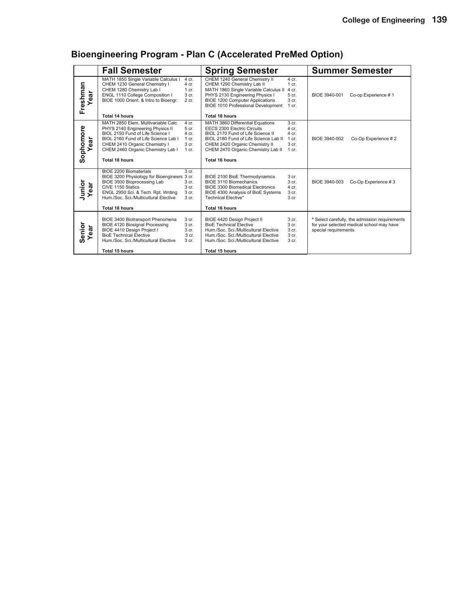## **Bioengineering Program - Plan C (Accelerated PreMed Option)**

|                     | <b>Fall Semester</b>                                                                                                                                                                                                                                                                                                        | <b>Spring Semester</b>                                                                                                                                                                                                                                                                                                 | <b>Summer Semester</b>                                                                                               |
|---------------------|-----------------------------------------------------------------------------------------------------------------------------------------------------------------------------------------------------------------------------------------------------------------------------------------------------------------------------|------------------------------------------------------------------------------------------------------------------------------------------------------------------------------------------------------------------------------------------------------------------------------------------------------------------------|----------------------------------------------------------------------------------------------------------------------|
| Freshman<br>ă<br>قح | MATH 1850 Single Variable Calculus I<br>4 cr.<br>CHEM 1230 General Chemistry I<br>4 cr.<br>CHEM 1280 Chemistry Lab I<br>$1 \text{ cr}$ .<br>ENGL 1110 College Composition I<br>3 <sub>cr.</sub><br>BIOE 1000 Orient. & Intro to Bioengr.<br>$2$ cr.<br>Total 14 hours                                                       | CHEM 1240 General Chemistry II<br>4 cr.<br>CHEM 1290 Chemistry Lab II<br>$1$ cr.<br>MATH 1860 Single Variable Calculus II<br>4 cr.<br>PHYS 2130 Engineering Physics I<br>5 cr.<br><b>BIOE 1200 Computer Applications</b><br>3 <sub>cr.</sub><br><b>BIOE 1010 Professional Development</b><br>$1$ cr.<br>Total 18 hours | BIOE 3940-001<br>Co-op Experience #1                                                                                 |
| Sophomore<br>ear    | MATH 2850 Elem. Multivariable Calc.<br>4 cr.<br>PHYS 2140 Engineering Physics II<br>5 cr.<br>BIOL 2150 Fund of Life Science I<br>4 cr.<br>BIOL 2160 Fund of Life Science Lab I<br>1 cr.<br>CHEM 2410 Organic Chemistry I<br>3 cr.<br>CHEM 2460 Organic Chemistry Lab I<br>1 cr.<br><b>Total 18 hours</b>                    | MATH 3860 Differential Equations<br>3 <sub>cr.</sub><br><b>EECS 2300 Electric Circuits</b><br>4 cr.<br>BIOL 2170 Fund of Life Science II<br>4 cr.<br>BIOL 2180 Fund of Life Science Lab II<br>$1$ cr.<br>CHEM 2420 Organic Chemistry II<br>3 cr.<br>CHEM 2470 Organic Chemistry Lab II<br>1 cr.<br>Total 16 hours      | BIOE 3940-002<br>Co-Op Experience #2                                                                                 |
| Junior<br>ă         | BIOE 2200 Biomaterials<br>3 <sub>cr.</sub><br>BIOE 3200 Physiology for Bioengineers 3 cr.<br>BIOE 3500 Bioprocessing Lab<br>3 cr.<br>CIVE 1150 Statics<br>3 <sub>cr.</sub><br>ENGL 2950 Sci. & Tech. Rpt. Writing<br>3 <sub>cr.</sub><br>Hum./Soc. Sci./Multicultural Elective<br>3 <sub>cr.</sub><br><b>Total 18 hours</b> | BIOE 2100 BioE Thermodynamics<br>3 cr.<br>BIOE 3110 Biomechanics<br>3 <sub>cr.</sub><br>BIOE 3300 Biomedical Electronics<br>4 cr.<br>3 <sub>cr.</sub><br>BIOE 4300 Analysis of BioE Systems<br>Technical Elective*<br>3 <sub>cr</sub><br><b>Total 16 hours</b>                                                         | Co-Op Experience #3<br>BIOE 3940-003                                                                                 |
| Senior<br>ear       | BIOE 3400 Biotransport Phenomena<br>3 <sub>cr.</sub><br>3 <sub>cr.</sub><br><b>BIOE 4120 Biosignal Processing</b><br>BIOE 4410 Design Project I<br>3 <sub>cr.</sub><br><b>BioE Technical Elective</b><br>$3$ cr.<br>Hum./Soc. Sci./Multicultural Elective<br>3 <sub>cr.</sub><br>Total 15 hours                             | BIOE 4420 Design Project II<br>3 <sub>cr.</sub><br><b>BioE Technical Elective</b><br>3 cr.<br>Hum./Soc. Sci./Multicultural Elective<br>3 <sub>cr.</sub><br>3 <sub>cr.</sub><br>Hum./Soc. Sci./Multicultural Elective<br>$3$ cr.<br>Hum./Soc. Sci./Multicultural Elective<br><b>Total 15 hours</b>                      | * Select carefully, the admission requirements<br>for your selected medical school may have<br>special requirements. |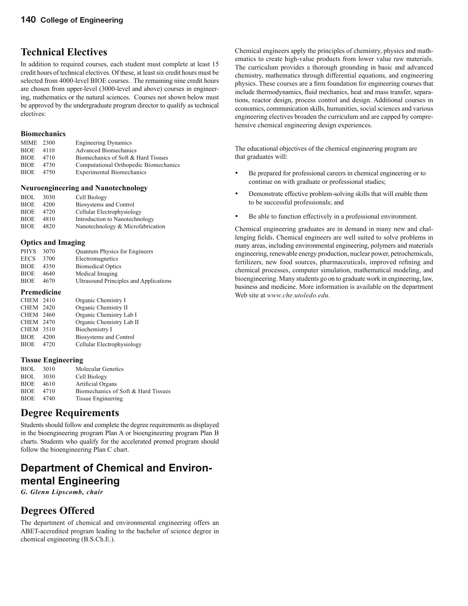## **Technical Electives**

In addition to required courses, each student must complete at least 15 credit hours of technical electives. Of these, at least six credit hours must be selected from 4000-level BIOE courses. The remaining nine credit hours are chosen from upper-level (3000-level and above) courses in engineering, mathematics or the natural sciences. Courses not shown below must be approved by the undergraduate program director to qualify as technical electives:

#### **Biomechanics**

| MIME 2300   |      | <b>Engineering Dynamics</b>           |
|-------------|------|---------------------------------------|
| <b>BIOE</b> | 4110 | <b>Advanced Biomechanics</b>          |
| <b>BIOE</b> | 4710 | Biomechanics of Soft & Hard Tissues   |
| <b>BIOE</b> | 4730 | Computational Orthopedic Biomechanics |
| BIOE        | 4750 | <b>Experimental Biomechanics</b>      |
|             |      |                                       |

#### **Neuroengineering and Nanotechnology**

| <b>BIOL</b> | 3030 | Cell Biology                      |
|-------------|------|-----------------------------------|
| <b>BIOE</b> | 4200 | Biosystems and Control            |
| <b>BIOE</b> | 4720 | Cellular Electrophysiology        |
| <b>BIOE</b> | 4810 | Introduction to Nanotechnology    |
| <b>BIOE</b> | 4820 | Nanotechnology & Microfabrication |

#### **Optics and Imaging**

| <b>PHYS</b> | 3070 | <b>Quantum Physics for Engineers</b>   |
|-------------|------|----------------------------------------|
| <b>EECS</b> | 3700 | Electromagnetics                       |
| <b>BIOE</b> | 4350 | <b>Biomedical Optics</b>               |
| <b>BIOE</b> | 4640 | Medical Imaging                        |
| <b>BIOE</b> | 4670 | Ultrasound Principles and Applications |
|             |      |                                        |

#### **Premedicine**

| CHEM 2410        |      | Organic Chemistry I        |
|------------------|------|----------------------------|
| <b>CHEM 2420</b> |      | Organic Chemistry II       |
| CHEM 2460        |      | Organic Chemistry Lab I    |
| CHEM 2470        |      | Organic Chemistry Lab II   |
| <b>CHEM 3510</b> |      | Biochemistry I             |
| BIOE             | 4200 | Biosystems and Control     |
| BIOE             | 4720 | Cellular Electrophysiology |

#### **Tissue Engineering**

| <b>BIOL</b> | 3010 | <b>Molecular Genetics</b>           |
|-------------|------|-------------------------------------|
| <b>BIOL</b> | 3030 | Cell Biology                        |
| <b>BIOE</b> | 4610 | Artificial Organs                   |
| <b>BIOE</b> | 4710 | Biomechanics of Soft & Hard Tissues |
| <b>BIOE</b> | 4740 | Tissue Engineering                  |
|             |      |                                     |

## **Degree Requirements**

Students should follow and complete the degree requirements as displayed in the bioengineering program Plan A or bioengineering program Plan B charts. Students who qualify for the accelerated premed program should follow the bioengineering Plan C chart.

# **Department of Chemical and Environmental Engineering**

*G. Glenn Lipscomb, chair*

## **Degrees Offered**

The department of chemical and environmental engineering offers an ABET-accredited program leading to the bachelor of science degree in chemical engineering (B.S.Ch.E.).

Chemical engineers apply the principles of chemistry, physics and mathematics to create high-value products from lower value raw materials. The curriculum provides a thorough grounding in basic and advanced chemistry, mathematics through differential equations, and engineering physics. These courses are a firm foundation for engineering courses that include thermodynamics, fluid mechanics, heat and mass transfer, separations, reactor design, process control and design. Additional courses in economics, communication skills, humanities, social sciences and various engineering electives broaden the curriculum and are capped by comprehensive chemical engineering design experiences.

The educational objectives of the chemical engineering program are that graduates will:

- Be prepared for professional careers in chemical engineering or to continue on with graduate or professional studies;
- Demonstrate effective problem-solving skills that will enable them to be successful professionals; and
- Be able to function effectively in a professional environment.

Chemical engineering graduates are in demand in many new and challenging fields. Chemical engineers are well suited to solve problems in many areas, including environmental engineering, polymers and materials engineering, renewable energy production, nuclear power, petrochemicals, fertilizers, new food sources, pharmaceuticals, improved refining and chemical processes, computer simulation, mathematical modeling, and bioengineering. Many students go on to graduate work in engineering, law, business and medicine. More information is available on the department Web site at *www.che.utoledo.edu*.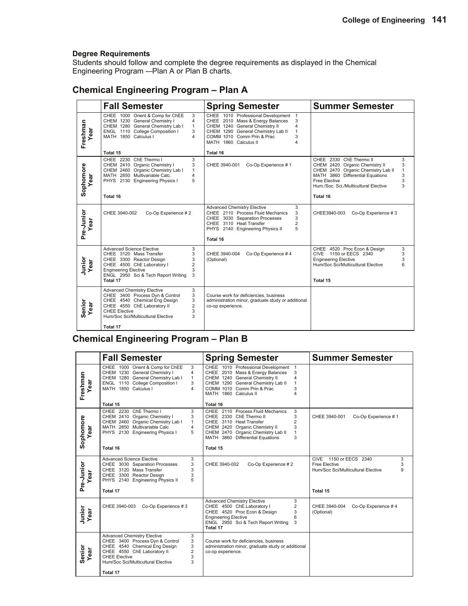Students should follow and complete the degree requirements as displayed in the Chemical Engineering Program -–Plan A or Plan B charts.

### **Chemical Engineering Program – Plan A**

|                    | <b>Fall Semester</b>                                                                                                                                                                                                                                       | <b>Spring Semester</b>                                                                                                                                                                                                                                    | <b>Summer Semester</b>                                                                                                                                                                                                                             |
|--------------------|------------------------------------------------------------------------------------------------------------------------------------------------------------------------------------------------------------------------------------------------------------|-----------------------------------------------------------------------------------------------------------------------------------------------------------------------------------------------------------------------------------------------------------|----------------------------------------------------------------------------------------------------------------------------------------------------------------------------------------------------------------------------------------------------|
| Freshman<br>Year   | 3<br>CHEE 1000 Orient & Comp for ChEE<br>CHEM 1230 General Chemistry I<br>4<br>CHEM 1280 General Chemistry Lab I<br>$\mathbf{1}$<br>ENGL 1110 College Composition I<br>3<br>MATH 1850 Calculus I<br>4<br>Total 15                                          | CHEE 1010 Professional Development 1<br>CHEE 2010 Mass & Energy Balances<br>3<br>CHEM 1240 General Chemistry II<br>$\overline{4}$<br>CHEM 1290 General Chemistry Lab II<br>1<br>COMM 1010 Comm Prin & Prac<br>3<br>MATH 1860 Calculus II<br>4<br>Total 16 |                                                                                                                                                                                                                                                    |
| Sophomore<br>Year  | CHEE 2230 ChE Thermo I<br>3<br>3<br>CHEM 2410 Organic Chemistry I<br>CHEM 2460 Organic Chemistry Lab I<br>$\mathbf{1}$<br>MATH 2850 Multivariable Calc.<br>4<br>PHYS 2130 Engineering Physics I<br>5<br>Total 16                                           | Co-Op Experience #1<br>CHEE 3940-001                                                                                                                                                                                                                      | CHEE 2330 ChE Thermo II<br>3<br>CHEM 2420 Organic Chemistry II<br>3<br>$\mathbf{1}$<br>CHEM 2470 Organic Chemistry Lab II<br>3<br>MATH 3860 Differential Equations<br>3<br>Free Elective<br>3<br>Hum./Soc. Sci./Multicultural Elective<br>Total 16 |
| Pre-Junior<br>Year | CHEE 3940-002<br>Co-Op Experience #2                                                                                                                                                                                                                       | <b>Advanced Chemistry Elective</b><br>3<br>CHEE 2110 Process Fluid Mechanics<br>3<br>CHEE 3030 Separation Processes<br>3<br>$\overline{2}$<br>CHEE 3110 Heat Transfer<br>5<br>PHYS 2140 Engineering Physics II<br>Total 16                                | Co-Op Experience #3<br>CHEE3940-003                                                                                                                                                                                                                |
| Junior<br>Year     | <b>Advanced Science Elective</b><br>3<br>3<br>CHEE 3120 Mass Transfer<br>CHEE 3300 Reactor Design<br>3<br>$\overline{2}$<br>CHEE 4500 ChE Laboratory I<br><b>Engineering Elective</b><br>3<br>ENGL 2950 Sci & Tech Report Writing<br>3<br>Total 17         | CHEE 3940-004<br>Co-Op Experience #4<br>(Optional)                                                                                                                                                                                                        | CHEE 4520 Proc Econ & Design<br>3<br>CIVE 1150 or EECS 2340<br>3<br>3<br><b>Engineering Elective</b><br>6<br>Hum/Soc Sci/Multicultural Elective<br>Total 15                                                                                        |
| Senior<br>Year     | 3<br><b>Advanced Chemistry Elective</b><br>3<br>CHEE 3400 Process Dyn & Control<br>CHEE 4540 Chemical Eng Design<br>3<br>CHEE 4550 ChE Laboratory II<br>$\overline{2}$<br>3<br><b>CHEE Elective</b><br>3<br>Hum/Soc Sci/Multicultural Elective<br>Total 17 | Course work for deficiencies, business<br>administration minor, graduate study or additional<br>co-op experience.                                                                                                                                         |                                                                                                                                                                                                                                                    |

### **Chemical Engineering Program – Plan B**

|                    | <b>Fall Semester</b>                                                                                                                                                                                                                           | <b>Spring Semester</b>                                                                                                                                                                                                                                            | <b>Summer Semester</b>                                                                                 |
|--------------------|------------------------------------------------------------------------------------------------------------------------------------------------------------------------------------------------------------------------------------------------|-------------------------------------------------------------------------------------------------------------------------------------------------------------------------------------------------------------------------------------------------------------------|--------------------------------------------------------------------------------------------------------|
| Freshman<br>Year   | CHEE 1000 Orient & Comp for ChEE<br>3<br>CHEM 1230 General Chemistry I<br>4<br>CHEM 1280 General Chemistry Lab I<br>$\mathbf{1}$<br>ENGL 1110 College Composition I<br>3<br>MATH 1850 Calculus I<br>4                                          | CHEE 1010 Professional Development 1<br>CHEE 2010 Mass & Energy Balances<br>3<br>CHEM 1240 General Chemistry II<br>$\overline{\mathbf{4}}$<br>CHEM 1290 General Chemistry Lab II<br>$\mathbf{1}$<br>COMM 1010 Comm Prin & Prac<br>3<br>MATH 1860 Calculus II<br>4 |                                                                                                        |
|                    | Total 15                                                                                                                                                                                                                                       | Total 16                                                                                                                                                                                                                                                          |                                                                                                        |
| Sophomore<br>Year  | CHEE 2230 ChE Thermo I<br>3<br>3<br>CHEM 2410 Organic Chemistry I<br>CHEM 2460 Organic Chemistry Lab I<br>$\mathbf{1}$<br>MATH 2850 Multivariable Calc<br>4<br>PHYS 2130 Engineering Physics I<br>5                                            | CHEE 2110 Process Fluid Mechanics<br>3<br>CHEE 2330 ChE Thermo II<br>3<br>$\overline{2}$<br>CHEE 3110 Heat Transfer<br>CHEM 2420 Organic Chemistry II<br>3<br>CHEM 2470 Organic Chemistry Lab II<br>$\mathbf{1}$<br>MATH 3860 Differential Equations<br>3         | CHEE 3940-001<br>Co-Op Experience #1                                                                   |
|                    | Total 16                                                                                                                                                                                                                                       | Total 15                                                                                                                                                                                                                                                          |                                                                                                        |
| Pre-Junior<br>Year | <b>Advanced Science Elective</b><br>3<br>3<br>CHEE 3030 Separation Processes<br>3<br>CHEE 3120 Mass Transfer<br>3<br>CHEE 3300 Reactor Design<br>PHYS 2140 Engineering Physics II<br>5                                                         | Co-Op Experience #2<br>CHEE 3940-002                                                                                                                                                                                                                              | CIVE<br>1150 or EECS 2340<br>3<br><b>Free Elective</b><br>3<br>Hum/Soc Sci/Multicultural Elective<br>9 |
|                    | Total 17                                                                                                                                                                                                                                       |                                                                                                                                                                                                                                                                   | Total 15                                                                                               |
| Junior<br>Year     | CHEE 3940-003<br>Co-Op Experience #3                                                                                                                                                                                                           | <b>Advanced Chemistry Elective</b><br>3<br>$\overline{2}$<br>CHEE 4500 ChE.Laboratory I<br>CHEE 4520 Proc Econ & Design<br>3<br><b>Engineering Elective</b><br>6<br>ENGL 2950 Sci & Tech Report Writing<br>3<br>Total 17                                          | CHEE 3940-004<br>Co-Op Experience #4<br>(Optional)                                                     |
| Senior<br>Year     | 3<br><b>Advanced Chemistry Elective</b><br>CHEE 3400 Process Dyn & Control<br>3<br>3<br>CHEE 4540 Chemical Eng Design<br>$\overline{2}$<br>CHEE 4550 ChE Laboratory II<br>3<br><b>CHEE Elective</b><br>3<br>Hum/Soc Sci/Multicultural Elective | Course work for deficiencies, business<br>administration minor, graduate study or additional<br>co-op experience.                                                                                                                                                 |                                                                                                        |
|                    | Total 17                                                                                                                                                                                                                                       |                                                                                                                                                                                                                                                                   |                                                                                                        |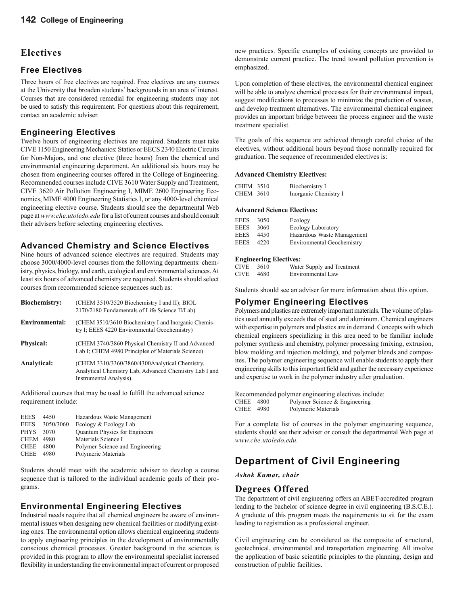### **Electives**

#### **Free Electives**

Three hours of free electives are required. Free electives are any courses at the University that broaden students' backgrounds in an area of interest. Courses that are considered remedial for engineering students may not be used to satisfy this requirement. For questions about this requirement, contact an academic adviser.

#### **Engineering Electives**

Twelve hours of engineering electives are required. Students must take CIVE 1150 Engineering Mechanics: Statics or EECS 2340 Electric Circuits for Non-Majors, and one elective (three hours) from the chemical and environmental engineering department. An additional six hours may be chosen from engineering courses offered in the College of Engineering. Recommended courses include CIVE 3610 Water Supply and Treatment, CIVE 3620 Air Pollution Engineering I, MIME 2600 Engineering Economics, MIME 4000 Engineering Statistics I, or any 4000-level chemical engineering elective course. Students should see the departmental Web page at *www.che.utoledo.edu* for a list of current courses and should consult their advisers before selecting engineering electives.

#### **Advanced Chemistry and Science Electives**

Nine hours of advanced science electives are required. Students may choose 3000/4000-level courses from the following departments: chemistry, physics, biology, and earth, ecological and environmental sciences. At least six hours of advanced chemistry are required. Students should select courses from recommended science sequences such as:

| Biochemistry:         | (CHEM 3510/3520 Biochemistry I and II); BIOL<br>2170/2180 Fundamentals of Life Science II/Lab)                                      |
|-----------------------|-------------------------------------------------------------------------------------------------------------------------------------|
| <b>Environmental:</b> | (CHEM 3510/3610 Biochemistry I and Inorganic Chemis-<br>try I; EEES 4220 Environmental Geochemistry)                                |
| <b>Physical:</b>      | (CHEM 3740/3860 Physical Chemistry II and Advanced<br>Lab I; CHEM 4980 Principles of Materials Science)                             |
| Analytical:           | (CHEM 3310/3360/3860/4300Analytical Chemistry,<br>Analytical Chemistry Lab, Advanced Chemistry Lab I and<br>Instrumental Analysis). |

Additional courses that may be used to fulfill the advanced science requirement include:

| <b>EEES</b>      | 4450      | Hazardous Waste Management      |
|------------------|-----------|---------------------------------|
| <b>EEES</b>      | 3050/3060 | Ecology & Ecology Lab           |
| <b>PHYS</b>      | 3070      | Quantum Physics for Engineers   |
| <b>CHEM 4980</b> |           | Materials Science I             |
| <b>CHEE</b>      | 4800      | Polymer Science and Engineering |
| CHEE             | 4980      | Polymeric Materials             |
|                  |           |                                 |

Students should meet with the academic adviser to develop a course sequence that is tailored to the individual academic goals of their programs.

#### **Environmental Engineering Electives**

Industrial needs require that all chemical engineers be aware of environmental issues when designing new chemical facilities or modifying existing ones. The environmental option allows chemical engineering students to apply engineering principles in the development of environmentally conscious chemical processes. Greater background in the sciences is provided in this program to allow the environmental specialist increased flexibility in understanding the environmental impact of current or proposed new practices. Specific examples of existing concepts are provided to demonstrate current practice. The trend toward pollution prevention is emphasized.

Upon completion of these electives, the environmental chemical engineer will be able to analyze chemical processes for their environmental impact, suggest modifications to processes to minimize the production of wastes, and develop treatment alternatives. The environmental chemical engineer provides an important bridge between the process engineer and the waste treatment specialist.

The goals of this sequence are achieved through careful choice of the electives, without additional hours beyond those normally required for graduation. The sequence of recommended electives is:

#### **Advanced Chemistry Electives:**

| <b>CHEM 3510</b> | Biochemistry I        |
|------------------|-----------------------|
| <b>CHEM 3610</b> | Inorganic Chemistry I |

#### **Advanced Science Electives:**

| EEES        | 3050 | Ecology                           |
|-------------|------|-----------------------------------|
| <b>EEES</b> | 3060 | Ecology Laboratory                |
| <b>EEES</b> | 4450 | Hazardous Waste Management        |
| <b>EEES</b> | 4220 | <b>Environmental Geochemistry</b> |

#### **Engineering Electives:**

| <b>CIVE</b> | 3610   | Water Supply and Treatment |
|-------------|--------|----------------------------|
| CIVE.       | - 4680 | Environmental Law          |

Students should see an adviser for more information about this option.

#### **Polymer Engineering Electives**

Polymers and plastics are extremely important materials. The volume of plastics used annually exceeds that of steel and aluminum. Chemical engineers with expertise in polymers and plastics are in demand. Concepts with which chemical engineers specializing in this area need to be familiar include polymer synthesis and chemistry, polymer processing (mixing, extrusion, blow molding and injection molding), and polymer blends and composites. The polymer engineering sequence will enable students to apply their engineering skills to this important field and gather the necessary experience and expertise to work in the polymer industry after graduation.

```
Recommended polymer engineering electives include:
CHEE 4800 Polymer Science & Engineering<br>CHEE 4980 Polymeric Materials
                       Polymeric Materials
```
For a complete list of courses in the polymer engineering sequence, students should see their adviser or consult the departmental Web page at *www.che.utoledo.edu.*

## **Department of Civil Engineering**

*Ashok Kumar, chair*

#### **Degrees Offered**

The department of civil engineering offers an ABET-accredited program leading to the bachelor of science degree in civil engineering (B.S.C.E.). A graduate of this program meets the requirements to sit for the exam leading to registration as a professional engineer.

Civil engineering can be considered as the composite of structural, geotechnical, environmental and transportation engineering. All involve the application of basic scientific principles to the planning, design and construction of public facilities.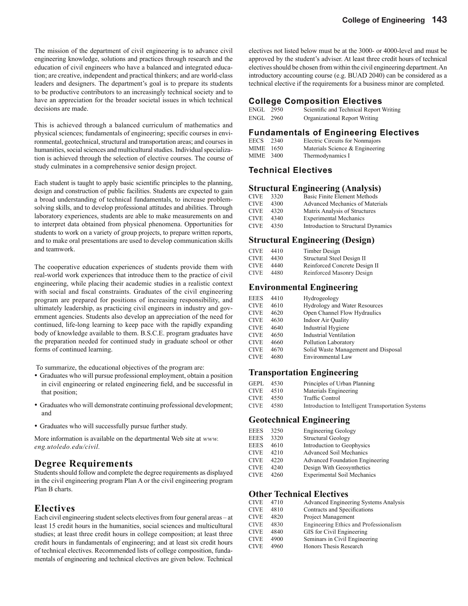The mission of the department of civil engineering is to advance civil engineering knowledge, solutions and practices through research and the education of civil engineers who have a balanced and integrated education; are creative, independent and practical thinkers; and are world-class leaders and designers. The department's goal is to prepare its students to be productive contributors to an increasingly technical society and to have an appreciation for the broader societal issues in which technical decisions are made.

This is achieved through a balanced curriculum of mathematics and physical sciences; fundamentals of engineering; specific courses in environmental, geotechnical, structural and transportation areas; and courses in humanities, social sciences and multicultural studies. Individual specialization is achieved through the selection of elective courses. The course of study culminates in a comprehensive senior design project.

Each student is taught to apply basic scientific principles to the planning, design and construction of public facilities. Students are expected to gain a broad understanding of technical fundamentals, to increase problemsolving skills, and to develop professional attitudes and abilities. Through laboratory experiences, students are able to make measurements on and to interpret data obtained from physical phenomena. Opportunities for students to work on a variety of group projects, to prepare written reports, and to make oral presentations are used to develop communication skills and teamwork.

The cooperative education experiences of students provide them with real-world work experiences that introduce them to the practice of civil engineering, while placing their academic studies in a realistic context with social and fiscal constraints. Graduates of the civil engineering program are prepared for positions of increasing responsibility, and ultimately leadership, as practicing civil engineers in industry and government agencies. Students also develop an appreciation of the need for continued, life-long learning to keep pace with the rapidly expanding body of knowledge available to them. B.S.C.E. program graduates have the preparation needed for continued study in graduate school or other forms of continued learning.

To summarize, the educational objectives of the program are:

- Graduates who will pursue professional employment, obtain a position in civil engineering or related engineering field, and be successful in that position;
- Graduates who will demonstrate continuing professional development; and
- Graduates who will successfully pursue further study.

More information is available on the departmental Web site at *www. eng.utoledo.edu/civil.*

#### **Degree Requirements**

Students should follow and complete the degree requirements as displayed in the civil engineering program Plan A or the civil engineering program Plan B charts.

#### **Electives**

Each civil engineering student selects electives from four general areas – at least 15 credit hours in the humanities, social sciences and multicultural studies; at least three credit hours in college composition; at least three credit hours in fundamentals of engineering; and at least six credit hours of technical electives. Recommended lists of college composition, fundamentals of engineering and technical electives are given below. Technical electives not listed below must be at the 3000- or 4000-level and must be approved by the student's adviser. At least three credit hours of technical electives should be chosen from within the civil engineering department. An introductory accounting course (e.g. BUAD 2040) can be considered as a technical elective if the requirements for a business minor are completed.

#### **College Composition Electives**

| ENGL 2950 | Scientific and Technical Report Writing |
|-----------|-----------------------------------------|
| ENGL 2960 | Organizational Report Writing           |

#### **Fundamentals of Engineering Electives**

| EECS | 2340   | Electric Circuits for Nonmajors |
|------|--------|---------------------------------|
| MIME | - 1650 | Materials Science & Engineering |
| MIME | -3400  | Thermodynamics I                |

#### **Technical Electives**

#### **Structural Engineering (Analysis)**

| <b>CIVE</b> | 3320 | Basic Finite Element Methods        |
|-------------|------|-------------------------------------|
| <b>CIVE</b> | 4300 | Advanced Mechanics of Materials     |
| <b>CIVE</b> | 4320 | Matrix Analysis of Structures       |
| <b>CIVE</b> | 4340 | <b>Experimental Mechanics</b>       |
| <b>CIVE</b> | 4350 | Introduction to Structural Dynamics |

#### **Structural Engineering (Design)**

| CIVE  | 4410 | Timber Design                 |
|-------|------|-------------------------------|
| CIVE. | 4430 | Structural Steel Design II    |
| CIVE  | 4440 | Reinforced Concrete Design II |
| CIVE  | 4480 | Reinforced Masonry Design     |

#### **Environmental Engineering**

| <b>EEES</b> | 4410 | Hydrogeology                         |
|-------------|------|--------------------------------------|
| <b>CIVE</b> | 4610 | <b>Hydrology and Water Resources</b> |
| <b>CIVE</b> | 4620 | Open Channel Flow Hydraulics         |
| <b>CIVE</b> | 4630 | <b>Indoor Air Quality</b>            |
| <b>CIVE</b> | 4640 | Industrial Hygiene                   |
| <b>CIVE</b> | 4650 | <b>Industrial Ventilation</b>        |
| <b>CIVE</b> | 4660 | Pollution Laboratory                 |
| <b>CIVE</b> | 4670 | Solid Waste Management and Disposal  |
| <b>CIVE</b> | 4680 | Environmental Law                    |
|             |      |                                      |

#### **Transportation Engineering**

| <b>GEPL</b> | 4530 | Principles of Urban Planning                       |
|-------------|------|----------------------------------------------------|
| <b>CIVE</b> | 4510 | Materials Engineering                              |
| <b>CIVE</b> | 4550 | Traffic Control                                    |
| <b>CIVE</b> | 4580 | Introduction to Intelligent Transportation Systems |

#### **Geotechnical Engineering**

| <b>EEES</b> | 3250 | <b>Engineering Geology</b>             |
|-------------|------|----------------------------------------|
| <b>EEES</b> | 3320 | <b>Structural Geology</b>              |
| <b>EEES</b> | 4610 | Introduction to Geophysics             |
| <b>CIVE</b> | 4210 | <b>Advanced Soil Mechanics</b>         |
| CIVE.       | 4220 | <b>Advanced Foundation Engineering</b> |
| CIVE        | 4240 | Design With Geosynthetics              |
| CIVE        | 4260 | <b>Experimental Soil Mechanics</b>     |

#### **Other Technical Electives**

| <b>CIVE</b> | 4710 | Advanced Engineering Systems Analysis  |
|-------------|------|----------------------------------------|
| <b>CIVE</b> | 4810 | Contracts and Specifications           |
| <b>CIVE</b> | 4820 | Project Management                     |
| <b>CIVE</b> | 4830 | Engineering Ethics and Professionalism |
| <b>CIVE</b> | 4840 | GIS for Civil Engineering              |
| <b>CIVE</b> | 4900 | Seminars in Civil Engineering          |
| <b>CIVE</b> | 4960 | Honors Thesis Research                 |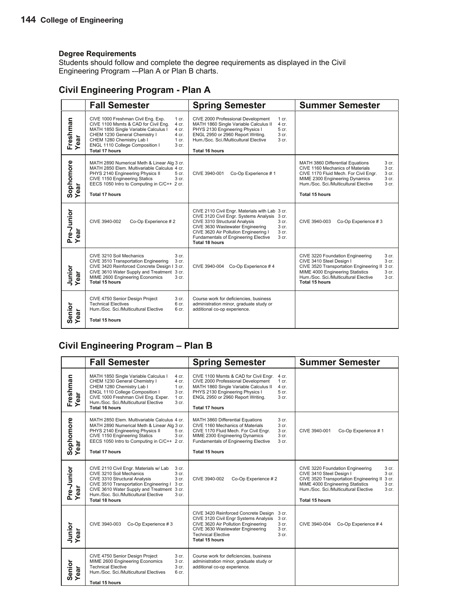Students should follow and complete the degree requirements as displayed in the Civil Engineering Program -–Plan A or Plan B charts.

### **Civil Engineering Program - Plan A**

|                          | <b>Fall Semester</b>                                                                                                                                                                                                                                                                        | <b>Spring Semester</b>                                                                                                                                                                                                                                                                                            | <b>Summer Semester</b>                                                                                                                                                                                                                                                               |
|--------------------------|---------------------------------------------------------------------------------------------------------------------------------------------------------------------------------------------------------------------------------------------------------------------------------------------|-------------------------------------------------------------------------------------------------------------------------------------------------------------------------------------------------------------------------------------------------------------------------------------------------------------------|--------------------------------------------------------------------------------------------------------------------------------------------------------------------------------------------------------------------------------------------------------------------------------------|
| Freshman<br>Year         | CIVE 1000 Freshman Civil Eng. Exp.<br>1 cr.<br>CIVE 1100 Msmts & CAD for Civil Eng.<br>4 cr.<br>MATH 1850 Single Variable Calculus I<br>4 cr.<br>CHEM 1230 General Chemistry I<br>4 cr.<br>CHEM 1280 Chemistry Lab I<br>1 cr.<br>ENGL 1110 College Composition I<br>3 cr.<br>Total 17 hours | CIVE 2000 Professional Development<br>1 cr.<br>MATH 1860 Single Variable Calculus II<br>4 cr.<br>PHYS 2130 Engineering Physics I<br>5 cr.<br>ENGL 2950 or 2960 Report Writing.<br>3 cr.<br>Hum./Soc. Sci./Multicultural Elective<br>3 cr.<br><b>Total 16 hours</b>                                                |                                                                                                                                                                                                                                                                                      |
| Sophomore<br>Year<br>ear | MATH 2890 Numerical Meth & Linear Alg 3 cr.<br>MATH 2850 Elem. Multivariable Calculus 4 cr.<br>PHYS 2140 Engineering Physics II<br>5 cr.<br>CIVE 1150 Engineering Statics<br>3 cr.<br>EECS 1050 Intro to Computing in C/C++ 2 cr.<br>Total 17 hours                                         | Co-Op Experience #1<br>CIVE 3940-001                                                                                                                                                                                                                                                                              | MATH 3860 Differential Equations<br>3 cr.<br>CIVE 1160 Mechanics of Materials<br>3 cr.<br>CIVE 1170 Fluid Mech. For Civil Engr.<br>3 cr.<br>MIME 2300 Engineering Dynamics<br>3 <sub>cr.</sub><br>Hum /Soc. Sci /Multicultural Elective<br>3 <sub>cr.</sub><br><b>Total 15 hours</b> |
| Pre-Junior<br>Year       | CIVE 3940-002<br>Co-Op Experience #2                                                                                                                                                                                                                                                        | CIVE 2110 Civil Engr. Materials with Lab 3 cr.<br>CIVE 3120 Civil Engr. Systems Analysis 3 cr.<br>CIVE 3310 Structural Analysis<br>3 cr.<br>CIVE 3630 Wastewater Engineering<br>3 cr.<br>CIVE 3620 Air Pollution Engineering I<br>3 cr.<br>Fundamentals of Engineering Elective<br>3 cr.<br><b>Total 18 hours</b> | Co-Op Experience #3<br>CIVE 3940-003                                                                                                                                                                                                                                                 |
| Junior<br>Year           | CIVE 3210 Soil Mechanics<br>3 cr.<br>CIVE 3510 Transportation Engineering<br>3 cr.<br>CIVE 3420 Reinforced Concrete Design I 3 cr.<br>CIVE 3610 Water Supply and Treatment 3 cr.<br>MIME 2600 Engineering Economics<br>3 cr.<br>Total 15 hours                                              | Co-Op Experience #4<br>CIVE 3940-004                                                                                                                                                                                                                                                                              | CIVE 3220 Foundation Engineering<br>3 cr.<br>CIVE 3410 Steel Design I<br>3 cr.<br>CIVE 3520 Transportation Engineering II 3 cr.<br>MIME 4000 Engineering Statistics<br>3 cr.<br>Hum./Soc. Sci./Multicultural Elective<br>3 cr.<br><b>Total 15 hours</b>                              |
| Senior<br>Year<br>ear    | CIVE 4750 Senior Design Project<br>3 cr.<br><b>Technical Electives</b><br>6 cr.<br>Hum./Soc. Sci./Multicultural Elective<br>6 cr.<br><b>Total 15 hours</b>                                                                                                                                  | Course work for deficiencies, business<br>administration minor, graduate study or<br>additional co-op experience.                                                                                                                                                                                                 |                                                                                                                                                                                                                                                                                      |

## **Civil Engineering Program – Plan B**

|                             | <b>Fall Semester</b>                                                                                                                                                                                                                                                                                        | <b>Spring Semester</b>                                                                                                                                                                                                                                                              | <b>Summer Semester</b>                                                                                                                                                                                                                                                |
|-----------------------------|-------------------------------------------------------------------------------------------------------------------------------------------------------------------------------------------------------------------------------------------------------------------------------------------------------------|-------------------------------------------------------------------------------------------------------------------------------------------------------------------------------------------------------------------------------------------------------------------------------------|-----------------------------------------------------------------------------------------------------------------------------------------------------------------------------------------------------------------------------------------------------------------------|
| Freshman<br>Year            | MATH 1850 Single Variable Calculus I<br>4 cr.<br>CHEM 1230 General Chemistry I<br>4 cr.<br>CHEM 1280 Chemistry Lab I<br>$1$ cr.<br>ENGL 1110 College Composition I<br>3 cr.<br>CIVE 1000 Freshman Civil Eng. Exper.<br>1 cr.<br>Hum./Soc. Sci./Multicultural Elective<br>3 <sub>cr.</sub><br>Total 16 hours | CIVE 1100 Msmts & CAD for Civil Engr.<br>4 cr.<br>CIVE 2000 Professional Development<br>$1$ cr.<br>MATH 1860 Single Variable Calculus II<br>4 cr.<br>PHYS 2130 Engineering Physics I<br>5 cr.<br>ENGL 2950 or 2960 Report Writing.<br>$3$ cr.<br><b>Total 17 hours</b>              |                                                                                                                                                                                                                                                                       |
| Sophomore<br>Year<br>ă<br>Ö | MATH 2850 Elem. Multivariable Calculus 4 cr.<br>MATH 2890 Numerical Meth & Linear Alg 3 cr.<br>PHYS 2140 Engineering Physics II<br>5 cr.<br>CIVE 1150 Engineering Statics<br>3 cr.<br>EECS 1050 Intro to Computing in C/C++ 2 cr.<br><b>Total 17 hours</b>                                                  | MATH 3860 Differential Equations<br>3 cr.<br>CIVE 1160 Mechanics of Materials<br>3 <sub>cr.</sub><br>CIVE 1170 Fluid Mech. For Civil Engr.<br>3 cr.<br>MIME 2300 Engineering Dynamics<br>3 cr.<br><b>Fundamentals of Engineering Elective</b><br>3 <sub>cr.</sub><br>Total 15 hours | Co-Op Experience #1<br>CIVE 3940-001                                                                                                                                                                                                                                  |
| Pre-Junior<br>Year          | CIVE 2110 Civil Engr. Materials w/ Lab<br>3 cr.<br>CIVE 3210 Soil Mechanics<br>3 cr.<br>CIVE 3310 Structural Analysis<br>3 cr.<br>CIVE 3510 Transportation Engineering I<br>3 cr.<br>CIVE 3610 Water Supply and Treatment 3 cr.<br>Hum./Soc. Sci./Multicultural Elective<br>3 cr.<br>Total 18 hours         | CIVE 3940-002<br>Co-Op Experience #2                                                                                                                                                                                                                                                | CIVE 3220 Foundation Engineering<br>3 cr.<br>CIVE 3410 Steel Design I<br>3 cr.<br>CIVE 3520 Transportation Engineering II<br>3 cr.<br>MIME 4000 Engineering Statistics<br>3 cr.<br>Hum./Soc. Sci./Multicultural Elective<br>3 <sub>cr.</sub><br><b>Total 15 hours</b> |
| Junior<br>Year              | CIVE 3940-003<br>Co-Op Experience #3                                                                                                                                                                                                                                                                        | CIVE 3420 Reinforced Concrete Design<br>3 cr.<br>CIVE 3120 Civil Engr Systems Analysis<br>3 cr.<br>CIVE 3620 Air Pollution Engineering<br>3 cr.<br>CIVE 3630 Wastewater Engineering<br>3 cr.<br><b>Technical Elective</b><br>3 cr.<br>Total 15 hours                                | CIVE 3940-004<br>Co-Op Experience #4                                                                                                                                                                                                                                  |
| Senior<br>Year<br>ear       | CIVE 4750 Senior Design Project<br>3 cr.<br>MIME 2600 Engineering Economics<br>3 cr.<br><b>Technical Elective</b><br>3 cr.<br>6 cr.<br>Hum./Soc. Sci./Multicultural Electives<br><b>Total 15 hours</b>                                                                                                      | Course work for deficiencies, business<br>administration minor, graduate study or<br>additional co-op experience.                                                                                                                                                                   |                                                                                                                                                                                                                                                                       |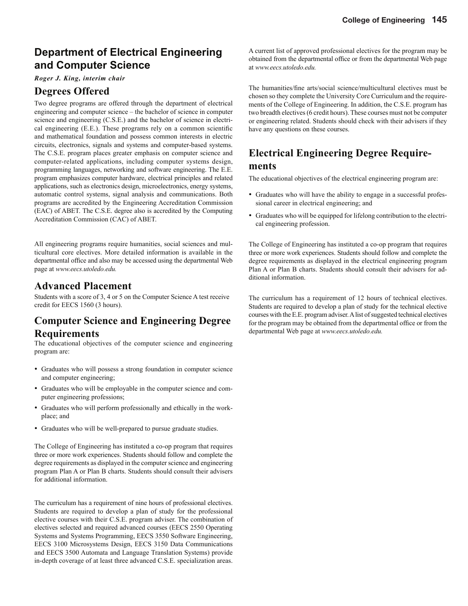## **Department of Electrical Engineering and Computer Science**

#### *Roger J. King, interim chair*

### **Degrees Offered**

Two degree programs are offered through the department of electrical engineering and computer science – the bachelor of science in computer science and engineering (C.S.E.) and the bachelor of science in electrical engineering  $(E.E.)$ . These programs rely on a common scientific and mathematical foundation and possess common interests in electric circuits, electronics, signals and systems and computer-based systems. The C.S.E. program places greater emphasis on computer science and computer-related applications, including computer systems design, programming languages, networking and software engineering. The E.E. program emphasizes computer hardware, electrical principles and related applications, such as electronics design, microelectronics, energy systems, automatic control systems, signal analysis and communications. Both programs are accredited by the Engineering Accreditation Commission (EAC) of ABET. The C.S.E. degree also is accredited by the Computing Accreditation Commission (CAC) of ABET.

All engineering programs require humanities, social sciences and multicultural core electives. More detailed information is available in the departmental office and also may be accessed using the departmental Web page at *www.eecs.utoledo.edu.*

### **Advanced Placement**

Students with a score of 3, 4 or 5 on the Computer Science A test receive credit for EECS 1560 (3 hours).

## **Computer Science and Engineering Degree Requirements**

The educational objectives of the computer science and engineering program are:

- Graduates who will possess a strong foundation in computer science and computer engineering;
- Graduates who will be employable in the computer science and computer engineering professions;
- Graduates who will perform professionally and ethically in the workplace; and
- Graduates who will be well-prepared to pursue graduate studies.

The College of Engineering has instituted a co-op program that requires three or more work experiences. Students should follow and complete the degree requirements as displayed in the computer science and engineering program Plan A or Plan B charts. Students should consult their advisers for additional information.

The curriculum has a requirement of nine hours of professional electives. Students are required to develop a plan of study for the professional elective courses with their C.S.E. program adviser. The combination of electives selected and required advanced courses (EECS 2550 Operating Systems and Systems Programming, EECS 3550 Software Engineering, EECS 3100 Microsystems Design, EECS 3150 Data Communications and EECS 3500 Automata and Language Translation Systems) provide in-depth coverage of at least three advanced C.S.E. specialization areas.

A current list of approved professional electives for the program may be obtained from the departmental office or from the departmental Web page at *www.eecs.utoledo.edu.*

The humanities/fine arts/social science/multicultural electives must be chosen so they complete the University Core Curriculum and the requirements of the College of Engineering. In addition, the C.S.E. program has two breadth electives (6 credit hours). These courses must not be computer or engineering related. Students should check with their advisers if they have any questions on these courses.

## **Electrical Engineering Degree Requirements**

The educational objectives of the electrical engineering program are:

- Graduates who will have the ability to engage in a successful professional career in electrical engineering; and
- Graduates who will be equipped for lifelong contribution to the electrical engineering profession.

The College of Engineering has instituted a co-op program that requires three or more work experiences. Students should follow and complete the degree requirements as displayed in the electrical engineering program Plan A or Plan B charts. Students should consult their advisers for additional information.

The curriculum has a requirement of 12 hours of technical electives. Students are required to develop a plan of study for the technical elective courses with the E.E. program adviser. A list of suggested technical electives for the program may be obtained from the departmental office or from the departmental Web page at *www.eecs.utoledo.edu.*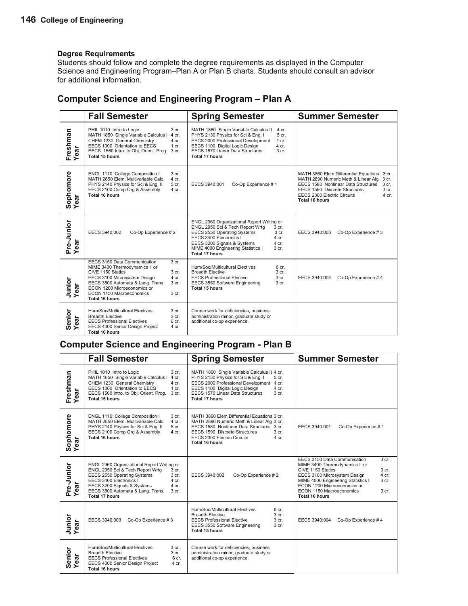Students should follow and complete the degree requirements as displayed in the Computer Science and Engineering Program–Plan A or Plan B charts. Students should consult an advisor for additional information.

|                                      | <b>Fall Semester</b>                                                                                                                                                                                                                                                                                    | <b>Spring Semester</b>                                                                                                                                                                                                                                                                             | <b>Summer Semester</b>                                                                                                                                                                                                                                                  |
|--------------------------------------|---------------------------------------------------------------------------------------------------------------------------------------------------------------------------------------------------------------------------------------------------------------------------------------------------------|----------------------------------------------------------------------------------------------------------------------------------------------------------------------------------------------------------------------------------------------------------------------------------------------------|-------------------------------------------------------------------------------------------------------------------------------------------------------------------------------------------------------------------------------------------------------------------------|
| Freshman<br>Year<br>ᢐ<br>قة          | PHIL 1010 Intro to Logic<br>3 cr.<br>MATH 1850 Single Variable Calculus I<br>4 cr.<br>CHEM 1230 General Chemistry I<br>4 cr.<br>EECS 1000 Orientation to EECS<br>$1$ cr.<br>EECS 1560 Intro. to Obj. Orient. Prog.<br>3 cr.<br>Total 15 hours                                                           | MATH 1860 Single Variable Calculus II<br>4 cr.<br>PHYS 2130 Physics for Sci & Eng. I<br>5 cr.<br>EECS 2000 Professional Development<br>$1$ cr.<br>EECS 1100 Digital Logic Design<br>4 cr.<br>EECS 1570 Linear Data Structures<br>3 <sub>cr.</sub><br>Total 17 hours                                |                                                                                                                                                                                                                                                                         |
| Sophomore<br>Year                    | ENGL 1110 College Composition I<br>3 <sub>cr.</sub><br>MATH 2850 Elem. Multivariable Calc.<br>4 cr.<br>PHYS 2140 Physics for Sci & Eng. II<br>5 cr.<br>EECS 2100 Comp Org & Assembly<br>4 cr.<br>Total 16 hours                                                                                         | Co-Op Experience #1<br>EECS 3940:001                                                                                                                                                                                                                                                               | MATH 3860 Elem Differential Equations 3 cr.<br>MATH 2890 Numeric Meth & Linear Alg<br>3 cr.<br>EECS 1580 Nonlinear Data Structures<br>3 <sub>cr.</sub><br>EECS 1590 Discrete Structures<br>3 <sub>cr.</sub><br>EECS 2300 Electric Circuits<br>$4$ cr.<br>Total 16 hours |
| Pre-Junior<br>Year<br>ar             | EECS 3940:002<br>Co-Op Experience #2                                                                                                                                                                                                                                                                    | ENGL 2960 Organizational Report Writing or<br>ENGL 2950 Sci & Tech Report Wrtg<br>3 cr.<br>EECS 2550 Operating Systems<br>3 <sub>cr.</sub><br>EECS 3400 Electronics I<br>4 cr.<br>EECS 3200 Signals & Systems<br>4 cr.<br>MIME 4000 Engineering Statistics I<br>3 <sub>cr.</sub><br>Total 17 hours | EECS 3940:003<br>Co-Op Experience #3                                                                                                                                                                                                                                    |
| Junior<br>Year<br>ă<br>ق             | EECS 3150 Data Communication<br>3 <sub>cr.</sub><br>MIME 3400 Thermodynamics I or<br>CIVE 1150 Statics<br>3 <sub>cr.</sub><br>4 cr.<br>EECS 3100 Microsystem Design<br>EECS 3500 Automata & Lang. Trans.<br>3 cr.<br>ECON 1200 Microeconomics or<br>ECON 1150 Macroeconomics<br>3 cr.<br>Total 16 hours | Hum/Soc/Multicultural Electives<br>6 cr.<br><b>Breadth Elective</b><br>3 <sub>cr.</sub><br>3 cr.<br><b>EECS Professional Elective</b><br>3 cr.<br>EECS 3550 Software Engineering<br>Total 15 hours                                                                                                 | EECS 3940:004<br>Co-Op Experience #4                                                                                                                                                                                                                                    |
| Senior<br>Year<br>$\bar{\mathbf{a}}$ | Hum/Soc/Multicultural Electives<br>3 cr.<br><b>Breadth Elective</b><br>3 <sub>cr.</sub><br><b>EECS Professional Electives</b><br>6 <sub>cr.</sub><br>EECS 4000 Senior Design Project<br>4 cr.<br><b>Total 16 hours</b>                                                                                  | Course work for deficiencies, business<br>administration minor, graduate study or<br>additional co-op experience.                                                                                                                                                                                  |                                                                                                                                                                                                                                                                         |

### **Computer Science and Engineering Program – Plan A**

### **Computer Science and Engineering Program - Plan B**

|                                                  | <b>Fall Semester</b>                                                                                                                                                                                                                                                          | <b>Spring Semester</b>                                                                                                                                                                                                                                             | <b>Summer Semester</b>                                                                                                                                                                                                                                                                        |
|--------------------------------------------------|-------------------------------------------------------------------------------------------------------------------------------------------------------------------------------------------------------------------------------------------------------------------------------|--------------------------------------------------------------------------------------------------------------------------------------------------------------------------------------------------------------------------------------------------------------------|-----------------------------------------------------------------------------------------------------------------------------------------------------------------------------------------------------------------------------------------------------------------------------------------------|
| Freshman<br>Year                                 | PHIL 1010 Intro to Logic<br>3 cr.<br>MATH 1850 Single Variable Calculus I<br>4 cr.<br>CHEM 1230 General Chemistry I<br>4 cr.<br>EECS 1000 Orientation to EECS<br>1 cr.<br>3 cr.<br>EECS 1560 Intro. to Obj. Orient. Prog.<br><b>Total 15 hours</b>                            | MATH 1860 Single Variable Calculus II 4 cr.<br>PHYS 2130 Physics for Sci & Eng. I<br>5 cr.<br>EECS 2000 Professional Development 1 cr.<br>EECS 1100 Digital Logic Design<br>$4$ cr.<br>EECS 1570 Linear Data Structures<br>3 <sub>cr.</sub><br>Total 17 hours      |                                                                                                                                                                                                                                                                                               |
| Sophomore<br>Year                                | ENGL 1110 College Composition I<br>3 cr.<br>MATH 2850 Elem. Multivariable Calc.<br>4 cr.<br>PHYS 2140 Physics for Sci & Eng. II<br>5 cr.<br>EECS 2100 Comp Org & Assembly<br>4 cr.<br>Total 16 hours                                                                          | MATH 3860 Elem Differential Equations 3 cr.<br>MATH 2890 Numeric Meth & Linear Alg 3 cr.<br>EECS 1580 Nonlinear Data Structures 3 cr.<br>EECS 1590 Discrete Structures<br>3 <sub>cr.</sub><br><b>EECS 2300 Electric Circuits</b><br>4 cr.<br><b>Total 16 hours</b> | EECS 3940:001<br>Co-Op Experience #1                                                                                                                                                                                                                                                          |
| Pre-Junior<br>Year                               | ENGL 2960 Organizational Report Writing or<br>ENGL 2950 Sci & Tech Report Wrtg<br>3 cr.<br>EECS 2550 Operating Systems<br>3 cr.<br>EECS 3400 Electronics I<br>4 cr.<br>EECS 3200 Signals & Systems<br>4 cr.<br>EECS 3500 Automata & Lang. Trans.<br>$3$ cr.<br>Total 17 hours | Co-Op Experience #2<br>EECS 3940:002                                                                                                                                                                                                                               | 3 <sub>cr.</sub><br>EECS 3150 Data Communication<br>MIME 3400 Thermodynamics I or<br>CIVE 1150 Statics<br>3 cr.<br>EECS 3100 Microsystem Design<br>4 cr.<br>MIME 4000 Engineering Statistics I<br>3 cr.<br>ECON 1200 Microeconomics or<br>ECON 1150 Macroeconomics<br>3 cr.<br>Total 16 hours |
| Junior<br>Year<br>$\overline{\overline{6}}$<br>Φ | EECS 3940:003<br>Co-Op Experience #3                                                                                                                                                                                                                                          | Hum/Soc/Multicultural Electives<br>6 <sub>cr.</sub><br>3 cr.<br><b>Breadth Elective</b><br><b>EECS Professional Elective</b><br>3 <sub>cr.</sub><br>EECS 3550 Software Engineering<br>3 cr.<br>Total 15 hours                                                      | EECS 3940:004<br>Co-Op Experience #4                                                                                                                                                                                                                                                          |
| Senior<br>Year<br>ar                             | Hum/Soc/Multicultural Electives<br>$3$ cr.<br><b>Breadth Elective</b><br>3 cr.<br><b>EECS Professional Electives</b><br>6 cr.<br>EECS 4000 Senior Design Project<br>4 cr.<br>Total 16 hours                                                                                   | Course work for deficiencies, business<br>administration minor, graduate study or<br>additional co-op experience.                                                                                                                                                  |                                                                                                                                                                                                                                                                                               |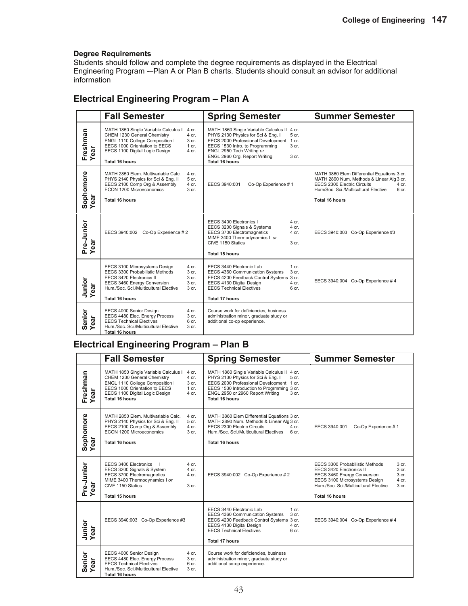Students should follow and complete the degree requirements as displayed in the Electrical Engineering Program -–Plan A or Plan B charts. Students should consult an advisor for additional information

### **Electrical Engineering Program – Plan A**

|                        | <b>Fall Semester</b>                                                                                                                                                                                                                                        | <b>Spring Semester</b>                                                                                                                                                                                                                                                      | <b>Summer Semester</b>                                                                                                                                                                                         |
|------------------------|-------------------------------------------------------------------------------------------------------------------------------------------------------------------------------------------------------------------------------------------------------------|-----------------------------------------------------------------------------------------------------------------------------------------------------------------------------------------------------------------------------------------------------------------------------|----------------------------------------------------------------------------------------------------------------------------------------------------------------------------------------------------------------|
| Freshman<br>Year<br>ea | MATH 1850 Single Variable Calculus I<br>4 cr.<br>CHEM 1230 General Chemistry<br>$4$ cr.<br>ENGL 1110 College Composition I<br>3 cr.<br>EECS 1000 Orientation to EECS<br>1 cr.<br>EECS 1100 Digital Logic Design<br>4 cr.<br>Total 16 hours                  | MATH 1860 Single Variable Calculus II 4 cr.<br>PHYS 2130 Physics for Sci & Eng. I<br>5 cr.<br>EECS 2000 Professional Development 1 cr.<br>EECS 1530 Intro. to Programming<br>3 cr.<br>ENGL 2950 Tech Writing or<br>ENGL 2960 Org. Report Writing<br>3 cr.<br>Total 16 hours |                                                                                                                                                                                                                |
| Sophomore<br>Year      | MATH 2850 Elem. Multivariable Calc.<br>4 cr.<br>PHYS 2140 Physics for Sci & Eng. II<br>5 cr.<br>EECS 2100 Comp Org & Assembly<br>4 cr.<br>ECON 1200 Microeconomics<br>3 <sub>cr.</sub><br><b>Total 16 hours</b>                                             | EECS 3940:001<br>Co-Op Experience #1                                                                                                                                                                                                                                        | MATH 3860 Elem Differential Equations 3 cr.<br>MATH 2890 Num. Methods & Linear Alg 3 cr.<br>EECS 2300 Electric Circuits<br>4 cr.<br>Hum/Soc. Sci./Multicultural Elective<br>6 <sub>cr.</sub><br>Total 16 hours |
| Pre-Junior<br>Year     | EECS 3940:002 Co-Op Experience #2                                                                                                                                                                                                                           | EECS 3400 Electronics I<br>4 cr.<br>EECS 3200 Signals & Systems<br>4 cr.<br>EECS 3700 Electromagnetics<br>4 cr.<br>MIME 3400 Thermodynamics I or<br>CIVE 1150 Statics<br>3 cr.<br><b>Total 15 hours</b>                                                                     | EECS 3940:003 Co-Op Experience #3                                                                                                                                                                              |
| Junior<br>Year<br>ear  | EECS 3100 Microsystems Design<br>4 cr.<br>EECS 3300 Probabilistic Methods<br>$3$ cr.<br>EECS 3420 Electronics II<br>3 <sub>cr.</sub><br>EECS 3460 Energy Conversion<br>3 cr.<br>Hum./Soc. Sci./Multicultural Elective<br>3 <sub>cr.</sub><br>Total 16 hours | EECS 3440 Electronic Lab<br>$1$ cr.<br>EECS 4360 Communication Systems<br>3 <sub>cr.</sub><br>EECS 4200 Feedback Control Systems 3 cr.<br>EECS 4130 Digital Design<br>4 cr.<br><b>EECS Technical Electives</b><br>6 cr.<br>Total 17 hours                                   | EECS 3940:004 Co-Op Experience #4                                                                                                                                                                              |
| Senior<br>Year<br>ear  | EECS 4000 Senior Design<br>4 cr.<br>EECS 4480 Elec. Energy Process<br>3 cr.<br><b>EECS Technical Electives</b><br>6 cr.<br>Hum./Soc. Sci./Multicultural Elective<br>3 <sub>cr.</sub><br><b>Total 16 hours</b>                                               | Course work for deficiencies, business<br>administration minor, graduate study or<br>additional co-op experience.                                                                                                                                                           |                                                                                                                                                                                                                |

### **Electrical Engineering Program – Plan B**

|                             | <b>Fall Semester</b>                                                                                                                                                                                                                       | <b>Spring Semester</b>                                                                                                                                                                                                                              | <b>Summer Semester</b>                                                                                                                                                                                                                     |
|-----------------------------|--------------------------------------------------------------------------------------------------------------------------------------------------------------------------------------------------------------------------------------------|-----------------------------------------------------------------------------------------------------------------------------------------------------------------------------------------------------------------------------------------------------|--------------------------------------------------------------------------------------------------------------------------------------------------------------------------------------------------------------------------------------------|
| Freshman<br>Year            | MATH 1850 Single Variable Calculus I<br>4 cr.<br>CHEM 1230 General Chemistry<br>$4$ cr.<br>ENGL 1110 College Composition I<br>3 cr.<br>EECS 1000 Orientation to EECS<br>1 cr.<br>EECS 1100 Digital Logic Design<br>4 cr.<br>Total 16 hours | MATH 1860 Single Variable Calculus II 4 cr.<br>PHYS 2130 Physics for Sci & Eng. I<br>5 cr.<br>EECS 2000 Professional Development 1 cr.<br>EECS 1530 Introduction to Progrmming 3 cr.<br>ENGL 2950 or 2960 Report Writing<br>3 cr.<br>Total 16 hours |                                                                                                                                                                                                                                            |
| Sophomore<br>Year<br>ಹ<br>Φ | MATH 2850 Elem. Multivariable Calc.<br>4 cr.<br>PHYS 2140 Physics for Sci & Eng. II<br>5 cr.<br>EECS 2100 Comp Org & Assembly<br>4 cr.<br>ECON 1200 Microeconomics<br>3 <sub>cr.</sub><br>Total 16 hours                                   | MATH 3860 Elem Differential Equations 3 cr.<br>MATH 2890 Num. Methods & Linear Alg 3 cr.<br>EECS 2300 Electric Circuits<br>$4$ cr.<br>Hum./Soc. Sci./Multicultural Electives 6 cr.<br>Total 16 hours                                                | EECS 3940:001<br>Co-Op Experience #1                                                                                                                                                                                                       |
| Pre-Junior<br>Year<br>ear   | EECS 3400 Electronics<br>4 cr.<br>EECS 3200 Signals & System<br>4 cr.<br>EECS 3700 Electromagnetics<br>4 cr.<br>MIME 3400 Thermodynamics I or<br>CIVE 1150 Statics<br>3 <sub>cr.</sub><br><b>Total 15 hours</b>                            | EECS 3940:002 Co-Op Experience #2                                                                                                                                                                                                                   | EECS 3300 Probabilistic Methods<br>3 cr.<br>3 cr.<br>EECS 3420 Electronics II<br>3 cr.<br>EECS 3460 Energy Conversion<br>EECS 3100 Microsystems Design<br>4 cr.<br>Hum./Soc. Sci./Multicultural Elective<br>3 cr.<br><b>Total 16 hours</b> |
| Junior<br>Year<br>ă<br>٥    | EECS 3940:003 Co-Op Experience #3                                                                                                                                                                                                          | EECS 3440 Electronic Lab<br>$1 \text{ cr}$ .<br>EECS 4360 Communication Systems<br>3 cr.<br>EECS 4200 Feedback Control Systems 3 cr.<br>EECS 4130 Digital Design<br>4 cr.<br><b>EECS Technical Electives</b><br>6 cr.<br><b>Total 17 hours</b>      | EECS 3940:004 Co-Op Experience #4                                                                                                                                                                                                          |
| Senior<br>Year              | EECS 4000 Senior Design<br>4 cr.<br>EECS 4480 Elec. Energy Process<br>3 cr.<br><b>EECS Technical Electives</b><br>6 <sub>cr.</sub><br>Hum./Soc. Sci./Multicultural Elective<br>3 <sub>cr.</sub><br><b>Total 16 hours</b>                   | Course work for deficiencies, business<br>administration minor, graduate study or<br>additional co-op experience.                                                                                                                                   |                                                                                                                                                                                                                                            |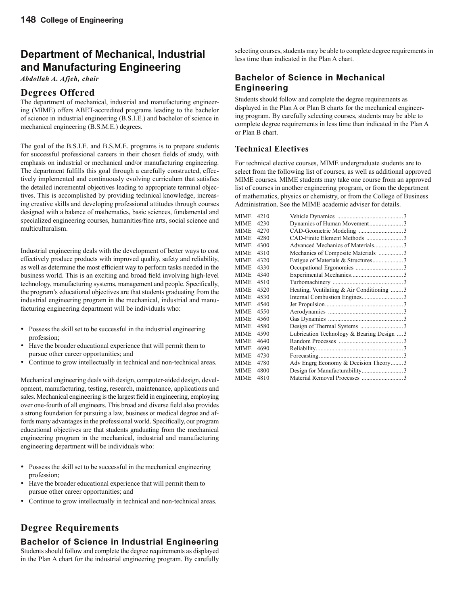## **Department of Mechanical, Industrial and Manufacturing Engineering**

*Abdollah A. Afjeh, chair*

### **Degrees Offered**

The department of mechanical, industrial and manufacturing engineering (MIME) offers ABET-accredited programs leading to the bachelor of science in industrial engineering (B.S.I.E.) and bachelor of science in mechanical engineering (B.S.M.E.) degrees.

The goal of the B.S.I.E. and B.S.M.E. programs is to prepare students for successful professional careers in their chosen fields of study, with emphasis on industrial or mechanical and/or manufacturing engineering. The department fulfills this goal through a carefully constructed, effectively implemented and continuously evolving curriculum that satisfies the detailed incremental objectives leading to appropriate terminal objectives. This is accomplished by providing technical knowledge, increasing creative skills and developing professional attitudes through courses designed with a balance of mathematics, basic sciences, fundamental and specialized engineering courses, humanities/fine arts, social science and multiculturalism.

Industrial engineering deals with the development of better ways to cost effectively produce products with improved quality, safety and reliability, as well as determine the most efficient way to perform tasks needed in the business world. This is an exciting and broad field involving high-level technology, manufacturing systems, management and people. Specifically, the program's educational objectives are that students graduating from the industrial engineering program in the mechanical, industrial and manufacturing engineering department will be individuals who:

- Possess the skill set to be successful in the industrial engineering profession;
- Have the broader educational experience that will permit them to pursue other career opportunities; and
- Continue to grow intellectually in technical and non-technical areas.

Mechanical engineering deals with design, computer-aided design, development, manufacturing, testing, research, maintenance, applications and sales. Mechanical engineering is the largest field in engineering, employing over one-fourth of all engineers. This broad and diverse field also provides a strong foundation for pursuing a law, business or medical degree and affords many advantages in the professional world. Specifically, our program educational objectives are that students graduating from the mechanical engineering program in the mechanical, industrial and manufacturing engineering department will be individuals who:

- Possess the skill set to be successful in the mechanical engineering profession;
- Have the broader educational experience that will permit them to pursue other career opportunities; and
- Continue to grow intellectually in technical and non-technical areas.

### **Degree Requirements**

#### **Bachelor of Science in Industrial Engineering**

Students should follow and complete the degree requirements as displayed in the Plan A chart for the industrial engineering program. By carefully selecting courses, students may be able to complete degree requirements in less time than indicated in the Plan A chart.

### **Bachelor of Science in Mechanical Engineering**

Students should follow and complete the degree requirements as displayed in the Plan A or Plan B charts for the mechanical engineering program. By carefully selecting courses, students may be able to complete degree requirements in less time than indicated in the Plan A or Plan B chart.

#### **Technical Electives**

For technical elective courses, MIME undergraduate students are to select from the following list of courses, as well as additional approved MIME courses. MIME students may take one course from an approved list of courses in another engineering program, or from the department of mathematics, physics or chemistry, or from the College of Business Administration. See the MIME academic adviser for details.

| <b>MIME</b> | 4210 |                                            |  |
|-------------|------|--------------------------------------------|--|
| MIME        | 4230 |                                            |  |
| <b>MIME</b> | 4270 |                                            |  |
| MIME        | 4280 |                                            |  |
| <b>MIME</b> | 4300 | Advanced Mechanics of Materials3           |  |
| <b>MIME</b> | 4310 | Mechanics of Composite Materials 3         |  |
| MIME        | 4320 |                                            |  |
| <b>MIME</b> | 4330 |                                            |  |
| MIME        | 4340 |                                            |  |
| MIME        | 4510 |                                            |  |
| <b>MIME</b> | 4520 | Heating, Ventilating & Air Conditioning  3 |  |
| MIME        | 4530 |                                            |  |
| <b>MIME</b> | 4540 |                                            |  |
| MIME        | 4550 |                                            |  |
| MIME        | 4560 |                                            |  |
| <b>MIME</b> | 4580 |                                            |  |
| MIME        | 4590 | Lubrication Technology & Bearing Design  3 |  |
| MIME        | 4640 |                                            |  |
| <b>MIME</b> | 4690 |                                            |  |
| <b>MIME</b> | 4730 |                                            |  |
| <b>MIME</b> | 4780 | Adv Engrg Economy & Decision Theory3       |  |
| MIME        | 4800 |                                            |  |
| MIME        | 4810 |                                            |  |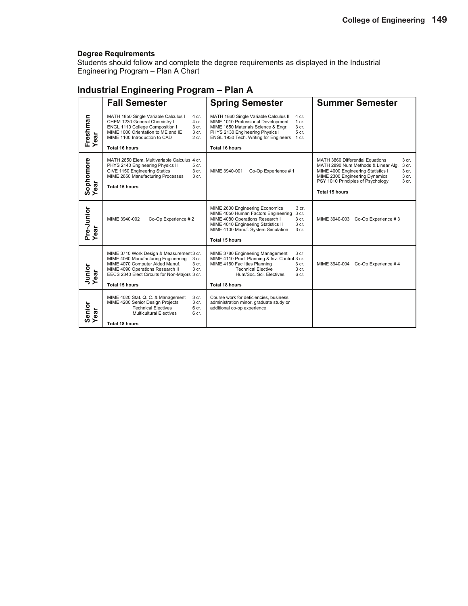Students should follow and complete the degree requirements as displayed in the Industrial Engineering Program – Plan A Chart

## **Industrial Engineering Program – Plan A**

|                    | <b>Fall Semester</b>                                                                                                                                                                                                                                                    | <b>Spring Semester</b>                                                                                                                                                                                                                                            | <b>Summer Semester</b>                                                                                                                                                                                                                              |
|--------------------|-------------------------------------------------------------------------------------------------------------------------------------------------------------------------------------------------------------------------------------------------------------------------|-------------------------------------------------------------------------------------------------------------------------------------------------------------------------------------------------------------------------------------------------------------------|-----------------------------------------------------------------------------------------------------------------------------------------------------------------------------------------------------------------------------------------------------|
| Freshman<br>Year   | MATH 1850 Single Variable Calculus I<br>4 cr.<br>CHEM 1230 General Chemistry I<br>4 cr.<br>ENGL 1110 College Composition I<br>3 cr.<br>MIME 1000 Orientation to ME and IE<br>3 cr.<br>MIME 1100 Introduction to CAD<br>2 cr.<br><b>Total 16 hours</b>                   | MATH 1860 Single Variable Calculus II<br>4 cr.<br>MIME 1010 Professional Development<br>1 cr.<br>MIME 1650 Materials Science & Engr.<br>3 cr.<br>5 cr.<br>PHYS 2130 Engineering Physics I<br>ENGL 1930 Tech. Writing for Engineers 1 cr.<br><b>Total 16 hours</b> |                                                                                                                                                                                                                                                     |
| Sophomore<br>Year  | MATH 2850 Elem. Multivariable Calculus 4 cr.<br>PHYS 2140 Engineering Physics II<br>5 <sub>cr.</sub><br>CIVE 1150 Engineering Statics<br>3 cr.<br>MIME 2650 Manufacturing Processes<br>3 cr.<br><b>Total 15 hours</b>                                                   | Co-Op Experience #1<br>MIME 3940-001                                                                                                                                                                                                                              | MATH 3860 Differential Equations<br>3 cr.<br>MATH 2890 Num Methods & Linear Alg.<br>3 cr.<br>3 cr.<br>MIME 4000 Engineering Statistics I<br>MIME 2300 Engineering Dynamics<br>3 cr.<br>PSY 1010 Principles of Psychology<br>3 cr.<br>Total 15 hours |
| Pre-Junior<br>Year | MIME 3940-002<br>Co-Op Experience #2                                                                                                                                                                                                                                    | MIME 2600 Engineering Economics<br>3 cr.<br>MIME 4050 Human Factors Engineering<br>3 cr.<br>MIME 4080 Operations Research I<br>3 cr.<br>MIME 4010 Engineering Statistics II<br>3 cr.<br>MIME 4100 Manuf. System Simulation<br>3 cr.<br>Total 15 hours             | MIME 3940-003 Co-Op Experience #3                                                                                                                                                                                                                   |
| Junior<br>Year     | MIME 3710 Work Design & Measurement 3 cr.<br>MIME 4060 Manufacturing Engineering<br>3 cr.<br>MIME 4070 Computer Aided Manuf.<br>3 <sub>cr.</sub><br>MIME 4090 Operations Research II<br>3 cr.<br>EECS 2340 Elect Circuits for Non-Majors 3 cr.<br><b>Total 15 hours</b> | MIME 3780 Engineering Management<br>3 cr<br>MIME 4110 Prod. Planning & Inv. Control 3 cr.<br>MIME 4160 Facilities Planning<br>3 <sub>cr.</sub><br><b>Technical Elective</b><br>3 cr.<br>Hum/Soc. Sci. Electives<br>6 cr.<br><b>Total 18 hours</b>                 | Co-Op Experience #4<br>MIME 3940-004                                                                                                                                                                                                                |
| Senior<br>Year     | MIME 4020 Stat. Q. C. & Management<br>3 cr.<br>MIME 4200 Senior Design Projects<br>3 cr.<br><b>Technical Electives</b><br>6 <sub>cr.</sub><br><b>Multicultural Electives</b><br>6 cr.<br>Total 18 hours                                                                 | Course work for deficiencies, business<br>administration minor, graduate study or<br>additional co-op experience.                                                                                                                                                 |                                                                                                                                                                                                                                                     |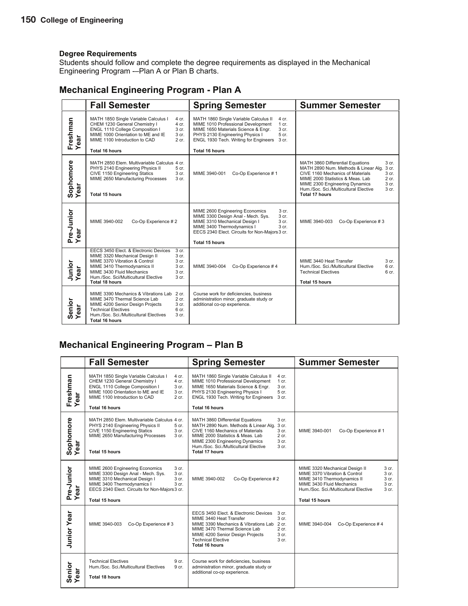Students should follow and complete the degree requirements as displayed in the Mechanical Engineering Program -–Plan A or Plan B charts.

### **Mechanical Engineering Program - Plan A**

|                             | <b>Fall Semester</b>                                                                                                                                                                                                                                                                        | <b>Spring Semester</b>                                                                                                                                                                                                                                              | <b>Summer Semester</b>                                                                                                                                                                                                                                                                                                      |
|-----------------------------|---------------------------------------------------------------------------------------------------------------------------------------------------------------------------------------------------------------------------------------------------------------------------------------------|---------------------------------------------------------------------------------------------------------------------------------------------------------------------------------------------------------------------------------------------------------------------|-----------------------------------------------------------------------------------------------------------------------------------------------------------------------------------------------------------------------------------------------------------------------------------------------------------------------------|
| Freshman<br>Year<br>ear     | MATH 1850 Single Variable Calculus I<br>4 cr.<br>CHEM 1230 General Chemistry I<br>4 cr.<br>ENGL 1110 College Composition I<br>3 cr.<br>MIME 1000 Orientation to ME and IE<br>3 cr.<br>MIME 1100 Introduction to CAD<br>2 cr.<br><b>Total 16 hours</b>                                       | MATH 1860 Single Variable Calculus II<br>4 cr.<br>MIME 1010 Professional Development<br>$1$ cr.<br>MIME 1650 Materials Science & Engr.<br>3 cr.<br>PHYS 2130 Engineering Physics I<br>5 cr.<br>ENGL 1930 Tech. Writing for Engineers 3 cr.<br><b>Total 16 hours</b> |                                                                                                                                                                                                                                                                                                                             |
| Sophomore<br>Year<br>ă<br>Φ | MATH 2850 Elem. Multivariable Calculus 4 cr.<br>PHYS 2140 Engineering Physics II<br>5 cr.<br>CIVE 1150 Engineering Statics<br>3 cr.<br>MIME 2650 Manufacturing Processes<br>3 cr.<br><b>Total 15 hours</b>                                                                                  | MIME 3940-001<br>Co-Op Experience #1                                                                                                                                                                                                                                | 3 <sub>cr.</sub><br>MATH 3860 Differential Equations<br>MATH 2890 Num. Methods & Linear Alg.<br>3 cr.<br>CIVE 1160 Mechanics of Materials<br>3 cr.<br>MIME 2000 Statistics & Meas. Lab<br>$2$ cr.<br>3 cr.<br>MIME 2300 Engineering Dynamics<br>Hum /Soc. Sci./Multicultural Elective<br>3 <sub>cr.</sub><br>Total 17 hours |
| Pre-Junior<br>Year          | MIME 3940-002<br>Co-Op Experience #2                                                                                                                                                                                                                                                        | MIME 2600 Engineering Economics<br>3 cr.<br>MIME 3300 Design Anal - Mech. Sys.<br>3 cr.<br>MIME 3310 Mechanical Design I<br>3 cr.<br>MIME 3400 Thermodynamics I<br>3 cr.<br>EECS 2340 Elect. Circuits for Non-Majors 3 cr.<br>Total 15 hours                        | MIME 3940-003<br>Co-Op Experience #3                                                                                                                                                                                                                                                                                        |
| Junior<br>Year<br>ear       | EECS 3450 Elect. & Electronic Devices<br>3 cr.<br>MIME 3320 Mechanical Design II<br>3 cr.<br>MIME 3370 Vibration & Control<br>3 cr.<br>MIME 3410 Thermodynamics II<br>3 cr.<br>MIME 3430 Fluid Mechanics<br>3 cr.<br>Hum./Soc. Sci/Multicultural Elective<br>3 cr.<br><b>Total 18 hours</b> | Co-Op Experience #4<br>MIME 3940-004                                                                                                                                                                                                                                | MIME 3440 Heat Transfer<br>3 <sub>cr.</sub><br>Hum./Soc. Sci./Multicultural Elective<br>6 cr.<br><b>Technical Electives</b><br>6 cr.<br><b>Total 15 hours</b>                                                                                                                                                               |
| Senior<br>Year<br>ear       | MIME 3390 Mechanics & Vibrations Lab 2 cr.<br>$2$ cr.<br>MIME 3470 Thermal Science Lab<br>MIME 4200 Senior Design Projects<br>3 cr.<br><b>Technical Electives</b><br>6 cr.<br>Hum./Soc. Sci./Multicultural Electives<br>3 cr.<br>Total 16 hours                                             | Course work for deficiencies, business<br>administration minor, graduate study or<br>additional co-op experience.                                                                                                                                                   |                                                                                                                                                                                                                                                                                                                             |

## **Mechanical Engineering Program – Plan B**

|                    | <b>Fall Semester</b>                                                                                                                                                                                                                           | <b>Spring Semester</b>                                                                                                                                                                                                                                                                                       | <b>Summer Semester</b>                                                                                                                                                                                                                                    |  |
|--------------------|------------------------------------------------------------------------------------------------------------------------------------------------------------------------------------------------------------------------------------------------|--------------------------------------------------------------------------------------------------------------------------------------------------------------------------------------------------------------------------------------------------------------------------------------------------------------|-----------------------------------------------------------------------------------------------------------------------------------------------------------------------------------------------------------------------------------------------------------|--|
| Freshman<br>Year   | MATH 1850 Single Variable Calculus I<br>4 cr.<br>CHEM 1230 General Chemistry I<br>4 cr.<br>ENGL 1110 College Composition I<br>3 cr.<br>MIME 1000 Orientation to ME and IE<br>3 cr.<br>MIME 1100 Introduction to CAD<br>2 cr.<br>Total 16 hours | MATH 1860 Single Variable Calculus II<br>4 cr.<br>MIME 1010 Professional Development<br>$1$ cr.<br>MIME 1650 Materials Science & Engr.<br>3 cr.<br>PHYS 2130 Engineering Physics I<br>5 cr.<br>ENGL 1930 Tech. Writing for Engineers 3 cr.<br>Total 16 hours                                                 |                                                                                                                                                                                                                                                           |  |
| Sophomore<br>Year  | MATH 2850 Elem. Multivariable Calculus 4 cr.<br>PHYS 2140 Engineering Physics II<br>5 cr.<br>CIVE 1150 Engineering Statics<br>3 cr.<br>MIME 2650 Manufacturing Processes<br>3 cr.<br>Total 15 hours                                            | 3 cr.<br>MATH 3860 Differential Equations<br>MATH 2890 Num. Methods & Linear Alg.<br>3 cr.<br>3 cr.<br>CIVE 1160 Mechanics of Materials<br>MIME 2000 Statistics & Meas, Lab<br>$2$ cr.<br>3 cr.<br>MIME 2300 Engineering Dynamics<br>Hum./Soc. Sci./Multicultural Elective<br>3 cr.<br><b>Total 17 hours</b> | MIME 3940-001<br>Co-Op Experience #1                                                                                                                                                                                                                      |  |
| Pre-Junior<br>Year | MIME 2600 Engineering Economics<br>3 cr.<br>MIME 3300 Design Anal - Mech. Sys.<br>3 cr.<br>MIME 3310 Mechanical Design I<br>3 cr.<br>MIME 3400 Thermodynamics I<br>3 cr.<br>EECS 2340 Elect. Circuits for Non-Majors 3 cr.<br>Total 15 hours   | MIME 3940-002<br>Co-Op Experience #2                                                                                                                                                                                                                                                                         | MIME 3320 Mechanical Design II<br>3 cr.<br>MIME 3370 Vibration & Control<br>3 <sub>cr.</sub><br>MIME 3410 Thermodynamics II<br>3 cr.<br>MIME 3430 Fluid Mechanics<br>3 cr.<br>Hum./Soc. Sci./Multicultural Elective<br>3 <sub>cr.</sub><br>Total 15 hours |  |
| <b>Junior Year</b> | MIME 3940-003<br>Co-Op Experience #3                                                                                                                                                                                                           | EECS 3450 Elect. & Electronic Devices<br>3 <sub>cr.</sub><br>MIME 3440 Heat Transfer<br>3 cr.<br>MIME 3390 Mechanics & Vibrations Lab 2 cr.<br>$2$ cr.<br>MIME 3470 Thermal Science Lab<br>3 cr.<br>MIME 4200 Senior Design Projects<br><b>Technical Elective</b><br>3 cr.<br><b>Total 16 hours</b>          | Co-Op Experience #4<br>MIME 3940-004                                                                                                                                                                                                                      |  |
| Senior<br>Year     | <b>Technical Electives</b><br>9 cr.<br>Hum./Soc. Sci./Multicultural Electives<br>9 cr.<br><b>Total 18 hours</b>                                                                                                                                | Course work for deficiencies, business<br>administration minor, graduate study or<br>additional co-op experience.                                                                                                                                                                                            |                                                                                                                                                                                                                                                           |  |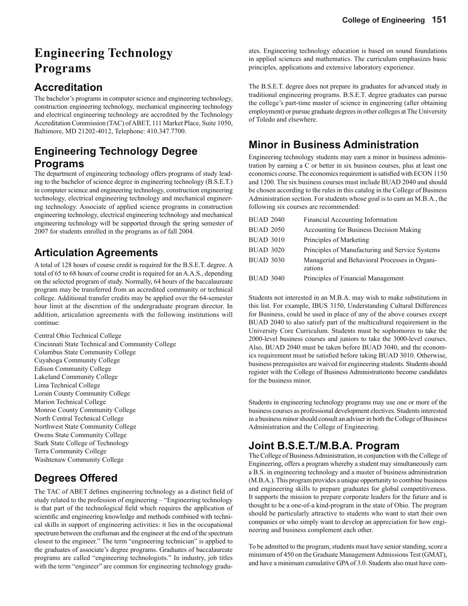# **Engineering Technology Programs**

## **Accreditation**

The bachelor's programs in computer science and engineering technology, construction engineering technology, mechanical engineering technology and electrical engineering technology are accredited by the Technology Accreditation Commission (TAC) of ABET, 111 Market Place, Suite 1050, Baltimore, MD 21202-4012, Telephone: 410.347.7700.

## **Engineering Technology Degree Programs**

The department of engineering technology offers programs of study leading to the bachelor of science degree in engineering technology (B.S.E.T.) in computer science and engineering technology, construction engineering technology, electrical engineering technology and mechanical engineering technology. Associate of applied science programs in construction engineering technology, electrical engineering technology and mechanical engineering technology will be supported through the spring semester of 2007 for students enrolled in the programs as of fall 2004.

## **Articulation Agreements**

A total of 128 hours of course credit is required for the B.S.E.T. degree. A total of 65 to 68 hours of course credit is required for an A.A.S., depending on the selected program of study. Normally, 64 hours of the baccalaureate program may be transferred from an accredited community or technical college. Additional transfer credits may be applied over the 64-semester hour limit at the discretion of the undergraduate program director. In addition, articulation agreements with the following institutions will continue:

Central Ohio Technical College Cincinnati State Technical and Community College Columbus State Community College Cuyahoga Community College Edison Community College Lakeland Community College Lima Technical College Lorain County Community College Marion Technical College Monroe County Community College North Central Technical College Northwest State Community College Owens State Community College Stark State College of Technology Terra Community College Washtenaw Community College

## **Degrees Offered**

The TAC of ABET defines engineering technology as a distinct field of study related to the profession of engineering – "Engineering technology is that part of the technological field which requires the application of scientific and engineering knowledge and methods combined with technical skills in support of engineering activities: it lies in the occupational spectrum between the craftsman and the engineer at the end of the spectrum closest to the engineer." The term "engineering technician" is applied to the graduates of associate's degree programs. Graduates of baccalaureate programs are called "engineering technologists." In industry, job titles with the term "engineer" are common for engineering technology graduates. Engineering technology education is based on sound foundations in applied sciences and mathematics. The curriculum emphasizes basic principles, applications and extensive laboratory experience.

The B.S.E.T. degree does not prepare its graduates for advanced study in traditional engineering programs. B.S.E.T. degree graduates can pursue the college's part-time master of science in engineering (after obtaining employment) or pursue graduate degrees in other colleges at The University of Toledo and elsewhere.

## **Minor in Business Administration**

Engineering technology students may earn a minor in business administration by earning a C or better in six business courses, plus at least one economics course. The economics requirement is satisfied with ECON 1150 and 1200. The six business courses must include BUAD 2040 and should be chosen according to the rules in this catalog in the College of Business Administration section. For students whose goal is to earn an M.B.A., the following six courses are recommended:

| <b>BUAD 2040</b> | Financial Accounting Information                          |
|------------------|-----------------------------------------------------------|
| <b>BUAD 2050</b> | Accounting for Business Decision Making                   |
| <b>BUAD 3010</b> | Principles of Marketing                                   |
| <b>BUAD 3020</b> | Principles of Manufacturing and Service Systems           |
| <b>BUAD 3030</b> | Managerial and Behavioral Processes in Organi-<br>zations |
| <b>BUAD 3040</b> | Principles of Financial Management                        |
|                  |                                                           |

Students not interested in an M.B.A. may wish to make substitutions in this list. For example, IBUS 3150, Understanding Cultural Differences for Business, could be used in place of any of the above courses except BUAD 2040 to also satisfy part of the multicultural requirement in the University Core Curriculum. Students must be sophomores to take the 2000-level business courses and juniors to take the 3000-level courses. Also, BUAD 2040 must be taken before BUAD 3040, and the economics requirement must be satisfied before taking BUAD 3010. Otherwise, business prerequisites are waived for engineering students. Students should register with the College of Business Administrationto become candidates for the business minor.

Students in engineering technology programs may use one or more of the business courses as professional development electives. Students interested in a business minor should consult an adviser in both the College of Business Administration and the College of Engineering.

## **Joint B.S.E.T./M.B.A. Program**

The College of Business Administration, in conjunction with the College of Engineering, offers a program whereby a student may simultaneously earn a B.S. in engineering technology and a master of business administration (M.B.A.). This program provides a unique opportunity to combine business and engineering skills to prepare graduates for global competitiveness. It supports the mission to prepare corporate leaders for the future and is thought to be a one-of-a kind-program in the state of Ohio. The program should be particularly attractive to students who want to start their own companies or who simply want to develop an appreciation for how engineering and business complement each other.

To be admitted to the program, students must have senior standing, score a minimum of 450 on the Graduate Management Admissions Test (GMAT), and have a minimum cumulative GPA of 3.0. Students also must have com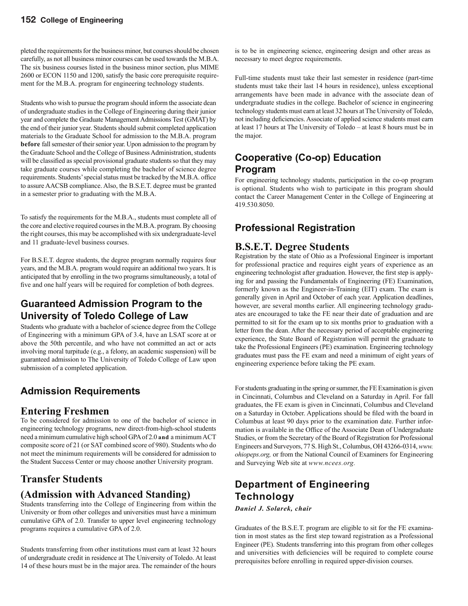pleted the requirements for the business minor, but courses should be chosen carefully, as not all business minor courses can be used towards the M.B.A. The six business courses listed in the business minor section, plus MIME 2600 or ECON 1150 and 1200, satisfy the basic core prerequisite requirement for the M.B.A. program for engineering technology students.

Students who wish to pursue the program should inform the associate dean of undergraduate studies in the College of Engineering during their junior year and complete the Graduate Management Admissions Test (GMAT) by the end of their junior year. Students should submit completed application materials to the Graduate School for admission to the M.B.A. program **before** fall semester of their senior year. Upon admission to the program by the Graduate School and the College of Business Administration, students will be classified as special provisional graduate students so that they may take graduate courses while completing the bachelor of science degree requirements. Students' special status must be tracked by the M.B.A. office to assure AACSB compliance. Also, the B.S.E.T. degree must be granted in a semester prior to graduating with the M.B.A.

To satisfy the requirements for the M.B.A., students must complete all of the core and elective required courses in the M.B.A. program. By choosing the right courses, this may be accomplished with six undergraduate-level and 11 graduate-level business courses.

For B.S.E.T. degree students, the degree program normally requires four years, and the M.B.A. program would require an additional two years. It is anticipated that by enrolling in the two programs simultaneously, a total of five and one half years will be required for completion of both degrees.

## **Guaranteed Admission Program to the University of Toledo College of Law**

Students who graduate with a bachelor of science degree from the College of Engineering with a minimum GPA of 3.4, have an LSAT score at or above the 50th percentile, and who have not committed an act or acts involving moral turpitude (e.g., a felony, an academic suspension) will be guaranteed admission to The University of Toledo College of Law upon submission of a completed application.

## **Admission Requirements**

## **Entering Freshmen**

To be considered for admission to one of the bachelor of science in engineering technology programs, new direct-from-high-school students need a minimum cumulative high school GPA of 2.0 **and** a minimum ACT composite score of 21 (or SAT combined score of 980). Students who do not meet the minimum requirements will be considered for admission to the Student Success Center or may choose another University program.

## **Transfer Students**

## **(Admission with Advanced Standing)**

Students transferring into the College of Engineering from within the University or from other colleges and universities must have a minimum cumulative GPA of 2.0. Transfer to upper level engineering technology programs requires a cumulative GPA of 2.0.

Students transferring from other institutions must earn at least 32 hours of undergraduate credit in residence at The University of Toledo. At least 14 of these hours must be in the major area. The remainder of the hours

is to be in engineering science, engineering design and other areas as necessary to meet degree requirements.

Full-time students must take their last semester in residence (part-time students must take their last 14 hours in residence), unless exceptional arrangements have been made in advance with the associate dean of undergraduate studies in the college. Bachelor of science in engineering technology students must earn at least 32 hours at The University of Toledo, not including deficiencies. Associate of applied science students must earn at least 17 hours at The University of Toledo – at least 8 hours must be in the major.

## **Cooperative (Co-op) Education Program**

For engineering technology students, participation in the co-op program is optional. Students who wish to participate in this program should contact the Career Management Center in the College of Engineering at 419.530.8050.

## **Professional Registration**

### **B.S.E.T. Degree Students**

Registration by the state of Ohio as a Professional Engineer is important for professional practice and requires eight years of experience as an engineering technologist after graduation. However, the first step is applying for and passing the Fundamentals of Engineering (FE) Examination, formerly known as the Engineer-in-Training (EIT) exam. The exam is generally given in April and October of each year. Application deadlines, however, are several months earlier. All engineering technology graduates are encouraged to take the FE near their date of graduation and are permitted to sit for the exam up to six months prior to graduation with a letter from the dean. After the necessary period of acceptable engineering experience, the State Board of Registration will permit the graduate to take the Professional Engineers (PE) examination. Engineering technology graduates must pass the FE exam and need a minimum of eight years of engineering experience before taking the PE exam.

For students graduating in the spring or summer, the FE Examination is given in Cincinnati, Columbus and Cleveland on a Saturday in April. For fall graduates, the FE exam is given in Cincinnati, Columbus and Cleveland on a Saturday in October. Applications should be filed with the board in Columbus at least 90 days prior to the examination date. Further information is available in the Office of the Associate Dean of Undergraduate Studies, or from the Secretary of the Board of Registration for Professional Engineers and Surveyors, 77 S. High St., Columbus, OH 43266-0314, *www. ohiopeps.org,* or from the National Council of Examiners for Engineering and Surveying Web site at *www.ncees.org.*

## **Department of Engineering Technology**

*Daniel J. Solarek, chair*

Graduates of the B.S.E.T. program are eligible to sit for the FE examination in most states as the first step toward registration as a Professional Engineer (PE). Students transferring into this program from other colleges and universities with deficiencies will be required to complete course prerequisites before enrolling in required upper-division courses.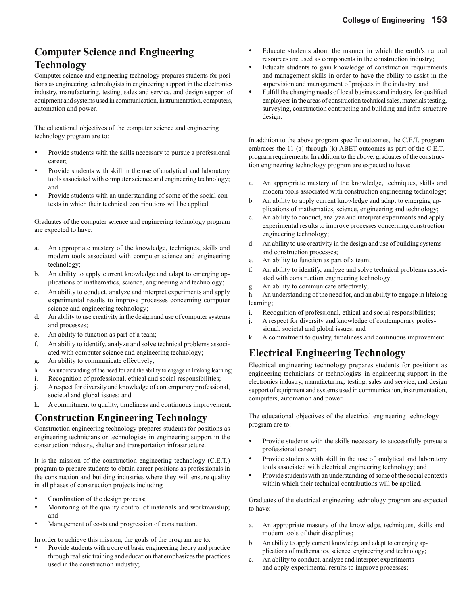## **Computer Science and Engineering Technology**

Computer science and engineering technology prepares students for positions as engineering technologists in engineering support in the electronics industry, manufacturing, testing, sales and service, and design support of equipment and systems used in communication, instrumentation, computers, automation and power.

The educational objectives of the computer science and engineering technology program are to:

- Provide students with the skills necessary to pursue a professional career;
- Provide students with skill in the use of analytical and laboratory tools associated with computer science and engineering technology; and
- Provide students with an understanding of some of the social contexts in which their technical contributions will be applied.

Graduates of the computer science and engineering technology program are expected to have:

- a. An appropriate mastery of the knowledge, techniques, skills and modern tools associated with computer science and engineering technology;
- b. An ability to apply current knowledge and adapt to emerging applications of mathematics, science, engineering and technology;
- c. An ability to conduct, analyze and interpret experiments and apply experimental results to improve processes concerning computer science and engineering technology;
- d. An ability to use creativity in the design and use of computer systems and processes;
- e. An ability to function as part of a team;
- f. An ability to identify, analyze and solve technical problems associated with computer science and engineering technology;
- g. An ability to communicate effectively;
- h. An understanding of the need for and the ability to engage in lifelong learning;
- i. Recognition of professional, ethical and social responsibilities;
- j. A respect for diversity and knowledge of contemporary professional, societal and global issues; and
- k. A commitment to quality, timeliness and continuous improvement.

## **Construction Engineering Technology**

Construction engineering technology prepares students for positions as engineering technicians or technologists in engineering support in the construction industry, shelter and transportation infrastructure.

It is the mission of the construction engineering technology (C.E.T.) program to prepare students to obtain career positions as professionals in the construction and building industries where they will ensure quality in all phases of construction projects including

- Coordination of the design process;
- Monitoring of the quality control of materials and workmanship; and
- Management of costs and progression of construction.

In order to achieve this mission, the goals of the program are to:

• Provide students with a core of basic engineering theory and practice through realistic training and education that emphasizes the practices used in the construction industry;

- Educate students about the manner in which the earth's natural resources are used as components in the construction industry;
- Educate students to gain knowledge of construction requirements and management skills in order to have the ability to assist in the supervision and management of projects in the industry; and
- Fulfill the changing needs of local business and industry for qualified employees in the areas of construction technical sales, materials testing, surveying, construction contracting and building and infra-structure design.

In addition to the above program specific outcomes, the C.E.T. program embraces the 11 (a) through (k) ABET outcomes as part of the C.E.T. program requirements. In addition to the above, graduates of the construction engineering technology program are expected to have:

- a. An appropriate mastery of the knowledge, techniques, skills and modern tools associated with construction engineering technology;
- b. An ability to apply current knowledge and adapt to emerging applications of mathematics, science, engineering and technology;
- c. An ability to conduct, analyze and interpret experiments and apply experimental results to improve processes concerning construction engineering technology;
- d. An ability to use creativity in the design and use of building systems and construction processes;
- e. An ability to function as part of a team;
- f. An ability to identify, analyze and solve technical problems associated with construction engineering technology;
- g. An ability to communicate effectively;

h. An understanding of the need for, and an ability to engage in lifelong learning;

- i. Recognition of professional, ethical and social responsibilities;
- j. A respect for diversity and knowledge of contemporary professional, societal and global issues; and
- k. A commitment to quality, timeliness and continuous improvement.

## **Electrical Engineering Technology**

Electrical engineering technology prepares students for positions as engineering technicians or technologists in engineering support in the electronics industry, manufacturing, testing, sales and service, and design support of equipment and systems used in communication, instrumentation, computers, automation and power.

The educational objectives of the electrical engineering technology program are to:

- Provide students with the skills necessary to successfully pursue a professional career;
- Provide students with skill in the use of analytical and laboratory tools associated with electrical engineering technology; and
- Provide students with an understanding of some of the social contexts within which their technical contributions will be applied.

Graduates of the electrical engineering technology program are expected to have:

- a. An appropriate mastery of the knowledge, techniques, skills and modern tools of their disciplines;
- b. An ability to apply current knowledge and adapt to emerging applications of mathematics, science, engineering and technology;
- c. An ability to conduct, analyze and interpret experiments and apply experimental results to improve processes;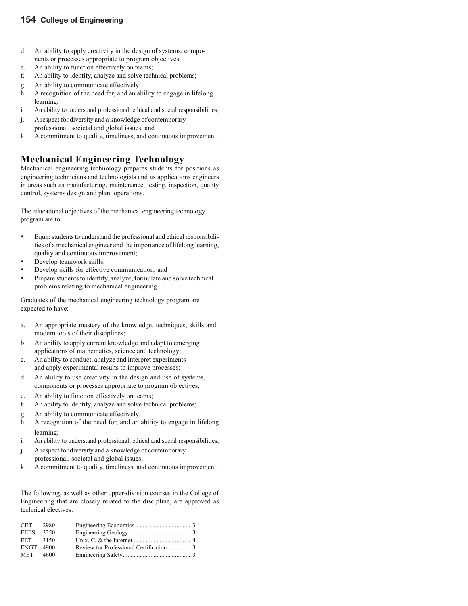#### **154 College of Engineering**

- d. An ability to apply creativity in the design of systems, components or processes appropriate to program objectives;
- e. An ability to function effectively on teams;
- f. An ability to identify, analyze and solve technical problems;
- g. An ability to communicate effectively;
- h. A recognition of the need for, and an ability to engage in lifelong learning;
- i. An ability to understand professional, ethical and social responsibilities;
- j. A respect for diversity and a knowledge of contemporary professional, societal and global issues; and
- k. A commitment to quality, timeliness, and continuous improvement.

## **Mechanical Engineering Technology**

Mechanical engineering technology prepares students for positions as engineering technicians and technologists and as applications engineers in areas such as manufacturing, maintenance, testing, inspection, quality control, systems design and plant operations.

The educational objectives of the mechanical engineering technology program are to:

- Equip students to understand the professional and ethical responsibilities of a mechanical engineer and the importance of lifelong learning, quality and continuous improvement;
- Develop teamwork skills;
- Develop skills for effective communication; and
- Prepare students to identify, analyze, formulate and solve technical problems relating to mechanical engineering

Graduates of the mechanical engineering technology program are expected to have:

- a. An appropriate mastery of the knowledge, techniques, skills and modern tools of their disciplines;
- b. An ability to apply current knowledge and adapt to emerging applications of mathematics, science and technology;
- c. An ability to conduct, analyze and interpret experiments and apply experimental results to improve processes;
- d. An ability to use creativity in the design and use of systems, components or processes appropriate to program objectives;
- e. An ability to function effectively on teams;
- f. An ability to identify, analyze and solve technical problems;
- g. An ability to communicate effectively;
- h. A recognition of the need for, and an ability to engage in lifelong learning;
- i. An ability to understand professional, ethical and social responsibilities;
- j. A respect for diversity and a knowledge of contemporary professional, societal and global issues;
- k. A commitment to quality, timeliness, and continuous improvement.

The following, as well as other upper-division courses in the College of Engineering that are closely related to the discipline, are approved as technical electives:

| <b>CET</b>  | 2980 |                                        |  |
|-------------|------|----------------------------------------|--|
| <b>EEES</b> | 3250 |                                        |  |
| EET         | 3150 |                                        |  |
| ENGT 4900   |      | Review for Professional Certification3 |  |
| MET 4600    |      |                                        |  |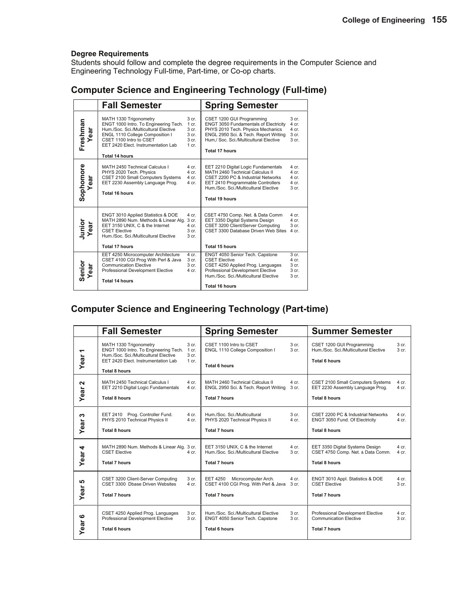Students should follow and complete the degree requirements in the Computer Science and Engineering Technology Full-time, Part-time, or Co-op charts.

### **Computer Science and Engineering Technology (Full-time)**

|                   | <b>Fall Semester</b>                                                                                                                                                                                                                   |                                                               | <b>Spring Semester</b>                                                                                                                                                                                                     |                                                                                |
|-------------------|----------------------------------------------------------------------------------------------------------------------------------------------------------------------------------------------------------------------------------------|---------------------------------------------------------------|----------------------------------------------------------------------------------------------------------------------------------------------------------------------------------------------------------------------------|--------------------------------------------------------------------------------|
| Freshman<br>Year  | MATH 1330 Trigonometry<br>ENGT 1000 Intro. To Engineering Tech.<br>Hum./Soc. Sci./Multicultural Elective<br>ENGL 1110 College Composition I<br>CSET 1100 Intro to CSET<br>EET 2420 Elect. Instrumentation Lab<br><b>Total 14 hours</b> | 3 cr.<br>1 cr.<br>3 cr.<br>3 cr.<br>3 <sub>cr.</sub><br>1 cr. | CSET 1200 GUI Programming<br><b>ENGT 3050 Fundamentals of Electricity</b><br>PHYS 2010 Tech. Physics Mechanics<br>ENGL 2950 Sci. & Tech. Report Writing<br>Hum./ Soc. Sci./Multicultural Elective<br><b>Total 17 hours</b> | 3 <sub>cr.</sub><br>4 cr.<br>4 cr.<br>3 cr.<br>$3$ cr.                         |
| Sophomore<br>Year | MATH 2450 Technical Calculus I<br>PHYS 2020 Tech. Physics<br><b>CSET 2100 Small Computers Systems</b><br>EET 2230 Assembly Language Prog.<br><b>Total 16 hours</b>                                                                     | 4 cr.<br>4 cr.<br>4 cr.<br>4 cr.                              | EET 2210 Digital Logic Fundamentals<br>MATH 2460 Technical Calculus II<br>CSET 2200 PC & Industrial Networks<br>EET 2410 Programmable Controllers<br>Hum./Soc. Sci./Multicultural Elective<br><b>Total 19 hours</b>        | 4 cr.<br>4 <sub>cr</sub><br>4 <sub>cr</sub><br>$4$ cr.<br>3 <sub>cr.</sub>     |
| Junior<br>Year    | ENGT 3010 Applied Statistics & DOE<br>MATH 2890 Num. Methods & Linear Alg.<br>EET 3150 UNIX, C & the Internet<br><b>CSET Elective</b><br>Hum./Soc. Sci./Multicultural Elective<br>Total 17 hours                                       | 4 cr.<br>3 cr.<br>4 cr.<br>3 <sub>cr.</sub><br>3 cr.          | CSET 4750 Comp. Net. & Data Comm<br>EET 3350 Digital Systems Design<br>CSET 3200 Client/Server Computing<br>CSET 3300 Database Driven Web Sites<br><b>Total 15 hours</b>                                                   | 4 cr.<br>4 cr.<br>3 cr.<br>4 cr.                                               |
| Senior<br>Year    | EET 4250 Microcomputer Architecture<br>CSET 4100 CGI Prog With Perl & Java<br><b>Communication Elective</b><br>Professional Development Elective<br><b>Total 14 hours</b>                                                              | 4 cr.<br>3 cr.<br>3 <sub>cr.</sub><br>4 cr.                   | ENGT 4050 Senior Tech. Capstone<br><b>CSET Elective</b><br>CSET 4250 Applied Prog. Languages<br>Professional Development Elective<br>Hum./Soc. Sci./Multicultural Elective<br><b>Total 16 hours</b>                        | 3 <sub>cr.</sub><br>$4$ cr.<br>3 <sub>cr.</sub><br>3 <sub>cr.</sub><br>$3$ cr. |

## **Computer Science and Engineering Technology (Part-time)**

|                   | <b>Fall Semester</b>                                                                                                                                                                                                     | <b>Spring Semester</b>                                                                                 |                                      | <b>Summer Semester</b>                                                                        |                           |
|-------------------|--------------------------------------------------------------------------------------------------------------------------------------------------------------------------------------------------------------------------|--------------------------------------------------------------------------------------------------------|--------------------------------------|-----------------------------------------------------------------------------------------------|---------------------------|
| ᅮ<br>Year         | MATH 1330 Trigonometry<br>3 <sub>cr.</sub><br>ENGT 1000 Intro. To Engineering Tech.<br>1 cr.<br>Hum./Soc. Sci./Multicultural Elective<br>3 cr.<br>EET 2420 Elect. Instrumentation Lab<br>$1$ cr.<br><b>Total 8 hours</b> | CSET 1100 Intro to CSET<br>ENGL 1110 College Composition I<br><b>Total 6 hours</b>                     | 3 <sub>cr.</sub><br>3 cr.            | CSET 1200 GUI Programming<br>Hum./Soc. Sci./Multicultural Elective<br><b>Total 6 hours</b>    | 3 <sub>cr.</sub><br>3 cr. |
| N<br>Year         | MATH 2450 Technical Calculus I<br>4 cr.<br>$4$ cr.<br>EET 2210 Digital Logic Fundamentals<br><b>Total 8 hours</b>                                                                                                        | MATH 2460 Technical Calculus II<br>ENGL 2950 Sci. & Tech. Report Writing<br><b>Total 7 hours</b>       | 4 cr.<br>3 cr.                       | CSET 2100 Small Computers Systems<br>EET 2230 Assembly Language Prog.<br><b>Total 8 hours</b> | $4$ cr.<br>$4$ cr.        |
| w<br>Year         | EET 2410 Prog. Controller Fund.<br>4 cr.<br>PHYS 2010 Technical Physics II<br>4 cr.<br><b>Total 8 hours</b>                                                                                                              | Hum./Soc. Sci./Multicultural<br>PHYS 2020 Technical Physics II<br><b>Total 7 hours</b>                 | 3 <sub>cr.</sub><br>$4$ cr.          | CSET 2200 PC & Industrial Networks<br>ENGT 3050 Fund. Of Electricity<br><b>Total 8 hours</b>  | $4$ cr.<br>$4$ cr.        |
| 4<br>Year         | MATH 2890 Num. Methods & Linear Alg. 3 cr.<br><b>CSET Elective</b><br>4 cr.<br><b>Total 7 hours</b>                                                                                                                      | EET 3150 UNIX, C & the Internet<br>Hum./Soc. Sci./Multicultural Elective<br><b>Total 7 hours</b>       | $4$ cr.<br>3 <sub>cr.</sub>          | EET 3350 Digital Systems Design<br>CSET 4750 Comp. Net. & Data Comm.<br><b>Total 8 hours</b>  | $4$ cr.<br>4 cr.          |
| <b>SC</b><br>Year | CSET 3200 Client-Server Computing<br>3 cr.<br>CSET 3300 Dhase Driven Websites<br>4 cr.<br><b>Total 7 hours</b>                                                                                                           | <b>EET 4250</b><br>Microcomputer Arch.<br>CSET 4100 CGI Prog. With Perl & Java<br><b>Total 7 hours</b> | 4 cr.<br>3 cr.                       | ENGT 3010 Appl. Statistics & DOE<br><b>CSET Elective</b><br><b>Total 7 hours</b>              | 4 cr.<br>3 cr.            |
| ဖ<br>ear<br>≻     | CSET 4250 Applied Prog. Languages<br>3 cr.<br>Professional Development Elective<br>3 cr.<br><b>Total 6 hours</b>                                                                                                         | Hum./Soc. Sci./Multicultural Elective<br>ENGT 4050 Senior Tech. Capstone<br><b>Total 6 hours</b>       | 3 <sub>cr.</sub><br>3 <sub>cr.</sub> | Professional Development Elective<br><b>Communication Elective</b><br><b>Total 7 hours</b>    | $4$ cr.<br>3 cr.          |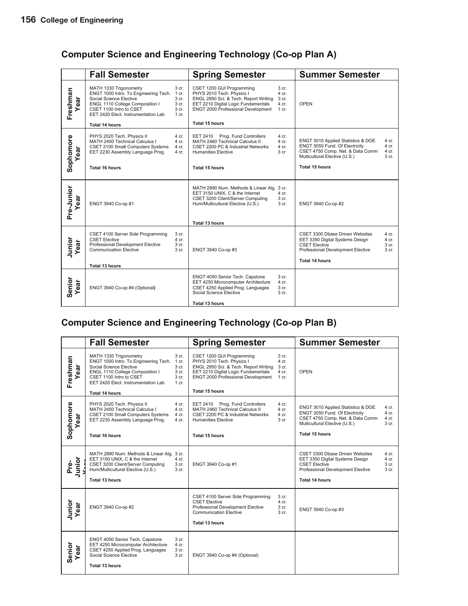## **Computer Science and Engineering Technology (Co-op Plan A)**

|                   | <b>Fall Semester</b>                                                                                                                                                                                                    |                                    | <b>Spring Semester</b>                                                                                                                                                           |                                                      | <b>Summer Semester</b>                                                                                                                                                                                    |
|-------------------|-------------------------------------------------------------------------------------------------------------------------------------------------------------------------------------------------------------------------|------------------------------------|----------------------------------------------------------------------------------------------------------------------------------------------------------------------------------|------------------------------------------------------|-----------------------------------------------------------------------------------------------------------------------------------------------------------------------------------------------------------|
| Freshman<br>ēā    | MATH 1330 Trigonometry<br>3 cr.<br>ENGT 1000 Intro. To Engineering Tech. 1 cr.<br>Social Science Elective<br>3 cr.<br>ENGL 1110 College Composition I<br>CSET 1100 Intro to CSET<br>EET 2420 Elect. Instrumentation Lab | 3 cr.<br>3 cr.<br>$1 \text{ cr}$ . | CSET 1200 GUI Programming<br>PHYS 2010 Tech. Physics I<br>ENGL 2950 Sci. & Tech. Report Writing<br>EET 2210 Digital Logic Fundamentals<br>ENGT 2000 Professional Development     | 3 cr.<br>4 cr.<br>3 cr.<br>4 cr.<br>$1 \text{ cr}$ . | <b>OPEN</b>                                                                                                                                                                                               |
|                   | <b>Total 14 hours</b>                                                                                                                                                                                                   |                                    | Total 15 hours                                                                                                                                                                   |                                                      |                                                                                                                                                                                                           |
| Sophomore<br>ear  | PHYS 2020 Tech. Physics II<br>4 cr.<br>MATH 2450 Technical Calculus I<br>4 cr.<br><b>CSET 2100 Small Computers Systems</b><br>EET 2230 Assembly Language Prog.<br>4 cr.                                                 | 4 cr.                              | Prog. Fund Controllers<br><b>EET 2410</b><br>MATH 2460 Technical Calculus II<br>CSET 2200 PC & Industrial Networks<br><b>Humanities Elective</b>                                 | 4 cr.<br>4 cr.<br>$4$ cr.<br>3 <sub>cr</sub>         | ENGT 3010 Applied Statistics & DOE<br>4 cr.<br>ENGT 3050 Fund. Of Electricity<br>4 cr.<br>CSET 4750 Comp. Net. & Data Comm<br>4 cr.<br>Multicultural Elective (U.S.)<br>3 <sub>cr.</sub>                  |
|                   | <b>Total 16 hours</b>                                                                                                                                                                                                   |                                    | Total 15 hours                                                                                                                                                                   |                                                      | <b>Total 15 hours</b>                                                                                                                                                                                     |
| Pre-Junior<br>ear | ENGT 3940 Co-op #1                                                                                                                                                                                                      |                                    | MATH 2890 Num. Methods & Linear Alg. 3 cr.<br>EET 3150 UNIX, C & the Internet<br>CSET 3200 Client/Server Computing<br>Hum/Multicultural Elective (U.S.)<br><b>Total 13 hours</b> | 4 cr.<br>3 cr.<br>3 cr.                              | ENGT 3940 Co-op #2                                                                                                                                                                                        |
| Junior<br>Year    | CSET 4100 Server Side Programming<br><b>CSET Elective</b><br>4 cr.<br>Professional Development Elective<br><b>Communication Elective</b><br><b>Total 13 hours</b>                                                       | 3 cr.<br>3 cr.<br>3 cr.            | ENGT 3940 Co-op #3                                                                                                                                                               |                                                      | CSET 3300 Dbase Driven Websites<br>4 cr.<br>EET 3350 Digital Systems Design<br>$4$ cr.<br><b>CSET Elective</b><br>3 cr.<br>Professional Development Elective<br>3 <sub>cr.</sub><br><b>Total 14 hours</b> |
|                   |                                                                                                                                                                                                                         |                                    |                                                                                                                                                                                  |                                                      |                                                                                                                                                                                                           |
| Senior<br>ear     | ENGT 3940 Co-op #4 (Optional)                                                                                                                                                                                           |                                    | ENGT 4050 Senior Tech. Capstone<br>EET 4250 Microcomputer Architecture<br>CSET 4250 Applied Prog. Languages<br>Social Science Elective                                           | 3 cr.<br>4 cr.<br>3 cr.<br>3 cr.                     |                                                                                                                                                                                                           |
|                   |                                                                                                                                                                                                                         |                                    | <b>Total 13 hours</b>                                                                                                                                                            |                                                      |                                                                                                                                                                                                           |

### **Computer Science and Engineering Technology (Co-op Plan B)**

|                       | <b>Fall Semester</b>                                                                                                                                                                            |                                                      | <b>Spring Semester</b>                                                                                                                                                       |                                                      | <b>Summer Semester</b>                                                                                                                                                                                             |  |
|-----------------------|-------------------------------------------------------------------------------------------------------------------------------------------------------------------------------------------------|------------------------------------------------------|------------------------------------------------------------------------------------------------------------------------------------------------------------------------------|------------------------------------------------------|--------------------------------------------------------------------------------------------------------------------------------------------------------------------------------------------------------------------|--|
| Freshman<br>ear       | MATH 1330 Trigonometry<br>ENGT 1000 Intro. To Engineering Tech.<br>Social Science Elective<br>ENGL 1110 College Composition I<br>CSET 1100 Intro to CSET<br>EET 2420 Elect. Instrumentation Lab | 3 cr.<br>1 cr.<br>3 cr.<br>3 cr.<br>3 cr.<br>$1$ cr. | CSET 1200 GUI Programming<br>PHYS 2010 Tech. Physics I<br>ENGL 2950 Sci. & Tech. Report Writing<br>EET 2210 Digital Logic Fundamentals<br>ENGT 2000 Professional Development | 3 <sub>cr.</sub><br>4 cr.<br>3 cr.<br>4 cr.<br>1 cr. | <b>OPEN</b>                                                                                                                                                                                                        |  |
|                       | <b>Total 14 hours</b>                                                                                                                                                                           |                                                      | <b>Total 15 hours</b>                                                                                                                                                        |                                                      |                                                                                                                                                                                                                    |  |
| Sophomore<br>ear      | PHYS 2020 Tech. Physics II<br>MATH 2450 Technical Calculus I<br>CSET 2100 Small Computers Systems<br>EET 2230 Assembly Language Prog.                                                           | 4 cr.<br>4 cr.<br>4 cr.<br>4 cr.                     | EET 2410 Prog. Fund Controllers<br>MATH 2460 Technical Calculus II<br>CSET 2200 PC & Industrial Networks<br><b>Humanities Elective</b>                                       | 4 cr.<br>$4$ cr.<br>4 cr.<br>3 cr                    | ENGT 3010 Applied Statistics & DOE<br>4 cr.<br>ENGT 3050 Fund. Of Electricity<br>4 cr.<br>CSET 4750 Comp. Net. & Data Comm<br>4 cr.<br>Multicultural Elective (U.S.)<br>3 cr.                                      |  |
|                       | Total 16 hours                                                                                                                                                                                  |                                                      | Total 15 hours                                                                                                                                                               |                                                      | <b>Total 15 hours</b>                                                                                                                                                                                              |  |
| Junior<br>Pre-        | MATH 2890 Num. Methods & Linear Alg. 3 cr.<br>EET 3150 UNIX, C & the Internet<br>CSET 3200 Client/Server Computing<br>Hum/Multicultural Elective (U.S.)<br><b>Total 13 hours</b>                | 4 cr.<br>3 cr.<br>3 cr.                              | ENGT 3940 Co-op #1                                                                                                                                                           |                                                      | CSET 3300 Dbase Driven Websites<br>4 cr.<br>EET 3350 Digital Systems Design<br>4 cr.<br><b>CSET Elective</b><br>3 <sub>cr.</sub><br>Professional Development Elective<br>3 <sub>cr.</sub><br><b>Total 14 hours</b> |  |
| Junior<br>Year<br>ear | ENGT 3940 Co-op #2                                                                                                                                                                              |                                                      | CSET 4100 Server Side Programming<br><b>CSET Elective</b><br>Professional Development Elective<br><b>Communication Elective</b><br>Total 13 hours                            | 3 cr.<br>4 cr.<br>3 cr.<br>3 <sub>cr.</sub>          | ENGT 3940 Co-op #3                                                                                                                                                                                                 |  |
| Senior<br>ear         | ENGT 4050 Senior Tech. Capstone<br>EET 4250 Microcomputer Architecture<br>CSET 4250 Applied Prog. Languages<br>Social Science Elective<br>Total 13 hours                                        | 3 <sub>cr.</sub><br>4 cr.<br>3 cr.<br>3 cr.          | ENGT 3940 Co-op #4 (Optional)                                                                                                                                                |                                                      |                                                                                                                                                                                                                    |  |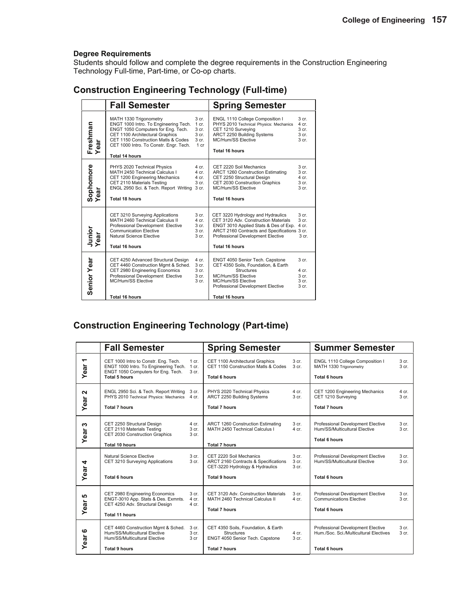Students should follow and complete the degree requirements in the Construction Engineering Technology Full-time, Part-time, or Co-op charts.

|                        | <b>Fall Semester</b>                                                                                                                                                                                                                        |                                                                           | <b>Spring Semester</b>                                                                                                                                                                                                           |                                                                                       |
|------------------------|---------------------------------------------------------------------------------------------------------------------------------------------------------------------------------------------------------------------------------------------|---------------------------------------------------------------------------|----------------------------------------------------------------------------------------------------------------------------------------------------------------------------------------------------------------------------------|---------------------------------------------------------------------------------------|
| Freshman<br>Year<br>ēā | MATH 1330 Trigonometry<br>ENGT 1000 Intro. To Engineering Tech.<br>ENGT 1050 Computers for Eng. Tech.<br>CET 1100 Architectural Graphics<br>CET 1150 Construction Matls & Codes<br>CET 1000 Intro. To Constr. Engr. Tech.<br>Total 14 hours | 3 cr.<br>$1$ cr.<br>3 cr.<br>3 <sub>cr.</sub><br>3 cr.<br>1 <sub>cr</sub> | ENGL 1110 College Composition I<br>PHYS 2010 Technical Physics: Mechanics<br>CET 1210 Surveying<br>ARCT 2250 Building Systems<br>MC/Hum/SS Elective<br>Total 16 hours                                                            | 3 <sub>cr.</sub><br>4 cr.<br>3 <sub>cr.</sub><br>3 <sub>cr.</sub><br>3 cr.            |
| Sophomore<br>Year      | PHYS 2020 Technical Physics<br>MATH 2450 Technical Calculus I<br>CET 1200 Engineering Mechanics<br>CET 2110 Materials Testing<br>ENGL 2950 Sci. & Tech. Report Writing<br>Total 18 hours                                                    | 4 cr.<br>4 cr.<br>4 cr.<br>3 cr.<br>3 cr.                                 | CET 2220 Soil Mechanics<br>ARCT 1260 Construction Estimating<br>CET 2250 Structural Design<br>CET 2030 Construction Graphics<br>MC/Hum/SS Elective<br>Total 16 hours                                                             | 3 <sub>cr.</sub><br>3 <sub>cr.</sub><br>4 cr.<br>3 <sub>cr.</sub><br>3 <sub>cr.</sub> |
| Junior<br>ear          | CET 3210 Surveying Applications<br>MATH 2460 Technical Calculus II<br>Professional Development Elective<br><b>Communication Elective</b><br>Natural Science Elective<br><b>Total 16 hours</b>                                               | 3 <sub>cr.</sub><br>$4$ cr.<br>3 cr.<br>3 cr.<br>3 <sub>cr.</sub>         | CET 3220 Hydrology and Hydraulics<br>CET 3120 Adv. Construction Materials<br>ENGT 3010 Applied Stats & Des of Exp.<br>ARCT 2160 Contracts and Specifications 3 cr.<br>Professional Development Elective<br><b>Total 16 hours</b> | 3 <sub>cr.</sub><br>3 <sub>cr.</sub><br>4 cr.<br>3 <sub>cr.</sub>                     |
| Senior Year            | CET 4250 Advanced Structural Design<br>CET 4460 Construction Mgmt & Sched.<br>CET 2980 Engineering Economics<br>Professional Development Elective<br>MC/Hum/SS Elective<br><b>Total 16 hours</b>                                            | 4 cr.<br>3 cr.<br>3 cr.<br>3 cr.<br>3 cr.                                 | ENGT 4050 Senior Tech. Capstone<br>CET 4350 Soils, Foundation, & Earth<br><b>Structures</b><br>MC/Hum/SS Elective<br>MC/Hum/SS Elective<br>Professional Development Elective<br><b>Total 16 hours</b>                            | 3 <sub>cr.</sub><br>4 cr.<br>3 <sub>cr.</sub><br>3 <sub>cr.</sub><br>3 cr.            |

## **Construction Engineering Technology (Full-time)**

### **Construction Engineering Technology (Part-time)**

|                                  | <b>Fall Semester</b>                                                                                                                 |                         | <b>Spring Semester</b>                                                                             |                                    | <b>Summer Semester</b>                                                                      |                           |
|----------------------------------|--------------------------------------------------------------------------------------------------------------------------------------|-------------------------|----------------------------------------------------------------------------------------------------|------------------------------------|---------------------------------------------------------------------------------------------|---------------------------|
| $\overline{\phantom{0}}$<br>Year | CET 1000 Intro to Constr. Eng. Tech.<br>ENGT 1000 Intro. To Engineering Tech.<br>ENGT 1050 Computers for Eng. Tech.<br>Total 5 hours | 1 cr.<br>1 cr.<br>3 cr. | CET 1100 Architectural Graphics<br>CET 1150 Construction Matls & Codes<br><b>Total 6 hours</b>     | 3 <sub>cr.</sub><br>3 cr.          | ENGL 1110 College Composition I<br>MATH 1330 Trigonometry<br><b>Total 6 hours</b>           | 3 cr.<br>3 cr.            |
| N<br>Year                        | ENGL 2950 Sci. & Tech. Report Writing<br>PHYS 2010 Technical Physics: Mechanics 4 cr.<br><b>Total 7 hours</b>                        | 3 cr.                   | PHYS 2020 Technical Physics<br>ARCT 2250 Building Systems<br>Total 7 hours                         | 4 cr.<br>3 cr.                     | CET 1200 Engineering Mechanics<br>CET 1210 Surveying<br><b>Total 7 hours</b>                | 4 cr.<br>3 cr.            |
| ო<br>Year                        | CET 2250 Structural Design<br>CET 2110 Materials Testing<br>CET 2030 Construction Graphics<br><b>Total 10 hours</b>                  | 4 cr.<br>3 cr.<br>3 cr. | ARCT 1260 Construction Estimating<br>MATH 2450 Technical Calculus I<br><b>Total 7 hours</b>        | 3 cr.<br>$4$ cr.                   | Professional Development Elective<br>Hum/SS/Multicultural Elective<br><b>Total 6 hours</b>  | 3 cr.<br>3 cr.            |
| 4<br>Year                        | Natural Science Elective<br>CET 3210 Surveying Applications                                                                          | 3 cr.<br>3 cr.          | CET 2220 Soil Mechanics<br>ARCT 2160 Contracts & Specifications<br>CET-3220 Hydrology & Hydraulics | 3 cr.<br>3 <sub>cr.</sub><br>3 cr. | <b>Professional Development Elective</b><br>Hum/SS/Multicultural Elective                   | 3 cr.<br>3 cr.            |
|                                  | Total 6 hours                                                                                                                        |                         | Total 9 hours                                                                                      |                                    | <b>Total 6 hours</b>                                                                        |                           |
| မ<br>Year                        | CET 2980 Engineering Economics<br>ENGT-3010 App. Stats & Des. Exmnts.<br>CET 4250 Adv. Structural Design<br>Total 11 hours           | 3 cr.<br>4 cr.<br>4 cr. | CET 3120 Adv. Construction Materials<br>MATH 2460 Technical Calculus II<br><b>Total 7 hours</b>    | 3 cr.<br>4 cr.                     | Professional Development Elective<br><b>Communications Elective</b><br><b>Total 6 hours</b> | 3 cr.<br>3 <sub>cr.</sub> |
| ဖ<br>ear                         | CET 4460 Construction Mgmt & Sched.<br>Hum/SS/Multicultural Elective<br>Hum/SS/Multicultural Elective                                | 3 cr.<br>3 cr.<br>3 cr  | CET 4350 Soils, Foundation, & Earth<br>Structures<br>ENGT 4050 Senior Tech. Capstone               | $4$ cr.<br>3 cr.                   | Professional Development Elective<br>Hum./Soc. Sci./Multicultural Electives                 | 3 cr.<br>3 cr.            |
| ≻                                | <b>Total 9 hours</b>                                                                                                                 |                         | <b>Total 7 hours</b>                                                                               |                                    | <b>Total 6 hours</b>                                                                        |                           |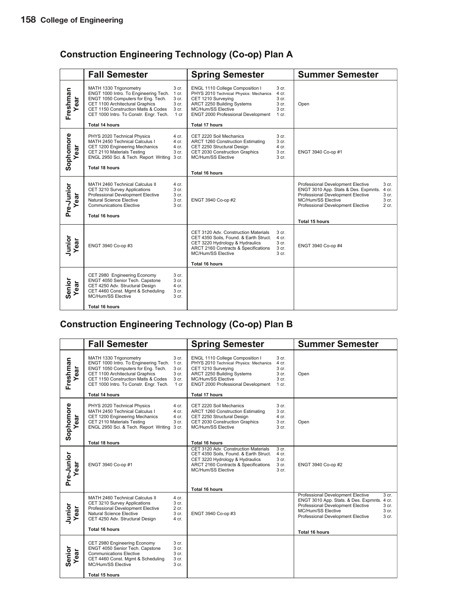## **Construction Engineering Technology (Co-op) Plan A**

|                   | <b>Fall Semester</b>                                                                                                                                                                                                      |                                                   | <b>Spring Semester</b>                                                                                                                                                                    |                                                                                     | <b>Summer Semester</b>                                                                                                                                                                                                                         |
|-------------------|---------------------------------------------------------------------------------------------------------------------------------------------------------------------------------------------------------------------------|---------------------------------------------------|-------------------------------------------------------------------------------------------------------------------------------------------------------------------------------------------|-------------------------------------------------------------------------------------|------------------------------------------------------------------------------------------------------------------------------------------------------------------------------------------------------------------------------------------------|
| Freshman<br>ā     | MATH 1330 Trigonometry<br>ENGT 1000 Intro. To Engineering Tech.<br>ENGT 1050 Computers for Eng. Tech.<br>CET 1100 Architectural Graphics<br>CET 1150 Construction Matls & Codes<br>CET 1000 Intro. To Constr. Engr. Tech. | 3 cr.<br>1 cr.<br>3 cr.<br>3 cr.<br>3 cr.<br>1 cr | ENGL 1110 College Composition I<br>PHYS 2010 Technical Physics: Mechanics<br>CET 1210 Surveying<br>ARCT 2250 Building Systems<br>MC/Hum/SS Elective<br>ENGT 2000 Professional Development | 3 <sub>cr.</sub><br>4 cr.<br>3 cr.<br>3 cr.<br>3 <sub>cr.</sub><br>$1 \text{ cr}$ . | Open                                                                                                                                                                                                                                           |
|                   | Total 14 hours                                                                                                                                                                                                            |                                                   | Total 17 hours                                                                                                                                                                            |                                                                                     |                                                                                                                                                                                                                                                |
| Sophomore<br>ear  | PHYS 2020 Technical Physics<br>MATH 2450 Technical Calculus I<br>CET 1200 Engineering Mechanics<br>CET 2110 Materials Testing<br>ENGL 2950 Sci. & Tech. Report Writing 3 cr.                                              | 4 cr.<br>4 cr.<br>4 cr.<br>3 cr.                  | CET 2220 Soil Mechanics<br>ARCT 1260 Construction Estimating<br>CET 2250 Structural Design<br>CET 2030 Construction Graphics<br>MC/Hum/SS Elective                                        | 3 cr.<br>3 cr.<br>4 cr.<br>3 cr.<br>3 <sub>cr.</sub>                                | ENGT 3940 Co-op #1                                                                                                                                                                                                                             |
|                   | <b>Total 18 hours</b>                                                                                                                                                                                                     |                                                   | Total 16 hours                                                                                                                                                                            |                                                                                     |                                                                                                                                                                                                                                                |
|                   |                                                                                                                                                                                                                           |                                                   |                                                                                                                                                                                           |                                                                                     |                                                                                                                                                                                                                                                |
| Pre-Junior<br>ear | MATH 2460 Technical Calculus II<br>CET 3210 Survey Applications<br>Professional Development Elective<br>Natural Science Elective<br><b>Communications Elective</b>                                                        | 4 cr.<br>3 cr.<br>3 cr.<br>3 cr.<br>3 cr.         | ENGT 3940 Co-op #2                                                                                                                                                                        |                                                                                     | Professional Development Elective<br>3 <sub>cr.</sub><br>ENGT 3010 App. Stats & Des. Expmnts.<br>4 cr.<br>Professional Development Elective<br>3 <sub>cr.</sub><br>MC/Hum/SS Elective<br>3 cr.<br>Professional Development Elective<br>$2$ cr. |
|                   | Total 16 hours                                                                                                                                                                                                            |                                                   |                                                                                                                                                                                           |                                                                                     | Total 15 hours                                                                                                                                                                                                                                 |
| Junior<br>ear     | ENGT 3940 Co-op #3                                                                                                                                                                                                        |                                                   | CET 3120 Adv. Construction Materials<br>CET 4350 Soils, Found. & Earth Struct.<br>CET 3220 Hydrology & Hydraulics<br>ARCT 2160 Contracts & Specifications<br>MC/Hum/SS Elective           | 3 cr.<br>4 cr.<br>3 <sub>cr.</sub><br>3 <sub>cr.</sub><br>3 <sub>cr.</sub>          | ENGT 3940 Co-op #4                                                                                                                                                                                                                             |
|                   |                                                                                                                                                                                                                           |                                                   | <b>Total 16 hours</b>                                                                                                                                                                     |                                                                                     |                                                                                                                                                                                                                                                |
| Senior<br>ă<br>Φ  | CET 2980 Engineering Economy<br>ENGT 4050 Senior Tech. Capstone<br>CET 4250 Adv. Structural Design<br>CET 4460 Const. Mgmt & Scheduling<br>MC/Hum/SS Elective                                                             | 3 cr.<br>3 cr.<br>4 cr.<br>3 cr.<br>3 cr.         |                                                                                                                                                                                           |                                                                                     |                                                                                                                                                                                                                                                |
|                   | <b>Total 16 hours</b>                                                                                                                                                                                                     |                                                   |                                                                                                                                                                                           |                                                                                     |                                                                                                                                                                                                                                                |

## **Construction Engineering Technology (Co-op) Plan B**

|                   | <b>Fall Semester</b>                                                                                                                                                                                                                                     |                                                      | <b>Spring Semester</b>                                                                                                                                                                                                    |                                                               | <b>Summer Semester</b>                                                                                                                                                                                                                            |
|-------------------|----------------------------------------------------------------------------------------------------------------------------------------------------------------------------------------------------------------------------------------------------------|------------------------------------------------------|---------------------------------------------------------------------------------------------------------------------------------------------------------------------------------------------------------------------------|---------------------------------------------------------------|---------------------------------------------------------------------------------------------------------------------------------------------------------------------------------------------------------------------------------------------------|
| Freshman<br>ear   | MATH 1330 Trigonometry<br>ENGT 1000 Intro. To Engineering Tech. 1 cr.<br>ENGT 1050 Computers for Eng. Tech.<br>CET 1100 Architectural Graphics<br>CET 1150 Construction Matls & Codes<br>CET 1000 Intro. To Constr. Engr. Tech.<br><b>Total 14 hours</b> | 3 cr.<br>3 cr.<br>3 cr.<br>3 cr.<br>1 cr             | ENGL 1110 College Composition I<br>PHYS 2010 Technical Physics: Mechanics<br>CET 1210 Surveying<br>ARCT 2250 Building Systems<br>MC/Hum/SS Elective<br><b>ENGT 2000 Professional Development</b><br><b>Total 17 hours</b> | 3 <sub>cr.</sub><br>4 cr.<br>3 cr.<br>3 cr.<br>3 cr.<br>1 cr. | Open                                                                                                                                                                                                                                              |
| Sophomore<br>ear  | PHYS 2020 Technical Physics<br>MATH 2450 Technical Calculus I<br>CET 1200 Engineering Mechanics<br>CET 2110 Materials Testing<br>ENGL 2950 Sci. & Tech. Report Writing 3 cr.<br>Total 18 hours                                                           | 4 cr.<br>4 cr.<br>4 cr.<br>3 cr.                     | CET 2220 Soil Mechanics<br>ARCT 1260 Construction Estimating<br>CET 2250 Structural Design<br>CET 2030 Construction Graphics<br><b>MC/Hum/SS Elective</b><br><b>Total 16 hours</b>                                        | 3 cr.<br>3 cr.<br>4 cr.<br>3 cr.<br>3 cr.                     | Open                                                                                                                                                                                                                                              |
| Pre-Junior<br>ear | ENGT 3940 Co-op #1                                                                                                                                                                                                                                       |                                                      | CET 3120 Adv. Construction Materials<br>CET 4350 Soils, Found. & Earth Struct.<br>CET 3220 Hydrology & Hydraulics<br>ARCT 2160 Contracts & Specifications<br>MC/Hum/SS Elective<br><b>Total 16 hours</b>                  | 3 <sub>cr.</sub><br>4 cr.<br>3 cr.<br>3 cr.<br>3 cr.          | ENGT 3940 Co-op #2                                                                                                                                                                                                                                |
| Junior<br>ear     | MATH 2460 Technical Calculus II<br>CET 3210 Survey Applications<br><b>Professional Development Elective</b><br>Natural Science Elective<br>CET 4250 Adv. Structural Design<br><b>Total 16 hours</b>                                                      | 4 cr.<br>3 cr.<br>2 cr.<br>3 cr.<br>4 cr.            | ENGT 3940 Co-op #3                                                                                                                                                                                                        |                                                               | Professional Development Elective<br>3 <sub>cr.</sub><br>ENGT 3010 App. Stats. & Des. Expmnts. 4 cr.<br>Professional Development Elective<br>3 cr.<br>MC/Hum/SS Elective<br>3 cr.<br>3 cr.<br>Professional Development Elective<br>Total 16 hours |
| Senior<br>ear     | CET 2980 Engineering Economy<br>ENGT 4050 Senior Tech. Capstone<br><b>Communications Elective</b><br>CET 4460 Const. Mgmt & Scheduling<br>MC/Hum/SS Elective<br>Total 15 hours                                                                           | 3 cr.<br>3 cr.<br>3 <sub>cr.</sub><br>3 cr.<br>3 cr. |                                                                                                                                                                                                                           |                                                               |                                                                                                                                                                                                                                                   |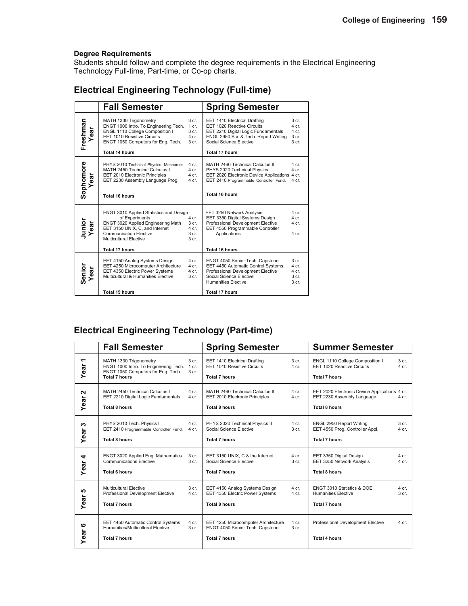Students should follow and complete the degree requirements in the Electrical Engineering Technology Full-time, Part-time, or Co-op charts.

## **Electrical Engineering Technology (Full-time)**

|                   | <b>Fall Semester</b>                                                                                                                                                                                                         |                                                                 | <b>Spring Semester</b>                                                                                                                                                                       |                                                                            |
|-------------------|------------------------------------------------------------------------------------------------------------------------------------------------------------------------------------------------------------------------------|-----------------------------------------------------------------|----------------------------------------------------------------------------------------------------------------------------------------------------------------------------------------------|----------------------------------------------------------------------------|
| Freshman<br>Year  | MATH 1330 Trigonometry<br>ENGT 1000 Intro. To Engineering Tech.<br>ENGL 1110 College Composition I<br>EET 1010 Resistive Circuits<br>ENGT 1050 Computers for Eng. Tech.<br><b>Total 14 hours</b>                             | 3 cr.<br>1 cr.<br>3 cr.<br>4 cr.<br>3 cr.                       | EET 1410 Electrical Drafting<br>EET 1020 Reactive Circuits<br>EET 2210 Digital Logic Fundamentals<br>ENGL 2950 Sci. & Tech. Report Writing<br>Social Science Elective<br>Total 17 hours      | 3 <sub>cr.</sub><br>$4$ cr.<br>$4$ cr.<br>3 cr.<br>3 <sub>cr.</sub>        |
| Sophomore<br>Year | PHYS 2010 Technical Physics: Mechanics<br>MATH 2450 Technical Calculus I<br>EET 2010 Electronic Principles<br>EET 2230 Assembly Language Prog.<br><b>Total 16 hours</b>                                                      | 4 cr.<br>4 cr.<br>$4$ cr.<br>4 cr.                              | MATH 2460 Technical Calculus II<br>PHYS 2020 Technical Physics<br>EET 2020 Electronic Device Applications 4 cr.<br>EET 2410 Programmable Controller Fund.<br>Total 16 hours                  | 4 cr.<br>4 cr.<br>4 cr.                                                    |
| Junior<br>Year    | <b>ENGT 3010 Applied Statistics and Design</b><br>of Experiments<br>ENGT 3020 Applied Engineering Math<br>EET 3150 UNIX, C, and Internet<br><b>Communication Elective</b><br>Multicultural Elective<br><b>Total 17 hours</b> | 4 cr.<br>3 cr.<br>4 cr.<br>3 <sub>cr.</sub><br>3 <sub>cr.</sub> | EET 3250 Network Analysis<br>EET 3350 Digital Systems Design<br>Professional Development Elective<br>EET 4550 Programmable Controller<br>Applications<br><b>Total 16 hours</b>               | $4 \text{ cr}$<br>$4$ cr.<br>4 cr.<br>4 cr.                                |
| Senior<br>Year    | EET 4150 Analog Systems Design<br>EET 4250 Microcomputer Architecture<br>EET 4350 Electric Power Systems<br>Multicultural & Humanities Elective<br>Total 15 hours                                                            | 4 cr.<br>4 cr.<br>4 cr.<br>3 cr.                                | ENGT 4050 Senior Tech. Capstone<br>EET 4450 Automatic Control Systems<br>Professional Development Elective<br>Social Science Elective<br><b>Humanities Elective</b><br><b>Total 17 hours</b> | 3 <sub>cr.</sub><br>4 cr.<br>4 cr.<br>3 <sub>cr.</sub><br>3 <sub>cr.</sub> |

### **Electrical Engineering Technology (Part-time)**

|                      | <b>Fall Semester</b>                                                                                                                                     | <b>Spring Semester</b>                                                                         |                             | <b>Summer Semester</b>                                                                              |                           |
|----------------------|----------------------------------------------------------------------------------------------------------------------------------------------------------|------------------------------------------------------------------------------------------------|-----------------------------|-----------------------------------------------------------------------------------------------------|---------------------------|
| ᅮ<br>ear<br>≻        | MATH 1330 Trigonometry<br>3 cr.<br>ENGT 1000 Intro. To Engineering Tech.<br>1 cr.<br>ENGT 1050 Computers for Eng. Tech.<br>3 cr.<br><b>Total 7 hours</b> | EET 1410 Electrical Drafting<br>EET 1010 Resistive Circuits<br><b>Total 7 hours</b>            | 3 cr.<br>$4$ cr.            | ENGL 1110 College Composition I<br>EET 1020 Reactive Circuits<br><b>Total 7 hours</b>               | 3 cr.<br>4 cr.            |
| $\mathbf{a}$<br>Year | MATH 2450 Technical Calculus I<br>4 cr.<br>EET 2210 Digital Logic Fundamentals<br>4 cr.<br><b>Total 8 hours</b>                                          | MATH 2460 Technical Calculus II<br>EET 2010 Electronic Principles<br><b>Total 8 hours</b>      | $4$ cr.<br>4 cr.            | EET 2020 Electronic Device Applications 4 cr.<br>EET 2230 Assembly Language<br><b>Total 8 hours</b> | 4 cr.                     |
| ∾<br>Year            | PHYS 2010 Tech. Physics I<br>4 cr.<br>EET 2410 Programmable Controller Fund.<br>4 cr.<br><b>Total 8 hours</b>                                            | PHYS 2020 Technical Physics II<br>Social Science Elective<br><b>Total 7 hours</b>              | $4$ cr.<br>3 <sub>cr.</sub> | ENGL 2950 Report Writing.<br>EET 4550 Prog. Controller Appl.<br><b>Total 7 hours</b>                | 3 <sub>cr.</sub><br>4 cr. |
| 4<br>Year            | ENGT 3020 Applied Eng. Mathematics<br>3 cr.<br><b>Communications Elective</b><br>3 <sub>cr.</sub><br><b>Total 6 hours</b>                                | EET 3150 UNIX, C & the Internet<br>Social Science Elective<br><b>Total 7 hours</b>             | $4$ cr.<br>3 <sub>cr.</sub> | EET 3350 Digital Design<br>EET 3250 Network Analysis<br>Total 8 hours                               | $4$ cr.<br>4 cr.          |
| မာ<br>Year           | Multicultural Elective<br>3 cr.<br>Professional Development Elective<br>$4$ cr.<br><b>Total 7 hours</b>                                                  | EET 4150 Analog Systems Design<br>EET 4350 Electric Power Systems<br><b>Total 8 hours</b>      | 4 cr.<br>$4$ cr.            | <b>ENGT 3010 Statistics &amp; DOE</b><br><b>Humanities Elective</b><br><b>Total 7 hours</b>         | $4$ cr.<br>3 cr.          |
| ဖ<br>Year            | EET 4450 Automatic Control Systems<br>4 cr.<br>Humanities/Multicultural Elective<br>3 <sub>cr.</sub><br><b>Total 7 hours</b>                             | EET 4250 Microcomputer Architecture<br>ENGT 4050 Senior Tech. Capstone<br><b>Total 7 hours</b> | 4 cr.<br>3 cr.              | Professional Development Elective<br><b>Total 4 hours</b>                                           | 4 cr.                     |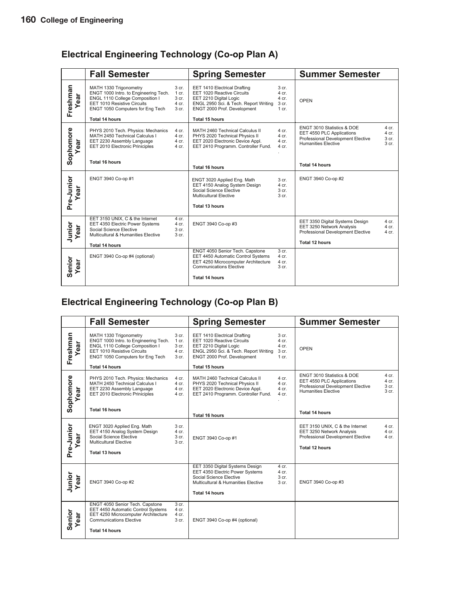## **Electrical Engineering Technology (Co-op Plan A)**

|                  | <b>Fall Semester</b>                                                                                                                                                  |                                             | <b>Spring Semester</b>                                                                                                                                                  |                                                                 | <b>Summer Semester</b>                                                                                                     |                                                            |
|------------------|-----------------------------------------------------------------------------------------------------------------------------------------------------------------------|---------------------------------------------|-------------------------------------------------------------------------------------------------------------------------------------------------------------------------|-----------------------------------------------------------------|----------------------------------------------------------------------------------------------------------------------------|------------------------------------------------------------|
| Freshman<br>ear  | MATH 1330 Trigonometry<br>ENGT 1000 Intro. to Engineering Tech.<br>ENGL 1110 College Composition I<br>EET 1010 Resistive Circuits<br>ENGT 1050 Computers for Eng Tech | 3 cr.<br>$1$ cr.<br>3 cr.<br>4 cr.<br>3 cr. | EET 1410 Electrical Drafting<br>EET 1020 Reactive Circuits<br>EET 2210 Digital Logic<br>ENGL 2950 Sci. & Tech. Report Writing<br>ENGT 2000 Prof. Development            | 3 <sub>cr.</sub><br>4 cr.<br>4 cr.<br>3 cr.<br>$1 \text{ cr}$ . | OPEN                                                                                                                       |                                                            |
|                  | <b>Total 14 hours</b>                                                                                                                                                 |                                             | <b>Total 15 hours</b>                                                                                                                                                   |                                                                 |                                                                                                                            |                                                            |
| Sophomore<br>ear | PHYS 2010 Tech. Physics: Mechanics<br>MATH 2450 Technical Calculus I<br>EET 2230 Assembly Language<br>EET 2010 Electronic Priniciples                                 | 4 cr.<br>4 cr.<br>4 cr.<br>4 cr.            | MATH 2460 Technical Calculus II<br>PHYS 2020 Technical Physics II<br>EET 2020 Electronic Device Appl.<br>EET 2410 Programm. Controller Fund.                            | 4 cr.<br>4 cr.<br>4 cr.<br>4 cr.                                | ENGT 3010 Statistics & DOE<br>EET 4550 PLC Applications<br>Professional Development Elective<br><b>Humanities Elective</b> | $4$ cr.<br>$4$ cr.<br>3 <sub>cr.</sub><br>3 <sub>cr.</sub> |
|                  | Total 16 hours                                                                                                                                                        |                                             | <b>Total 16 hours</b>                                                                                                                                                   |                                                                 | <b>Total 14 hours</b>                                                                                                      |                                                            |
| Pre-Junior<br>ar | ENGT 3940 Co-op #1                                                                                                                                                    |                                             | ENGT 3020 Applied Eng. Math<br>EET 4150 Analog System Design<br>Social Science Elective<br><b>Multicultural Elective</b><br>Total 13 hours                              | 3 cr.<br>4 cr.<br>3 <sub>cr.</sub><br>3 cr.                     | ENGT 3940 Co-op #2                                                                                                         |                                                            |
|                  |                                                                                                                                                                       |                                             |                                                                                                                                                                         |                                                                 |                                                                                                                            |                                                            |
| Junior<br>ear    | EET 3150 UNIX, C & the Internet<br>EET 4350 Electric Power Systems<br>Social Science Elective<br>Multicultural & Humanities Elective                                  | 4 cr.<br>4 cr.<br>3 cr.<br>3 <sub>cr.</sub> | ENGT 3940 Co-op #3                                                                                                                                                      |                                                                 | EET 3350 Digital Systems Design<br>EET 3250 Network Analysis<br>Professional Development Elective                          | 4 cr.<br>$4$ cr.<br>$4$ cr.                                |
|                  | <b>Total 14 hours</b>                                                                                                                                                 |                                             |                                                                                                                                                                         |                                                                 | Total 12 hours                                                                                                             |                                                            |
| Senior<br>ear    | ENGT 3940 Co-op #4 (optional)                                                                                                                                         |                                             | ENGT 4050 Senior Tech. Capstone<br>EET 4450 Automatic Control Systems<br>EET 4250 Microcomputer Architecture<br><b>Communications Elective</b><br><b>Total 14 hours</b> | 3 cr.<br>4 cr.<br>4 cr.<br>3 cr.                                |                                                                                                                            |                                                            |

## **Electrical Engineering Technology (Co-op Plan B)**

|                  | <b>Fall Semester</b>                                                                                                                                                         |                                             | <b>Spring Semester</b>                                                                                                                                       |                                                        | <b>Summer Semester</b>                                                                                                     |                                  |
|------------------|------------------------------------------------------------------------------------------------------------------------------------------------------------------------------|---------------------------------------------|--------------------------------------------------------------------------------------------------------------------------------------------------------------|--------------------------------------------------------|----------------------------------------------------------------------------------------------------------------------------|----------------------------------|
| Freshman<br>ear  | MATH 1330 Trigonometry<br>ENGT 1000 Intro. to Engineering Tech.<br>ENGL 1110 College Composition I<br><b>EET 1010 Resistive Circuits</b><br>ENGT 1050 Computers for Eng Tech | 3 cr.<br>$1$ cr.<br>3 cr.<br>4 cr.<br>3 cr. | EET 1410 Electrical Drafting<br>EET 1020 Reactive Circuits<br>EET 2210 Digital Logic<br>ENGL 2950 Sci. & Tech. Report Writing<br>ENGT 2000 Prof. Development | 3 <sub>cr.</sub><br>4 cr.<br>4 cr.<br>3 cr.<br>$1$ cr. | OPEN                                                                                                                       |                                  |
|                  | <b>Total 14 hours</b>                                                                                                                                                        |                                             | <b>Total 15 hours</b>                                                                                                                                        |                                                        |                                                                                                                            |                                  |
| Sophomore<br>ear | PHYS 2010 Tech. Physics: Mechanics<br>MATH 2450 Technical Calculus I<br>EET 2230 Assembly Language<br>EET 2010 Electronic Priniciples                                        | 4 cr.<br>4 cr.<br>4 cr.<br>4 cr.            | MATH 2460 Technical Calculus II<br>PHYS 2020 Technical Physics II<br>EET 2020 Electronic Device Appl.<br>EET 2410 Programm. Controller Fund.                 | 4 cr.<br>$4$ cr.<br>4 cr.<br>$4$ cr.                   | ENGT 3010 Statistics & DOE<br>EET 4550 PLC Applications<br>Professional Development Elective<br><b>Humanities Elective</b> | 4 cr.<br>4 cr.<br>3 cr.<br>3 cr. |
|                  | <b>Total 16 hours</b>                                                                                                                                                        |                                             | <b>Total 16 hours</b>                                                                                                                                        |                                                        | Total 14 hours                                                                                                             |                                  |
| Pre-Junior<br>ea | ENGT 3020 Applied Eng. Math<br>EET 4150 Analog System Design<br>Social Science Elective<br><b>Multicultural Elective</b><br><b>Total 13 hours</b>                            | 3 cr.<br>4 cr.<br>3 cr.<br>3 cr.            | ENGT 3940 Co-op #1                                                                                                                                           |                                                        | EET 3150 UNIX, C & the Internet<br>EET 3250 Network Analysis<br>Professional Development Elective<br>Total 12 hours        | 4 cr.<br>4 cr.<br>4 cr.          |
|                  |                                                                                                                                                                              |                                             |                                                                                                                                                              |                                                        |                                                                                                                            |                                  |
| Junior<br>Year   | ENGT 3940 Co-op #2                                                                                                                                                           |                                             | EET 3350 Digital Systems Design<br>EET 4350 Electric Power Systems<br>Social Science Elective<br>Multicultural & Humanities Elective                         | $4$ cr.<br>4 cr.<br>3 cr.<br>3 <sub>cr.</sub>          | ENGT 3940 Co-op #3                                                                                                         |                                  |
|                  |                                                                                                                                                                              |                                             | <b>Total 14 hours</b>                                                                                                                                        |                                                        |                                                                                                                            |                                  |
| Senior<br>ear    | ENGT 4050 Senior Tech. Capstone<br>EET 4450 Automatic Control Systems<br>EET 4250 Microcomputer Architecture<br><b>Communications Elective</b><br><b>Total 14 hours</b>      | 3 cr.<br>4 cr.<br>4 cr.<br>3 cr.            | ENGT 3940 Co-op #4 (optional)                                                                                                                                |                                                        |                                                                                                                            |                                  |
|                  |                                                                                                                                                                              |                                             |                                                                                                                                                              |                                                        |                                                                                                                            |                                  |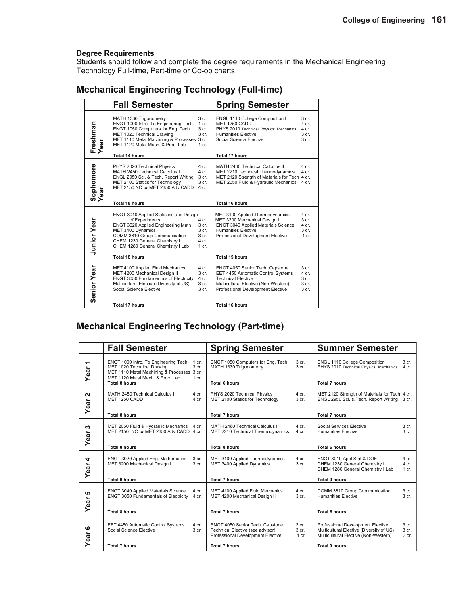Students should follow and complete the degree requirements in the Mechanical Engineering Technology Full-time, Part-time or Co-op charts.

| <b>Mechanical Engineering Technology (Full-time)</b> |  |  |  |
|------------------------------------------------------|--|--|--|
|------------------------------------------------------|--|--|--|

|                    | <b>Fall Semester</b>                                                                                                                                                                                                                                 |                                                                   | <b>Spring Semester</b>                                                                                                                                                                                   |                                                                            |
|--------------------|------------------------------------------------------------------------------------------------------------------------------------------------------------------------------------------------------------------------------------------------------|-------------------------------------------------------------------|----------------------------------------------------------------------------------------------------------------------------------------------------------------------------------------------------------|----------------------------------------------------------------------------|
| Freshman<br>Year   | MATH 1330 Trigonometry<br>ENGT 1000 Intro. To Engineering Tech.<br>ENGT 1050 Computers for Eng. Tech.<br>MET 1020 Technical Drawing<br>MET 1110 Metal Machining & Processes 3 cr.<br>MET 1120 Metal Mach, & Proc. Lab<br>Total 14 hours              | 3 cr.<br>$1$ cr.<br>3 cr.<br>3 <sub>cr.</sub><br>$1 \text{ cr}$ . | ENGL 1110 College Composition I<br>MET 1250 CADD<br>PHYS 2010 Technical Physics: Mechanics<br><b>Humanities Elective</b><br>Social Science Elective<br>Total 17 hours                                    | 3 <sub>cr.</sub><br>4 cr.<br>4 cr.<br>3 <sub>cr.</sub><br>3 <sub>cr.</sub> |
| Sophomore<br>Year  | PHYS 2020 Technical Physics<br>MATH 2450 Technical Calculus I<br>ENGL 2950 Sci. & Tech. Report Writing<br>MET 2100 Statics for Technology<br>MET 2150 NC or MET 2350 Adv CADD<br><b>Total 18 hours</b>                                               | 4 cr.<br>4 cr.<br>3 cr.<br>3 <sub>cr.</sub><br>4 cr.              | MATH 2460 Technical Calculus II<br>MET 2210 Technical Thermodynamics<br>MET 2120 Strength of Materials for Tech 4 cr.<br>MET 2050 Fluid & Hydraulic Mechanics<br><b>Total 16 hours</b>                   | 4 cr.<br>$4$ cr.<br>4 cr.                                                  |
| Junior Year        | ENGT 3010 Applied Statistics and Design<br>of Experiments<br>ENGT 3020 Applied Engineering Math<br>MET 3400 Dynamics<br>COMM 3810 Group Communication<br>CHEM 1230 General Chemistry I<br>CHEM 1280 General Chemistry I Lab<br><b>Total 18 hours</b> | 4 cr.<br>3 cr.<br>3 cr.<br>3 cr.<br>4 cr.<br>$1$ cr.              | MET 3100 Applied Thermodynamics<br>MET 3200 Mechanical Design I<br>ENGT 3040 Applied Materials Science<br><b>Humanities Elective</b><br>Professional Development Elective<br><b>Total 15 hours</b>       | $4$ cr.<br>3 <sub>cr.</sub><br>4 cr.<br>3 <sub>cr.</sub><br>1 cr.          |
| <b>Senior Year</b> | MET 4100 Applied Fluid Mechanics<br>MET 4200 Mechanical Design II<br><b>ENGT 3050 Fundamentals of Electricity</b><br>Multicultural Elective (Diversity of US)<br>Social Science Elective<br><b>Total 17 hours</b>                                    | 4 cr.<br>3 cr.<br>4 cr.<br>3 cr.<br>3 cr.                         | ENGT 4050 Senior Tech. Capstone<br>EET 4450 Automatic Control Systems<br><b>Technical Elective</b><br>Multicultural Elective (Non-Western)<br>Professional Development Elective<br><b>Total 16 hours</b> | 3 <sub>cr.</sub><br>4 cr.<br>3 <sub>cr.</sub><br>3 cr.<br>3 cr.            |

### **Mechanical Engineering Technology (Part-time)**

|                                  | <b>Fall Semester</b>                                                                                                                                                             | <b>Spring Semester</b>                                                                                   |                             | <b>Summer Semester</b>                                                                                                 |                                      |
|----------------------------------|----------------------------------------------------------------------------------------------------------------------------------------------------------------------------------|----------------------------------------------------------------------------------------------------------|-----------------------------|------------------------------------------------------------------------------------------------------------------------|--------------------------------------|
| $\overline{\phantom{0}}$<br>Year | ENGT 1000 Intro. To Engineering Tech.<br>1 cr.<br>MET 1020 Technical Drawing<br>3 cr.<br>MET 1110 Metal Machining & Processes 3 cr.<br>MET 1120 Metal Mach, & Proc. Lab<br>1 cr. | ENGT 1050 Computers for Eng. Tech<br>MATH 1330 Trigonometry                                              | 3 cr.<br>3 <sub>cr.</sub>   | ENGL 1110 College Composition I<br>PHYS 2010 Technical Physics: Mechanics                                              | 3 cr.<br>4 cr.                       |
|                                  | <b>Total 8 hours</b>                                                                                                                                                             | <b>Total 6 hours</b>                                                                                     |                             | <b>Total 7 hours</b>                                                                                                   |                                      |
| $\mathbf{\Omega}$<br>Year        | MATH 2450 Technical Calculus I<br>$4$ cr.<br>MET 1250 CADD<br>4 cr.                                                                                                              | PHYS 2020 Technical Physics<br>MET 2100 Statics for Technology                                           | $4$ cr.<br>3 cr.            | MET 2120 Strength of Materials for Tech 4 cr.<br>ENGL 2950 Sci. & Tech. Report Writing 3 cr.                           |                                      |
|                                  | <b>Total 8 hours</b>                                                                                                                                                             | <b>Total 7 hours</b>                                                                                     |                             | <b>Total 7 hours</b>                                                                                                   |                                      |
| w<br>Year                        | MET 2050 Fluid & Hydraulic Mechanics 4 cr.<br>MET 2150 NC or MET 2350 Adv CADD 4 cr.                                                                                             | MATH 2460 Technical Calculus II<br>MET 2210 Technical Thermodynamics                                     | 4 cr.<br>4 cr.              | Social Services Elective<br><b>Humanities Elective</b>                                                                 | 3 cr.<br>3 <sub>cr.</sub>            |
|                                  | <b>Total 8 hours</b>                                                                                                                                                             | <b>Total 8 hours</b>                                                                                     |                             | <b>Total 6 hours</b>                                                                                                   |                                      |
| 4<br>Year                        | ENGT 3020 Applied Eng. Mathematics<br>3 cr.<br>MET 3200 Mechanical Design I<br>3 cr.                                                                                             | MET 3100 Applied Thermodynamics<br>MET 3400 Applied Dynamics                                             | 4 cr.<br>3 cr.              | ENGT 3010 Appl Stat & DOE<br>CHEM 1230 General Chemistry I<br>CHEM 1280 General Chemistry I Lab                        | $4$ cr.<br>$4$ cr.<br>1 cr.          |
|                                  | <b>Total 6 hours</b>                                                                                                                                                             | <b>Total 7 hours</b>                                                                                     |                             | <b>Total 9 hours</b>                                                                                                   |                                      |
| 5<br>ear                         | ENGT 3040 Applied Materials Science<br>4 cr.<br><b>ENGT 3050 Fundamentals of Electricity</b><br>4 cr.                                                                            | MET 4100 Applied Fluid Mechanics<br>MET 4200 Mechanical Design II                                        | $4$ cr.<br>3 <sub>cr.</sub> | COMM 3810 Group Communication<br><b>Humanities Elective</b>                                                            | 3 <sub>cr.</sub><br>3 <sub>cr.</sub> |
| ≻                                | <b>Total 8 hours</b>                                                                                                                                                             | <b>Total 7 hours</b>                                                                                     |                             | <b>Total 6 hours</b>                                                                                                   |                                      |
| ဖ<br>ear                         | EET 4450 Automatic Control Systems<br>4 cr.<br>Social Science Elective<br>3 cr.                                                                                                  | ENGT 4050 Senior Tech. Capstone<br>Technical Elective (see advisor)<br>Professional Development Elective | 3 cr.<br>3 cr.<br>1 cr.     | Professional Development Elective<br>Multicultural Elective (Diversity of US)<br>Multiculltural Elective (Non-Western) | 3 cr.<br>3 cr.<br>3 cr.              |
| ⋝                                | <b>Total 7 hours</b>                                                                                                                                                             | <b>Total 7 hours</b>                                                                                     |                             | <b>Total 9 hours</b>                                                                                                   |                                      |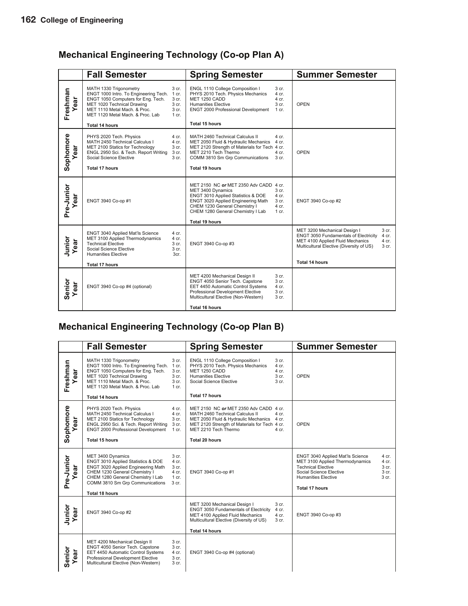## **Mechanical Engineering Technology (Co-op Plan A)**

|                   | <b>Fall Semester</b>                                                                                                                                                                                                      |                                                      | <b>Spring Semester</b>                                                                                                                                                                                                          |                                                        | <b>Summer Semester</b>                                                                                                                                                                                                               |
|-------------------|---------------------------------------------------------------------------------------------------------------------------------------------------------------------------------------------------------------------------|------------------------------------------------------|---------------------------------------------------------------------------------------------------------------------------------------------------------------------------------------------------------------------------------|--------------------------------------------------------|--------------------------------------------------------------------------------------------------------------------------------------------------------------------------------------------------------------------------------------|
| Freshman<br>ar    | MATH 1330 Trigonometry<br>ENGT 1000 Intro. To Engineering Tech.<br>ENGT 1050 Computers for Eng. Tech.<br>MET 1020 Technical Drawing<br>MET 1110 Metal Mach. & Proc.<br>MET 1120 Metal Mach, & Proc. Lab<br>Total 14 hours | 3 cr.<br>1 cr.<br>3 cr.<br>3 cr.<br>3 cr.<br>$1$ cr. | ENGL 1110 College Composition I<br>PHYS 2010 Tech. Physics Mechanics<br>MET 1250 CADD<br><b>Humanities Elective</b><br>ENGT 2000 Professional Development<br>Total 15 hours                                                     | 3 cr.<br>4 cr.<br>4 cr.<br>3 cr.<br>$1 \text{ cr}$ .   | <b>OPEN</b>                                                                                                                                                                                                                          |
| Sophomore<br>ear  | PHYS 2020 Tech. Physics<br>MATH 2450 Technical Calculus I<br>MET 2100 Statics for Technology<br>ENGL 2950 Sci. & Tech. Report Writing<br>Social Science Elective<br><b>Total 17 hours</b>                                 | 4 cr.<br>4 cr.<br>3 cr.<br>3 cr.<br>3 cr.            | MATH 2460 Technical Calculus II<br>MET 2050 Fluid & Hydraulic Mechanics<br>MET 2120 Strength of Materials for Tech 4 cr.<br>MET 2210 Tech Thermo<br>COMM 3810 Sm Grp Communications<br>Total 19 hours                           | 4 cr.<br>4 cr.<br>4 cr.<br>3 cr.                       | <b>OPEN</b>                                                                                                                                                                                                                          |
| Pre-Junior<br>ear | ENGT 3940 Co-op #1                                                                                                                                                                                                        |                                                      | MET 2150 NC or MET 2350 Adv CADD 4 cr.<br>MET 3400 Dynamics<br>ENGT 3010 Applied Statistics & DOE<br>ENGT 3020 Applied Engineering Math<br>CHEM 1230 General Chemistry I<br>CHEM 1280 General Chemistry I Lab<br>Total 19 hours | 3 cr.<br>4 cr.<br>3 <sub>cr.</sub><br>4 cr.<br>$1$ cr. | ENGT 3940 Co-op #2                                                                                                                                                                                                                   |
| Junior<br>ear     | ENGT 3040 Applied Mat'ls Science<br>MET 3100 Applied Thermodynamics<br><b>Technical Elective</b><br>Social Science Elective<br><b>Humanities Elective</b><br>Total 17 hours                                               | 4 cr.<br>4 cr.<br>3 cr.<br>3 <sub>cr.</sub><br>3cr.  | ENGT 3940 Co-op #3                                                                                                                                                                                                              |                                                        | 3 <sub>cr.</sub><br>MET 3200 Mechanical Design I<br><b>ENGT 3050 Fundamentals of Electricity</b><br>4 cr.<br>MET 4100 Applied Fluid Mechanics<br>4 cr.<br>Multicultural Elective (Diversity of US)<br>3 cr.<br><b>Total 14 hours</b> |
|                   |                                                                                                                                                                                                                           |                                                      |                                                                                                                                                                                                                                 |                                                        |                                                                                                                                                                                                                                      |
| Senior<br>Year    | ENGT 3940 Co-op #4 (optional)                                                                                                                                                                                             |                                                      | MET 4200 Mechanical Design II<br>ENGT 4050 Senior Tech. Capstone<br>EET 4450 Automatic Control Systems<br>Professional Development Elective<br>Multicultural Elective (Non-Western)                                             | 3 cr.<br>3 cr.<br>4 cr.<br>3 <sub>cr.</sub><br>3 cr.   |                                                                                                                                                                                                                                      |
|                   |                                                                                                                                                                                                                           |                                                      | Total 16 hours                                                                                                                                                                                                                  |                                                        |                                                                                                                                                                                                                                      |

## **Mechanical Engineering Technology (Co-op Plan B)**

|                       | <b>Fall Semester</b>                                                                                                                                                                                                            |                                                      | <b>Spring Semester</b>                                                                                                                                                                                                                      | <b>Summer Semester</b>                                                                                                                                                                                                          |
|-----------------------|---------------------------------------------------------------------------------------------------------------------------------------------------------------------------------------------------------------------------------|------------------------------------------------------|---------------------------------------------------------------------------------------------------------------------------------------------------------------------------------------------------------------------------------------------|---------------------------------------------------------------------------------------------------------------------------------------------------------------------------------------------------------------------------------|
| Freshman<br>ear       | MATH 1330 Trigonometry<br>ENGT 1000 Intro. To Engineering Tech.<br>ENGT 1050 Computers for Eng. Tech.<br>MET 1020 Technical Drawing<br>MET 1110 Metal Mach. & Proc.<br>MET 1120 Metal Mach, & Proc. Lab<br>Total 14 hours       | 3 cr.<br>1 cr.<br>3 cr.<br>3 cr.<br>3 cr.<br>1 cr.   | ENGL 1110 College Composition I<br>3 cr.<br>PHYS 2010 Tech. Physics Mechanics<br>4 cr.<br>MET 1250 CADD<br>4 cr.<br><b>Humanities Elective</b><br>3 cr.<br>Social Science Elective<br>3 <sub>cr.</sub><br><b>Total 17 hours</b>             | <b>OPEN</b>                                                                                                                                                                                                                     |
| Sophomore<br>ear      | PHYS 2020 Tech. Physics<br>MATH 2450 Technical Calculus I<br>MET 2100 Statics for Technology<br>ENGL 2950 Sci. & Tech. Report Writing<br>ENGT 2000 Professional Development<br><b>Total 15 hours</b>                            | 4 cr.<br>4 cr.<br>3 cr.<br>3 cr.<br>$1$ cr.          | MET 2150 NC or MET 2350 Adv CADD 4 cr.<br>MATH 2460 Technical Calculus II<br>4 cr.<br>MET 2050 Fluid & Hydraulic Mechanics 4 cr.<br>MET 2120 Strength of Materials for Tech 4 cr.<br>MET 2210 Tech Thermo<br>4 cr.<br><b>Total 20 hours</b> | <b>OPEN</b>                                                                                                                                                                                                                     |
| Pre-Junior<br>ear     | MET 3400 Dynamics<br>ENGT 3010 Applied Statistics & DOE<br>ENGT 3020 Applied Engineering Math<br>CHEM 1230 General Chemistry I<br>CHEM 1280 General Chemistry I Lab<br>COMM 3810 Sm Grp Communications<br><b>Total 18 hours</b> | 3 cr.<br>4 cr.<br>3 cr.<br>4 cr.<br>$1$ cr.<br>3 cr. | ENGT 3940 Co-op #1                                                                                                                                                                                                                          | ENGT 3040 Applied Mat'ls Science<br>4 cr.<br>MET 3100 Applied Thermodynamics<br>4 cr.<br><b>Technical Elective</b><br>3 cr.<br>Social Science Elective<br>3 cr.<br><b>Humanities Elective</b><br>3 cr.<br><b>Total 17 hours</b> |
| Junior<br>Year<br>ear | ENGT 3940 Co-op #2                                                                                                                                                                                                              |                                                      | MET 3200 Mechanical Design I<br>3 cr.<br><b>ENGT 3050 Fundamentals of Electricity</b><br>4 cr.<br>MET 4100 Applied Fluid Mechanics<br>4 cr.<br>Multicultural Elective (Diversity of US)<br>3 cr.<br><b>Total 14 hours</b>                   | ENGT 3940 Co-op #3                                                                                                                                                                                                              |
| Senior<br>Year<br>ear | MET 4200 Mechanical Design II<br>ENGT 4050 Senior Tech. Capstone<br>EET 4450 Automatic Control Systems<br>Professional Development Elective<br>Multicultural Elective (Non-Western)                                             | 3 cr.<br>3 cr.<br>4 cr.<br>3 cr.<br>3 cr.            | ENGT 3940 Co-op #4 (optional)                                                                                                                                                                                                               |                                                                                                                                                                                                                                 |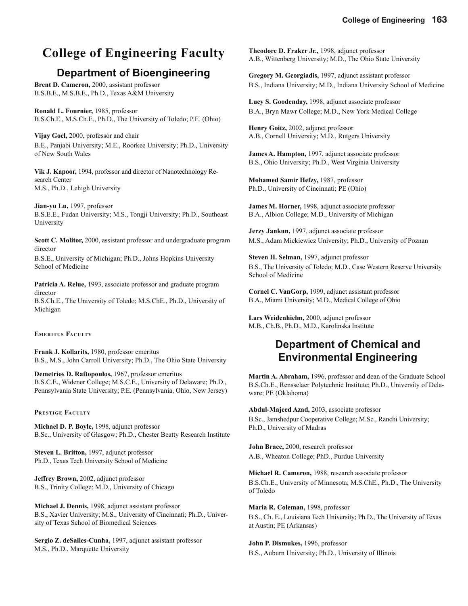#### **College of Engineering 163**

## **College of Engineering Faculty**

### **Department of Bioengineering**

**Brent D. Cameron,** 2000, assistant professor B.S.B.E., M.S.B.E., Ph.D., Texas A&M University

**Ronald L. Fournier,** 1985, professor B.S.Ch.E., M.S.Ch.E., Ph.D., The University of Toledo; P.E. (Ohio)

**Vijay Goel,** 2000, professor and chair B.E., Panjabi University; M.E., Roorkee University; Ph.D., University of New South Wales

**Vik J. Kapoor,** 1994, professor and director of Nanotechnology Research Center M.S., Ph.D., Lehigh University

**Jian-yu Lu,** 1997, professor B.S.E.E., Fudan University; M.S., Tongji University; Ph.D., Southeast University

**Scott C. Molitor,** 2000, assistant professor and undergraduate program director

B.S.E., University of Michigan; Ph.D., Johns Hopkins University School of Medicine

**Patricia A. Relue,** 1993, associate professor and graduate program director B.S.Ch.E., The University of Toledo; M.S.ChE., Ph.D., University of

**EMERITUS FACULTY**

Michigan

**Frank J. Kollarits,** 1980, professor emeritus B.S., M.S., John Carroll University; Ph.D., The Ohio State University

**Demetrios D. Raftopoulos,** 1967, professor emeritus B.S.C.E., Widener College; M.S.C.E., University of Delaware; Ph.D., Pennsylvania State University; P.E. (Pennsylvania, Ohio, New Jersey)

#### **PRESTIGE FACULTY**

**Michael D. P. Boyle,** 1998, adjunct professor B.Sc., University of Glasgow; Ph.D., Chester Beatty Research Institute

**Steven L. Britton,** 1997, adjunct professor Ph.D., Texas Tech University School of Medicine

**Jeffrey Brown,** 2002, adjunct professor B.S., Trinity College; M.D., University of Chicago

**Michael J. Dennis,** 1998, adjunct assistant professor B.S., Xavier University; M.S., University of Cincinnati; Ph.D., University of Texas School of Biomedical Sciences

**Sergio Z. deSalles-Cunha,** 1997, adjunct assistant professor M.S., Ph.D., Marquette University

**Theodore D. Fraker Jr.,** 1998, adjunct professor A.B., Wittenberg University; M.D., The Ohio State University

**Gregory M. Georgiadis,** 1997, adjunct assistant professor B.S., Indiana University; M.D., Indiana University School of Medicine

**Lucy S. Goodenday,** 1998, adjunct associate professor B.A., Bryn Mawr College; M.D., New York Medical College

**Henry Goitz,** 2002, adjunct professor A.B., Cornell University; M.D., Rutgers University

**James A. Hampton,** 1997, adjunct associate professor B.S., Ohio University; Ph.D., West Virginia University

**Mohamed Samir Hefzy,** 1987, professor Ph.D., University of Cincinnati; PE (Ohio)

**James M. Horner,** 1998, adjunct associate professor B.A., Albion College; M.D., University of Michigan

**Jerzy Jankun,** 1997, adjunct associate professor M.S., Adam Mickiewicz University; Ph.D., University of Poznan

**Steven H. Selman,** 1997, adjunct professor B.S., The University of Toledo; M.D., Case Western Reserve University School of Medicine

**Cornel C. VanGorp,** 1999, adjunct assistant professor B.A., Miami University; M.D., Medical College of Ohio

**Lars Weidenhielm,** 2000, adjunct professor M.B., Ch.B., Ph.D., M.D., Karolinska Institute

### **Department of Chemical and Environmental Engineering**

**Martin A. Abraham,** 1996, professor and dean of the Graduate School B.S.Ch.E., Rensselaer Polytechnic Institute; Ph.D., University of Delaware; PE (Oklahoma)

**Abdul-Majeed Azad,** 2003, associate professor

B.Sc., Jamshedpur Cooperative College; M.Sc., Ranchi University; Ph.D., University of Madras

**John Brace,** 2000, research professor A.B., Wheaton College; PhD., Purdue University

**Michael R. Cameron,** 1988, research associate professor B.S.Ch.E., University of Minnesota; M.S.ChE., Ph.D., The University of Toledo

**Maria R. Coleman,** 1998, professor B.S., Ch. E., Louisiana Tech University; Ph.D., The University of Texas at Austin; PE (Arkansas)

**John P. Dismukes,** 1996, professor B.S., Auburn University; Ph.D., University of Illinois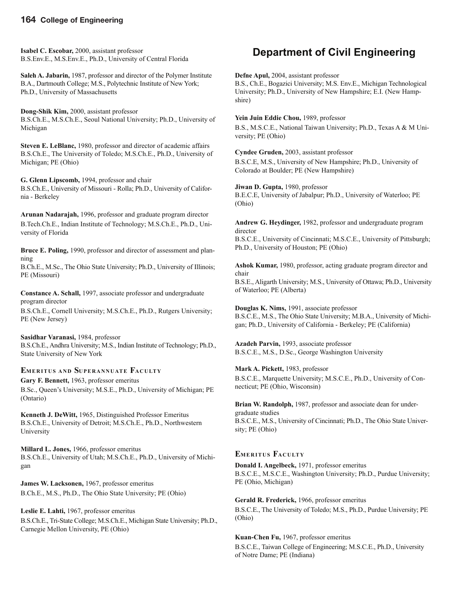#### **164 College of Engineering**

**Isabel C. Escobar,** 2000, assistant professor B.S.Env.E., M.S.Env.E., Ph.D., University of Central Florida

**Saleh A. Jabarin,** 1987, professor and director of the Polymer Institute B.A., Dartmouth College; M.S., Polytechnic Institute of New York; Ph.D., University of Massachusetts

**Dong-Shik Kim,** 2000, assistant professor B.S.Ch.E., M.S.Ch.E., Seoul National University; Ph.D., University of Michigan

**Steven E. LeBlanc,** 1980, professor and director of academic affairs B.S.Ch.E., The University of Toledo; M.S.Ch.E., Ph.D., University of Michigan; PE (Ohio)

**G. Glenn Lipscomb,** 1994, professor and chair B.S.Ch.E., University of Missouri - Rolla; Ph.D., University of California - Berkeley

**Arunan Nadarajah,** 1996, professor and graduate program director B.Tech.Ch.E., Indian Institute of Technology; M.S.Ch.E., Ph.D., University of Florida

**Bruce E. Poling,** 1990, professor and director of assessment and planning

B.Ch.E., M.Sc., The Ohio State University; Ph.D., University of Illinois; PE (Missouri)

**Constance A. Schall,** 1997, associate professor and undergraduate program director

B.S.Ch.E., Cornell University; M.S.Ch.E., Ph.D., Rutgers University; PE (New Jersey)

#### **Sasidhar Varanasi,** 1984, professor

B.S.Ch.E., Andhra University; M.S., Indian Institute of Technology; Ph.D., State University of New York

#### **EMERITUS AND SUPERANNUATE FACULTY**

**Gary F. Bennett,** 1963, professor emeritus

B.Sc., Queen's University; M.S.E., Ph.D., University of Michigan; PE (Ontario)

**Kenneth J. DeWitt,** 1965, Distinguished Professor Emeritus B.S.Ch.E., University of Detroit; M.S.Ch.E., Ph.D., Northwestern University

**Millard L. Jones,** 1966, professor emeritus B.S.Ch.E., University of Utah; M.S.Ch.E., Ph.D., University of Michigan

**James W. Lacksonen,** 1967, professor emeritus B.Ch.E., M.S., Ph.D., The Ohio State University; PE (Ohio)

**Leslie E. Lahti,** 1967, professor emeritus B.S.Ch.E., Tri-State College; M.S.Ch.E., Michigan State University; Ph.D., Carnegie Mellon University, PE (Ohio)

## **Department of Civil Engineering**

**Defne Apul,** 2004, assistant professor

B.S., Ch.E., Bogazici University; M.S. Env.E., Michigan Technological University; Ph.D., University of New Hampshire; E.I. (New Hampshire)

**Yein Juin Eddie Chou,** 1989, professor

B.S., M.S.C.E., National Taiwan University; Ph.D., Texas A & M University; PE (Ohio)

**Cyndee Gruden,** 2003, assistant professor B.S.C.E, M.S., University of New Hampshire; Ph.D., University of Colorado at Boulder; PE (New Hampshire)

**Jiwan D. Gupta,** 1980, professor B.E.C.E, University of Jabalpur; Ph.D., University of Waterloo; PE (Ohio)

**Andrew G. Heydinger,** 1982, professor and undergraduate program director

B.S.C.E., University of Cincinnati; M.S.C.E., University of Pittsburgh; Ph.D., University of Houston; PE (Ohio)

**Ashok Kumar,** 1980, professor, acting graduate program director and chair

B.S.E., Aligarth University; M.S., University of Ottawa; Ph.D., University of Waterloo; PE (Alberta)

**Douglas K. Nims,** 1991, associate professor B.S.C.E., M.S., The Ohio State University; M.B.A., University of Michigan; Ph.D., University of California - Berkeley; PE (California)

**Azadeh Parvin,** 1993, associate professor B.S.C.E., M.S., D.Sc., George Washington University

**Mark A. Pickett,** 1983, professor

B.S.C.E., Marquette University; M.S.C.E., Ph.D., University of Connecticut; PE (Ohio, Wisconsin)

**Brian W. Randolph,** 1987, professor and associate dean for undergraduate studies B.S.C.E., M.S., University of Cincinnati; Ph.D., The Ohio State University; PE (Ohio)

#### **EMERITUS FACULTY**

**Donald I. Angelbeck,** 1971, professor emeritus B.S.C.E., M.S.C.E., Washington University; Ph.D., Purdue University; PE (Ohio, Michigan)

**Gerald R. Frederick,** 1966, professor emeritus B.S.C.E., The University of Toledo; M.S., Ph.D., Purdue University; PE (Ohio)

**Kuan-Chen Fu,** 1967, professor emeritus

B.S.C.E., Taiwan College of Engineering; M.S.C.E., Ph.D., University of Notre Dame; PE (Indiana)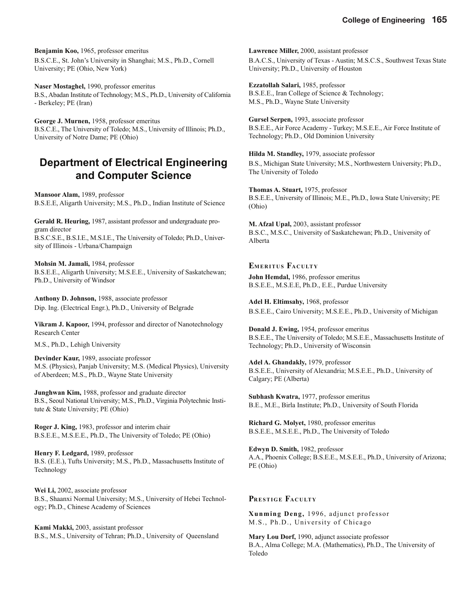**Benjamin Koo,** 1965, professor emeritus B.S.C.E., St. John's University in Shanghai; M.S., Ph.D., Cornell University; PE (Ohio, New York)

**Naser Mostaghel,** 1990, professor emeritus B.S., Abadan Institute of Technology; M.S., Ph.D., University of California - Berkeley; PE (Iran)

**George J. Murnen,** 1958, professor emeritus B.S.C.E., The University of Toledo; M.S., University of Illinois; Ph.D., University of Notre Dame; PE (Ohio)

## **Department of Electrical Engineering and Computer Science**

**Mansoor Alam,** 1989, professor B.S.E.E, Aligarth University; M.S., Ph.D., Indian Institute of Science

**Gerald R. Heuring,** 1987, assistant professor and undergraduate program director

B.S.C.S.E., B.S.I.E., M.S.I.E., The University of Toledo; Ph.D., University of Illinois - Urbana/Champaign

**Mohsin M. Jamali,** 1984, professor B.S.E.E., Aligarth University; M.S.E.E., University of Saskatchewan; Ph.D., University of Windsor

**Anthony D. Johnson,** 1988, associate professor Dip. Ing. (Electrical Engr.), Ph.D., University of Belgrade

**Vikram J. Kapoor,** 1994, professor and director of Nanotechnology Research Center

M.S., Ph.D., Lehigh University

**Devinder Kaur,** 1989, associate professor M.S. (Physics), Panjab University; M.S. (Medical Physics), University of Aberdeen; M.S., Ph.D., Wayne State University

**Junghwan Kim,** 1988, professor and graduate director B.S., Seoul National University; M.S., Ph.D., Virginia Polytechnic Institute & State University; PE (Ohio)

**Roger J. King,** 1983, professor and interim chair B.S.E.E., M.S.E.E., Ph.D., The University of Toledo; PE (Ohio)

**Henry F. Ledgard,** 1989, professor B.S. (E.E.), Tufts University; M.S., Ph.D., Massachusetts Institute of Technology

**Wei Li,** 2002, associate professor B.S., Shaanxi Normal University; M.S., University of Hebei Technology; Ph.D., Chinese Academy of Sciences

**Kami Makki,** 2003, assistant professor B.S., M.S., University of Tehran; Ph.D., University of Queensland **Lawrence Miller,** 2000, assistant professor B.A.C.S., University of Texas - Austin; M.S.C.S., Southwest Texas State University; Ph.D., University of Houston

**Ezzatollah Salari,** 1985, professor B.S.E.E., Iran College of Science & Technology; M.S., Ph.D., Wayne State University

**Gursel Serpen,** 1993, associate professor B.S.E.E., Air Force Academy - Turkey; M.S.E.E., Air Force Institute of Technology; Ph.D., Old Dominion University

**Hilda M. Standley,** 1979, associate professor B.S., Michigan State University; M.S., Northwestern University; Ph.D., The University of Toledo

**Thomas A. Stuart,** 1975, professor B.S.E.E., University of Illinois; M.E., Ph.D., Iowa State University; PE (Ohio)

**M. Afzal Upal,** 2003, assistant professor B.S.C., M.S.C., University of Saskatchewan; Ph.D., University of Alberta

**EMERITUS FACULTY**

**John Hemdal,** 1986, professor emeritus B.S.E.E., M.S.E.E, Ph.D., E.E., Purdue University

**Adel H. Eltimsahy,** 1968, professor B.S.E.E., Cairo University; M.S.E.E., Ph.D., University of Michigan

**Donald J. Ewing,** 1954, professor emeritus B.S.E.E., The University of Toledo; M.S.E.E., Massachusetts Institute of Technology; Ph.D., University of Wisconsin

**Adel A. Ghandakly,** 1979, professor B.S.E.E., University of Alexandria; M.S.E.E., Ph.D., University of Calgary; PE (Alberta)

**Subhash Kwatra,** 1977, professor emeritus B.E., M.E., Birla Institute; Ph.D., University of South Florida

**Richard G. Molyet,** 1980, professor emeritus B.S.E.E., M.S.E.E., Ph.D., The University of Toledo

**Edwyn D. Smith,** 1982, professor A.A., Phoenix College; B.S.E.E., M.S.E.E., Ph.D., University of Arizona; PE (Ohio)

#### **PRESTIGE FACULTY**

**Xunming Deng,** 1996, adjunct professor M.S., Ph.D., University of Chicago

**Mary Lou Dorf,** 1990, adjunct associate professor B.A., Alma College; M.A. (Mathematics), Ph.D., The University of Toledo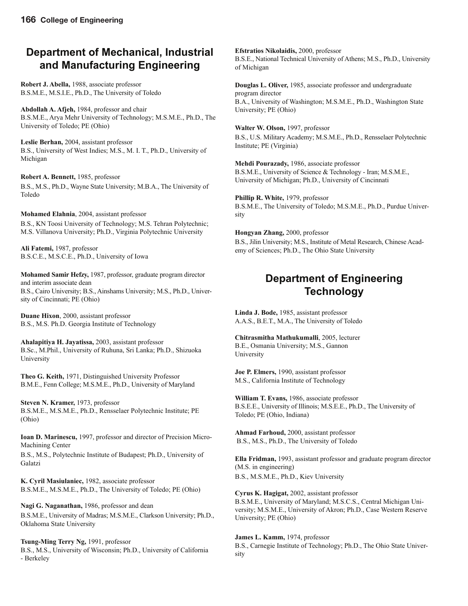## **Department of Mechanical, Industrial and Manufacturing Engineering**

**Robert J. Abella,** 1988, associate professor B.S.M.E., M.S.I.E., Ph.D., The University of Toledo

**Abdollah A. Afjeh,** 1984, professor and chair B.S.M.E., Arya Mehr University of Technology; M.S.M.E., Ph.D., The University of Toledo; PE (Ohio)

**Leslie Berhan,** 2004, assistant professor B.S., University of West Indies; M.S., M. I. T., Ph.D., University of Michigan

**Robert A. Bennett,** 1985, professor B.S., M.S., Ph.D., Wayne State University; M.B.A., The University of Toledo

**Mohamed Elahnia**, 2004, assistant professor B.S., KN Toosi University of Technology; M.S. Tehran Polytechnic; M.S. Villanova University; Ph.D., Virginia Polytechnic University

**Ali Fatemi,** 1987, professor B.S.C.E., M.S.C.E., Ph.D., University of Iowa

**Mohamed Samir Hefzy,** 1987, professor, graduate program director and interim associate dean B.S., Cairo University; B.S., Ainshams University; M.S., Ph.D., University of Cincinnati; PE (Ohio)

**Duane Hixon**, 2000, assistant professor B.S., M.S. Ph.D. Georgia Institute of Technology

**Ahalapitiya H. Jayatissa,** 2003, assistant professor B.Sc., M.Phil., University of Ruhuna, Sri Lanka; Ph.D., Shizuoka University

**Theo G. Keith,** 1971, Distinguished University Professor B.M.E., Fenn College; M.S.M.E., Ph.D., University of Maryland

**Steven N. Kramer,** 1973, professor B.S.M.E., M.S.M.E., Ph.D., Rensselaer Polytechnic Institute; PE (Ohio)

**Ioan D. Marinescu,** 1997, professor and director of Precision Micro-Machining Center

B.S., M.S., Polytechnic Institute of Budapest; Ph.D., University of Galatzi

**K. Cyril Masiulaniec,** 1982, associate professor B.S.M.E., M.S.M.E., Ph.D., The University of Toledo; PE (Ohio)

**Nagi G. Naganathan,** 1986, professor and dean B.S.M.E., University of Madras; M.S.M.E., Clarkson University; Ph.D., Oklahoma State University

**Tsung-Ming Terry Ng,** 1991, professor B.S., M.S., University of Wisconsin; Ph.D., University of California - Berkeley

**Efstratios Nikolaidis,** 2000, professor B.S.E., National Technical University of Athens; M.S., Ph.D., University of Michigan

**Douglas L. Oliver,** 1985, associate professor and undergraduate program director B.A., University of Washington; M.S.M.E., Ph.D., Washington State University; PE (Ohio)

**Walter W. Olson,** 1997, professor B.S., U.S. Military Academy; M.S.M.E., Ph.D., Rensselaer Polytechnic Institute; PE (Virginia)

**Mehdi Pourazady,** 1986, associate professor B.S.M.E., University of Science & Technology - Iran; M.S.M.E., University of Michigan; Ph.D., University of Cincinnati

**Phillip R. White,** 1979, professor B.S.M.E., The University of Toledo; M.S.M.E., Ph.D., Purdue University

**Hongyan Zhang,** 2000, professor B.S., Jilin University; M.S., Institute of Metal Research, Chinese Academy of Sciences; Ph.D., The Ohio State University

## **Department of Engineering Technology**

**Linda J. Bode,** 1985, assistant professor A.A.S., B.E.T., M.A., The University of Toledo

**Chitrasmitha Mathukumalli**, 2005, lecturer B.E., Osmania University; M.S., Gannon University

**Joe P. Elmers,** 1990, assistant professor M.S., California Institute of Technology

**William T. Evans,** 1986, associate professor B.S.E.E., University of Illinois; M.S.E.E., Ph.D., The University of Toledo; PE (Ohio, Indiana)

**Ahmad Farhoud,** 2000, assistant professor B.S., M.S., Ph.D., The University of Toledo

**Ella Fridman,** 1993, assistant professor and graduate program director (M.S. in engineering) B.S., M.S.M.E., Ph.D., Kiev University

**Cyrus K. Hagigat,** 2002, assistant professor B.S.M.E., University of Maryland; M.S.C.S., Central Michigan University; M.S.M.E., University of Akron; Ph.D., Case Western Reserve University; PE (Ohio)

**James L. Kamm,** 1974, professor

B.S., Carnegie Institute of Technology; Ph.D., The Ohio State University